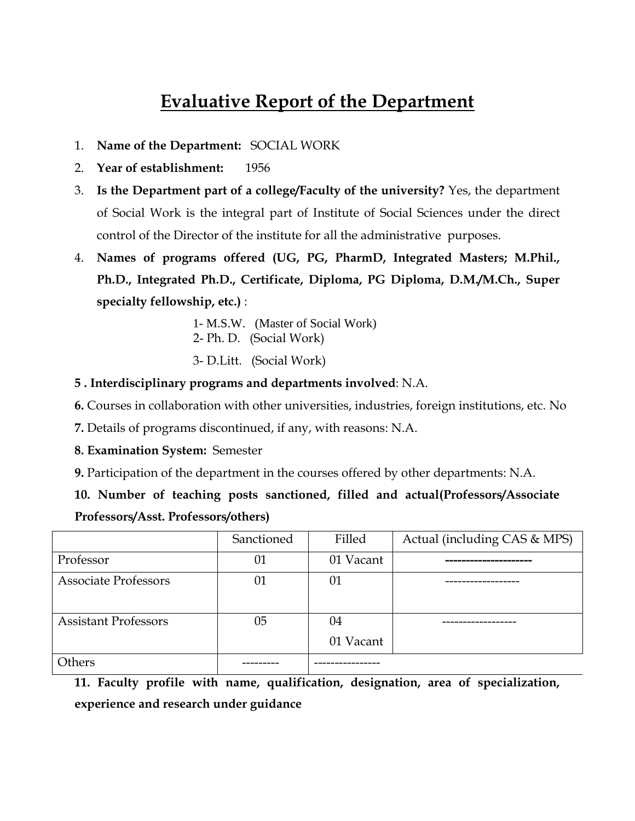# **Evaluative Report of the Department**

- 1. **Name of the Department:** SOCIAL WORK
- 2. **Year of establishment:** 1956
- 3. **Is the Department part of a college/Faculty of the university?** Yes, the department of Social Work is the integral part of Institute of Social Sciences under the direct control of the Director of the institute for all the administrative purposes.
- 4. **Names of programs offered (UG, PG, PharmD, Integrated Masters; M.Phil., Ph.D., Integrated Ph.D., Certificate, Diploma, PG Diploma, D.M./M.Ch., Super specialty fellowship, etc.)** :
	- 1- M.S.W. (Master of Social Work)
	- 2- Ph. D. (Social Work)
	- 3- D.Litt. (Social Work)
- **5 . Interdisciplinary programs and departments involved**: N.A.
- **6.** Courses in collaboration with other universities, industries, foreign institutions, etc. No
- **7.** Details of programs discontinued, if any, with reasons: N.A.
- **8. Examination System:** Semester
- **9.** Participation of the department in the courses offered by other departments: N.A.

**10. Number of teaching posts sanctioned, filled and actual(Professors/Associate Professors/Asst. Professors/others)**

|                             | Sanctioned | Filled          | Actual (including CAS & MPS) |
|-----------------------------|------------|-----------------|------------------------------|
| Professor                   | 01         | 01 Vacant       |                              |
| <b>Associate Professors</b> | 01         | 01              |                              |
| <b>Assistant Professors</b> | 05         | 04<br>01 Vacant |                              |
| Others                      |            |                 |                              |

**11. Faculty profile with name, qualification, designation, area of specialization, experience and research under guidance**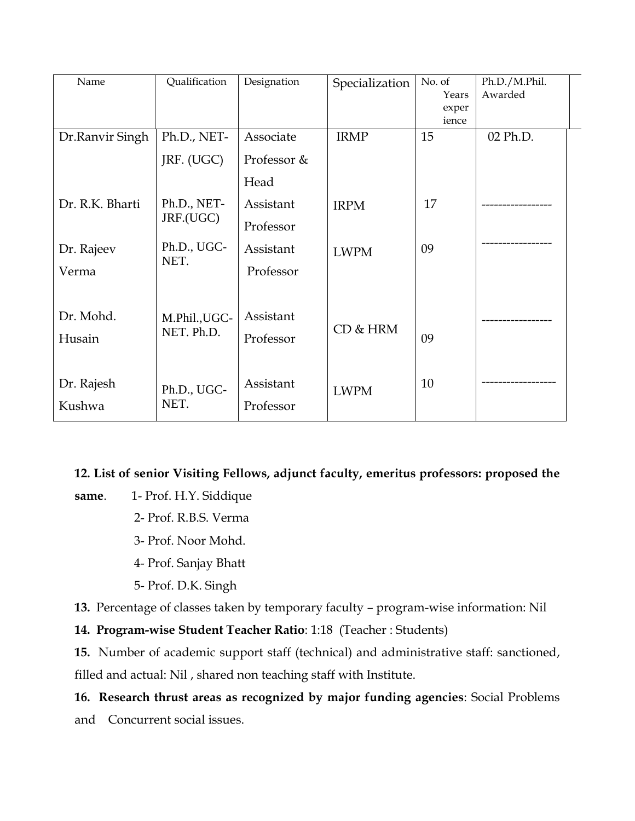| Name            | Qualification | Designation | Specialization | No. of<br>Years | Ph.D./M.Phil.<br>Awarded |  |
|-----------------|---------------|-------------|----------------|-----------------|--------------------------|--|
|                 |               |             |                | exper<br>ience  |                          |  |
| Dr.Ranvir Singh | Ph.D., NET-   | Associate   | <b>IRMP</b>    | 15              | 02 Ph.D.                 |  |
|                 | JRF. (UGC)    | Professor & |                |                 |                          |  |
|                 |               | Head        |                |                 |                          |  |
| Dr. R.K. Bharti | Ph.D., NET-   | Assistant   | <b>IRPM</b>    | 17              |                          |  |
|                 | JRF.(UGC)     | Professor   |                |                 |                          |  |
| Dr. Rajeev      | Ph.D., UGC-   | Assistant   | <b>LWPM</b>    | 09              |                          |  |
| Verma           | NET.          | Professor   |                |                 |                          |  |
|                 |               |             |                |                 |                          |  |
| Dr. Mohd.       | M.Phil., UGC- | Assistant   |                |                 |                          |  |
| Husain          | NET. Ph.D.    | Professor   | CD & HRM       | 09              |                          |  |
|                 |               |             |                |                 |                          |  |
| Dr. Rajesh      | Ph.D., UGC-   | Assistant   | <b>LWPM</b>    | 10              |                          |  |
| Kushwa          | NET.          | Professor   |                |                 |                          |  |

### **12. List of senior Visiting Fellows, adjunct faculty, emeritus professors: proposed the**

**same**. 1- Prof. H.Y. Siddique

- 2- Prof. R.B.S. Verma
- 3- Prof. Noor Mohd.
- 4- Prof. Sanjay Bhatt
- 5- Prof. D.K. Singh

**13.** Percentage of classes taken by temporary faculty – program-wise information: Nil

**14. Program-wise Student Teacher Ratio**: 1:18 (Teacher : Students)

**15.** Number of academic support staff (technical) and administrative staff: sanctioned, filled and actual: Nil , shared non teaching staff with Institute.

### **16. Research thrust areas as recognized by major funding agencies**: Social Problems

and Concurrent social issues.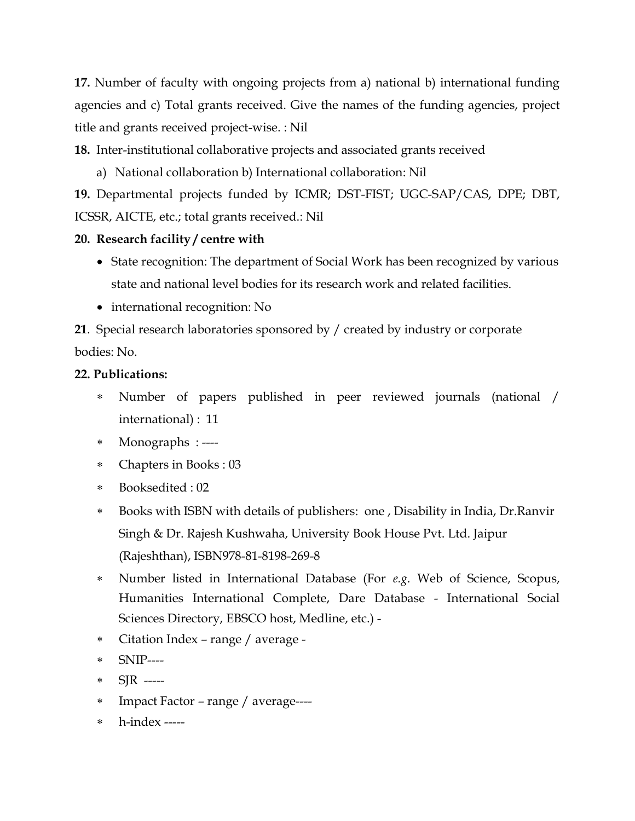**17.** Number of faculty with ongoing projects from a) national b) international funding agencies and c) Total grants received. Give the names of the funding agencies, project title and grants received project-wise. : Nil

**18.** Inter-institutional collaborative projects and associated grants received

a) National collaboration b) International collaboration: Nil

**19.** Departmental projects funded by ICMR; DST-FIST; UGC-SAP/CAS, DPE; DBT, ICSSR, AICTE, etc.; total grants received.: Nil

## **20. Research facility / centre with**

- State recognition: The department of Social Work has been recognized by various state and national level bodies for its research work and related facilities.
- international recognition: No

**21**. Special research laboratories sponsored by / created by industry or corporate bodies: No.

## **22. Publications:**

- Number of papers published in peer reviewed journals (national / international) : 11
- Monographs : ----
- Chapters in Books : 03
- Booksedited : 02
- Books with ISBN with details of publishers: one , Disability in India, Dr.Ranvir Singh & Dr. Rajesh Kushwaha, University Book House Pvt. Ltd. Jaipur (Rajeshthan), ISBN978-81-8198-269-8
- Number listed in International Database (For *e.g*. Web of Science, Scopus, Humanities International Complete, Dare Database - International Social Sciences Directory, EBSCO host, Medline, etc.) -
- Citation Index range / average -
- SNIP----
- SJR -----
- Impact Factor range / average----
- h-index -----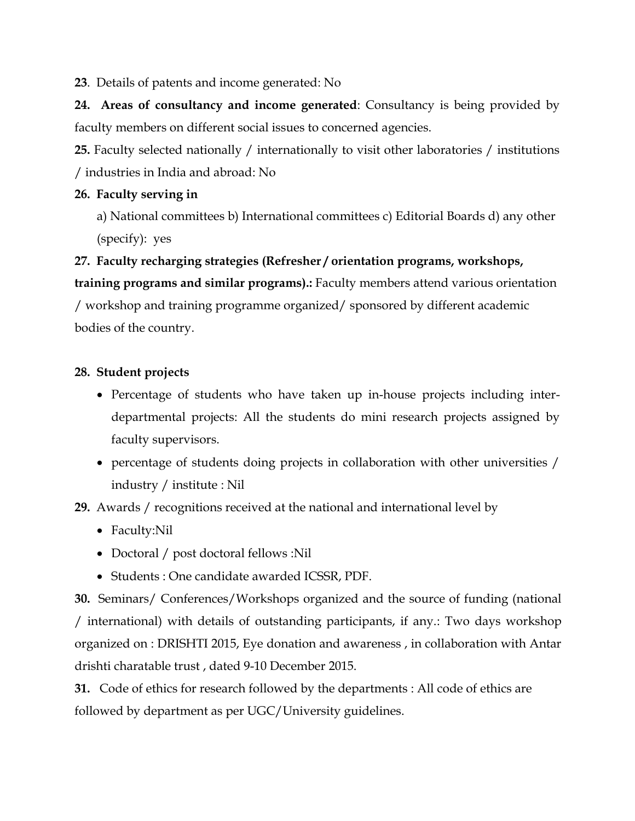**23**. Details of patents and income generated: No

**24. Areas of consultancy and income generated**: Consultancy is being provided by faculty members on different social issues to concerned agencies.

**25.** Faculty selected nationally / internationally to visit other laboratories / institutions / industries in India and abroad: No

### **26. Faculty serving in**

a) National committees b) International committees c) Editorial Boards d) any other (specify): yes

**27. Faculty recharging strategies (Refresher / orientation programs, workshops, training programs and similar programs).:** Faculty members attend various orientation

/ workshop and training programme organized/ sponsored by different academic bodies of the country.

### **28. Student projects**

- Percentage of students who have taken up in-house projects including interdepartmental projects: All the students do mini research projects assigned by faculty supervisors.
- percentage of students doing projects in collaboration with other universities / industry / institute : Nil

**29.** Awards / recognitions received at the national and international level by

- Faculty:Nil
- Doctoral / post doctoral fellows :Nil
- Students : One candidate awarded ICSSR, PDF.

**30.** Seminars/ Conferences/Workshops organized and the source of funding (national / international) with details of outstanding participants, if any.: Two days workshop organized on : DRISHTI 2015, Eye donation and awareness , in collaboration with Antar drishti charatable trust , dated 9-10 December 2015.

**31.** Code of ethics for research followed by the departments : All code of ethics are followed by department as per UGC/University guidelines.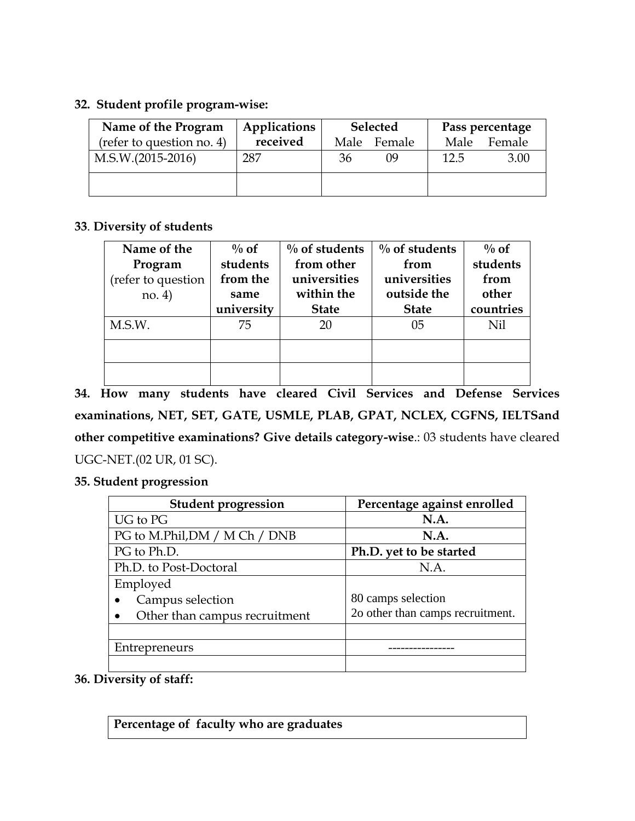### **32. Student profile program-wise:**

| Name of the Program       | Applications |    | <b>Selected</b> |      | Pass percentage |
|---------------------------|--------------|----|-----------------|------|-----------------|
| (refer to question no. 4) | received     |    | Male Female     | Male | Female          |
| $M.S.W.(2015-2016)$       | 287          | 36 | 09              | 12.5 | 3.00            |
|                           |              |    |                 |      |                 |

### **33**. **Diversity of students**

| Name of the        | $\%$ of    | $\%$ of students | $\%$ of students | $\%$ of   |
|--------------------|------------|------------------|------------------|-----------|
| Program            | students   | from other       | from             | students  |
| (refer to question | from the   | universities     | universities     | from      |
| no. 4)             | same       | within the       | outside the      | other     |
|                    | university | <b>State</b>     | <b>State</b>     | countries |
| M.S.W.             | 75         | 20               | 05               | Nil       |
|                    |            |                  |                  |           |
|                    |            |                  |                  |           |

**34. How many students have cleared Civil Services and Defense Services examinations, NET, SET, GATE, USMLE, PLAB, GPAT, NCLEX, CGFNS, IELTSand other competitive examinations? Give details category-wise**.: 03 students have cleared UGC-NET.(02 UR, 01 SC).

### **35. Student progression**

| <b>Student progression</b>    | Percentage against enrolled      |
|-------------------------------|----------------------------------|
| UG to PG                      | <b>N.A.</b>                      |
| PG to M.Phil, DM / M Ch / DNB | N.A.                             |
| PG to Ph.D.                   | Ph.D. yet to be started          |
| Ph.D. to Post-Doctoral        | N.A.                             |
| Employed                      |                                  |
| Campus selection              | 80 camps selection               |
| Other than campus recruitment | 2o other than camps recruitment. |
|                               |                                  |
| Entrepreneurs                 |                                  |
|                               |                                  |

### **36. Diversity of staff:**

**Percentage of faculty who are graduates**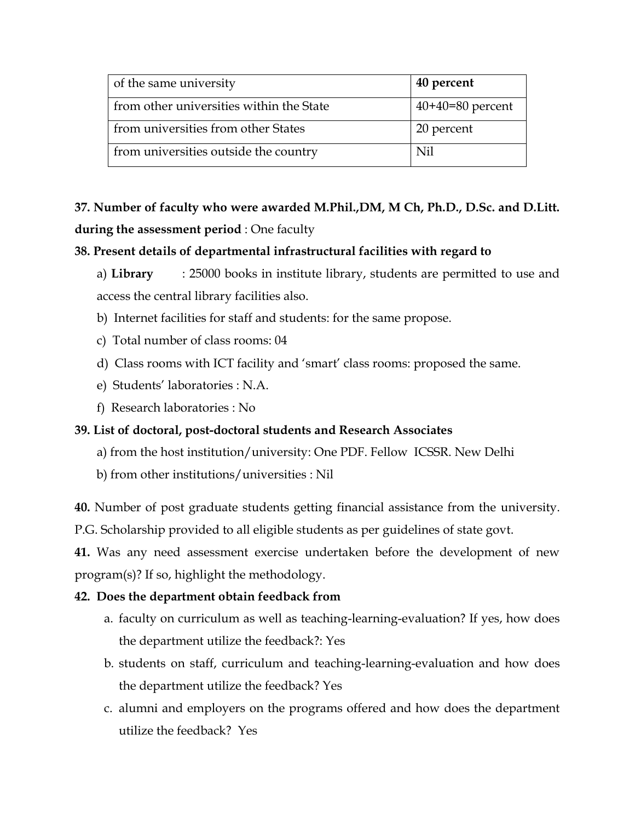| of the same university                   | 40 percent         |
|------------------------------------------|--------------------|
| from other universities within the State | $40+40=80$ percent |
| from universities from other States      | 20 percent         |
| from universities outside the country    | Nil                |

**37. Number of faculty who were awarded M.Phil.,DM, M Ch, Ph.D., D.Sc. and D.Litt. during the assessment period** : One faculty

### **38. Present details of departmental infrastructural facilities with regard to**

a) **Library** : 25000 books in institute library, students are permitted to use and access the central library facilities also.

- b) Internet facilities for staff and students: for the same propose.
- c) Total number of class rooms: 04
- d) Class rooms with ICT facility and 'smart' class rooms: proposed the same.
- e) Students' laboratories : N.A.
- f) Research laboratories : No

### **39. List of doctoral, post-doctoral students and Research Associates**

- a) from the host institution/university: One PDF. Fellow ICSSR. New Delhi
- b) from other institutions/universities : Nil

**40.** Number of post graduate students getting financial assistance from the university.

P.G. Scholarship provided to all eligible students as per guidelines of state govt.

**41.** Was any need assessment exercise undertaken before the development of new program(s)? If so, highlight the methodology.

### **42. Does the department obtain feedback from**

- a. faculty on curriculum as well as teaching-learning-evaluation? If yes, how does the department utilize the feedback?: Yes
- b. students on staff, curriculum and teaching-learning-evaluation and how does the department utilize the feedback? Yes
- c. alumni and employers on the programs offered and how does the department utilize the feedback? Yes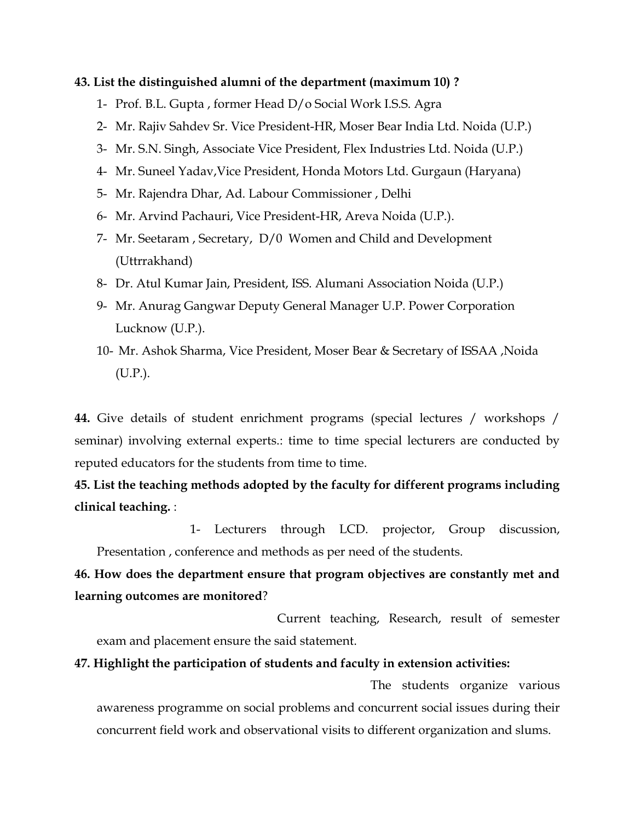#### **43. List the distinguished alumni of the department (maximum 10) ?**

- 1- Prof. B.L. Gupta , former Head D/o Social Work I.S.S. Agra
- 2- Mr. Rajiv Sahdev Sr. Vice President-HR, Moser Bear India Ltd. Noida (U.P.)
- 3- Mr. S.N. Singh, Associate Vice President, Flex Industries Ltd. Noida (U.P.)
- 4- Mr. Suneel Yadav,Vice President, Honda Motors Ltd. Gurgaun (Haryana)
- 5- Mr. Rajendra Dhar, Ad. Labour Commissioner , Delhi
- 6- Mr. Arvind Pachauri, Vice President-HR, Areva Noida (U.P.).
- 7- Mr. Seetaram , Secretary, D/0 Women and Child and Development (Uttrrakhand)
- 8- Dr. Atul Kumar Jain, President, ISS. Alumani Association Noida (U.P.)
- 9- Mr. Anurag Gangwar Deputy General Manager U.P. Power Corporation Lucknow (U.P.).
- 10- Mr. Ashok Sharma, Vice President, Moser Bear & Secretary of ISSAA ,Noida (U.P.).

**44.** Give details of student enrichment programs (special lectures / workshops / seminar) involving external experts.: time to time special lecturers are conducted by reputed educators for the students from time to time.

**45. List the teaching methods adopted by the faculty for different programs including clinical teaching.** :

 1- Lecturers through LCD. projector, Group discussion, Presentation , conference and methods as per need of the students.

**46. How does the department ensure that program objectives are constantly met and learning outcomes are monitored**?

 Current teaching, Research, result of semester exam and placement ensure the said statement.

#### **47. Highlight the participation of students and faculty in extension activities:**

 The students organize various awareness programme on social problems and concurrent social issues during their concurrent field work and observational visits to different organization and slums.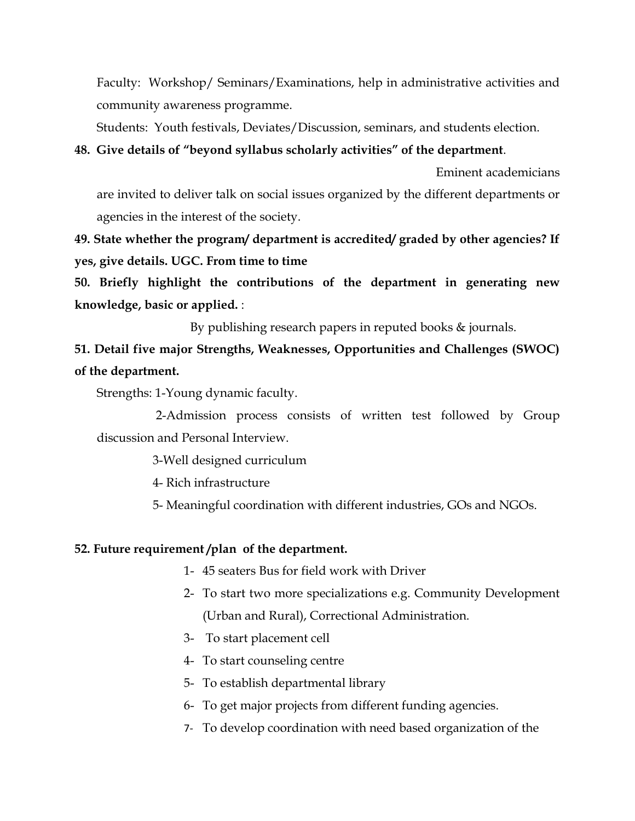Faculty: Workshop/ Seminars/Examinations, help in administrative activities and community awareness programme.

Students: Youth festivals, Deviates/Discussion, seminars, and students election.

### **48. Give details of "beyond syllabus scholarly activities" of the department**.

are invited to deliver talk on social issues organized by the different departments or agencies in the interest of the society.

Eminent academicians

**49. State whether the program/ department is accredited/ graded by other agencies? If yes, give details. UGC. From time to time**

**50. Briefly highlight the contributions of the department in generating new knowledge, basic or applied.** :

By publishing research papers in reputed books & journals.

**51. Detail five major Strengths, Weaknesses, Opportunities and Challenges (SWOC) of the department.**

Strengths: 1-Young dynamic faculty.

 2-Admission process consists of written test followed by Group discussion and Personal Interview.

3-Well designed curriculum

4- Rich infrastructure

5- Meaningful coordination with different industries, GOs and NGOs.

### **52. Future requirement /plan of the department.**

- 1- 45 seaters Bus for field work with Driver
- 2- To start two more specializations e.g. Community Development (Urban and Rural), Correctional Administration.
- 3- To start placement cell
- 4- To start counseling centre
- 5- To establish departmental library
- 6- To get major projects from different funding agencies.
- 7- To develop coordination with need based organization of the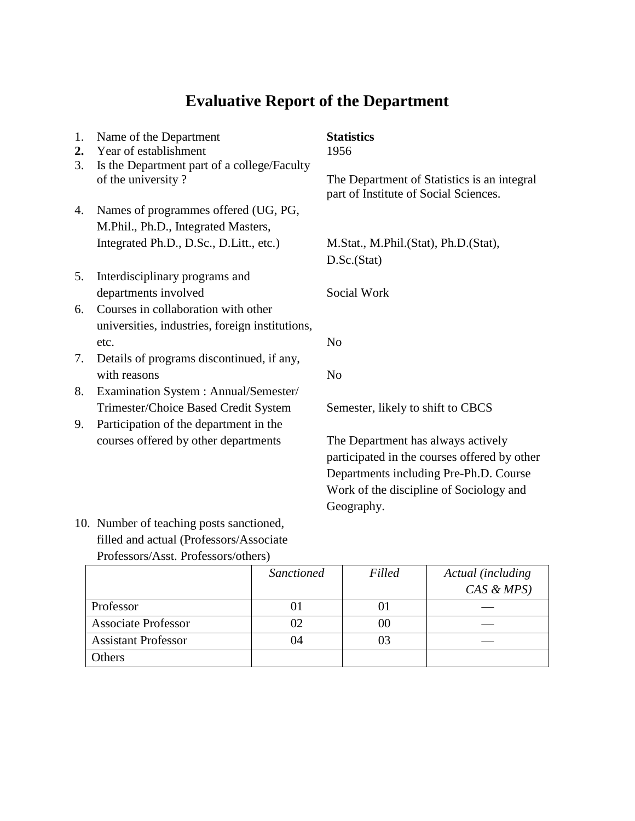# **Evaluative Report of the Department**

| 1.<br>2.                 | Name of the Department<br>Year of establishment | <b>Statistics</b><br>1956                                                            |
|--------------------------|-------------------------------------------------|--------------------------------------------------------------------------------------|
| 3.<br>of the university? | Is the Department part of a college/Faculty     | The Department of Statistics is an integral<br>part of Institute of Social Sciences. |
| 4.                       | Names of programmes offered (UG, PG,            |                                                                                      |
|                          | M.Phil., Ph.D., Integrated Masters,             |                                                                                      |
|                          | Integrated Ph.D., D.Sc., D.Litt., etc.)         | M.Stat., M.Phil.(Stat), Ph.D.(Stat),                                                 |
|                          |                                                 | D.Sc.(Stat)                                                                          |
| 5.                       | Interdisciplinary programs and                  |                                                                                      |
|                          | departments involved                            | Social Work                                                                          |
| 6.                       | Courses in collaboration with other             |                                                                                      |
|                          | universities, industries, foreign institutions, |                                                                                      |
|                          | etc.                                            | N <sub>o</sub>                                                                       |
| 7.                       | Details of programs discontinued, if any,       |                                                                                      |
|                          | with reasons                                    | N <sub>0</sub>                                                                       |
| 8.                       | Examination System : Annual/Semester/           |                                                                                      |
|                          | Trimester/Choice Based Credit System            | Semester, likely to shift to CBCS                                                    |
| 9.                       | Participation of the department in the          |                                                                                      |
|                          | courses offered by other departments            | The Department has always actively<br>participated in the courses offered by other   |
|                          |                                                 | Departments including Pre-Ph.D. Course                                               |
|                          |                                                 | Work of the discipline of Sociology and                                              |

10. Number of teaching posts sanctioned, filled and actual (Professors/Associate Professors/Asst. Professors/others)

|                            | <b>Sanctioned</b> | Filled | Actual (including |
|----------------------------|-------------------|--------|-------------------|
|                            |                   |        | $CAS \& MPS)$     |
| Professor                  |                   | 01     |                   |
| <b>Associate Professor</b> | 02                | 00     |                   |
| <b>Assistant Professor</b> | 04                | 03     |                   |
| Others                     |                   |        |                   |

Geography.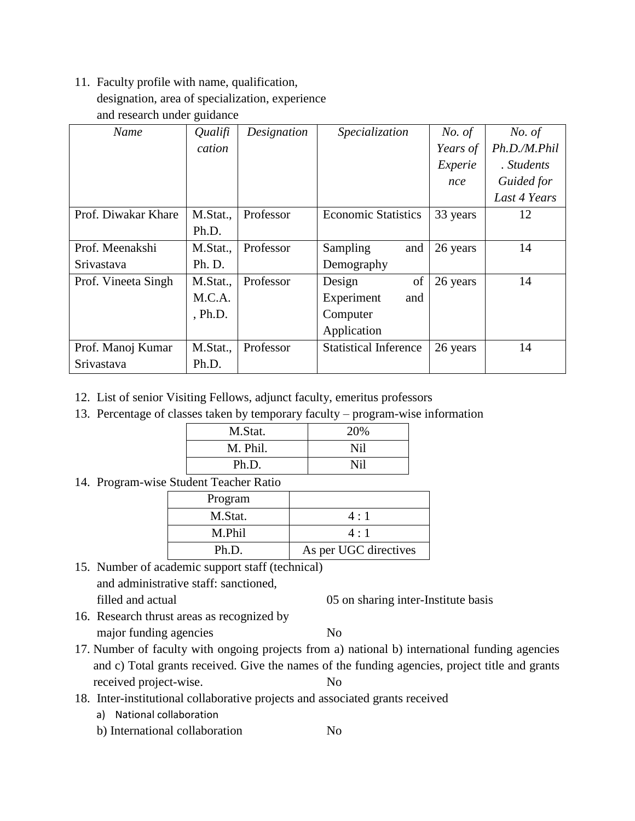### 11. Faculty profile with name, qualification,

designation, area of specialization, experience

and research under guidance

| Name                | Qualifi  | Designation | Specialization               | No. of   | No. of       |
|---------------------|----------|-------------|------------------------------|----------|--------------|
|                     | cation   |             |                              | Years of | Ph.D./M.Phil |
|                     |          |             |                              | Experie  | . Students   |
|                     |          |             |                              | nce      | Guided for   |
|                     |          |             |                              |          | Last 4 Years |
| Prof. Diwakar Khare | M.Stat., | Professor   | <b>Economic Statistics</b>   | 33 years | 12           |
|                     | Ph.D.    |             |                              |          |              |
| Prof. Meenakshi     | M.Stat., | Professor   | Sampling<br>and              | 26 years | 14           |
| Srivastava          | Ph. D.   |             | Demography                   |          |              |
| Prof. Vineeta Singh | M.Stat., | Professor   | of<br>Design                 | 26 years | 14           |
|                     | M.C.A.   |             | Experiment<br>and            |          |              |
|                     | , Ph.D.  |             | Computer                     |          |              |
|                     |          |             | Application                  |          |              |
| Prof. Manoj Kumar   | M.Stat., | Professor   | <b>Statistical Inference</b> | 26 years | 14           |
| Srivastava          | Ph.D.    |             |                              |          |              |

- 12. List of senior Visiting Fellows, adjunct faculty, emeritus professors
- 13. Percentage of classes taken by temporary faculty program-wise information

| M.Stat.  | 20% |
|----------|-----|
| M. Phil. | Nil |
| Ph.D.    | Nil |

14. Program-wise Student Teacher Ratio

| Program |                       |
|---------|-----------------------|
| M.Stat. | 4:1                   |
| M Phil  | 4:1                   |
| Ph.D.   | As per UGC directives |

- 15. Number of academic support staff (technical) and administrative staff: sanctioned, filled and actual 05 on sharing inter-Institute basis
	-
- 16. Research thrust areas as recognized by major funding agencies No
- 17. Number of faculty with ongoing projects from a) national b) international funding agencies and c) Total grants received. Give the names of the funding agencies, project title and grants received project-wise. No
- 18. Inter-institutional collaborative projects and associated grants received
	- a) National collaboration
	- b) International collaboration No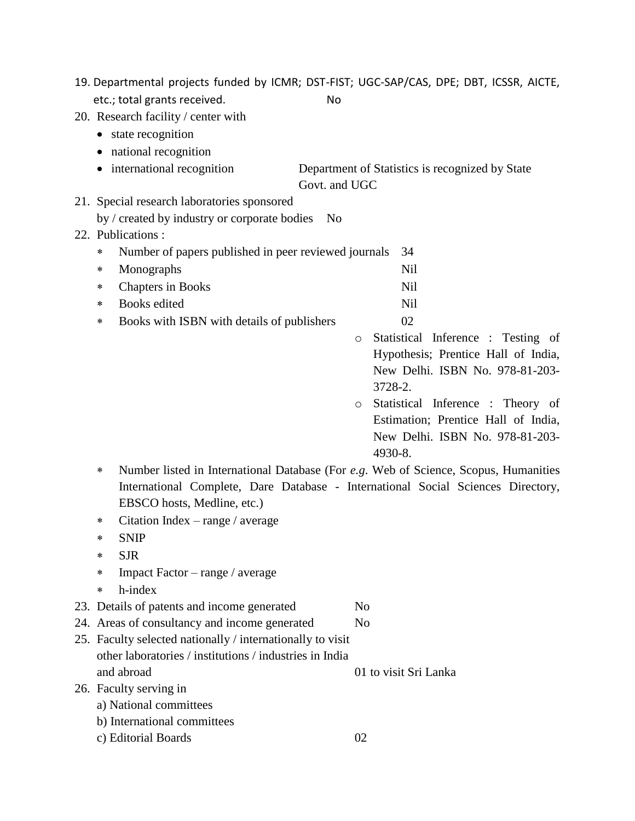|                                                            | 19. Departmental projects funded by ICMR; DST-FIST; UGC-SAP/CAS, DPE; DBT, ICSSR, AICTE, |
|------------------------------------------------------------|------------------------------------------------------------------------------------------|
| etc.; total grants received.                               | No                                                                                       |
| 20. Research facility / center with                        |                                                                                          |
| • state recognition                                        |                                                                                          |
| • national recognition                                     |                                                                                          |
| • international recognition                                | Department of Statistics is recognized by State<br>Govt. and UGC                         |
| 21. Special research laboratories sponsored                |                                                                                          |
| by / created by industry or corporate bodies               | N <sub>0</sub>                                                                           |
| 22. Publications:                                          |                                                                                          |
| Number of papers published in peer reviewed journals<br>∗  | 34                                                                                       |
| Monographs<br>∗                                            | <b>Nil</b>                                                                               |
| <b>Chapters in Books</b><br>∗                              | <b>Nil</b>                                                                               |
| <b>Books</b> edited<br>∗                                   | <b>Nil</b>                                                                               |
| Books with ISBN with details of publishers<br>∗            | 02                                                                                       |
|                                                            | Statistical Inference : Testing of<br>$\circ$                                            |
|                                                            | Hypothesis; Prentice Hall of India,                                                      |
|                                                            | New Delhi. ISBN No. 978-81-203-                                                          |
|                                                            | 3728-2.                                                                                  |
|                                                            | Statistical Inference : Theory of<br>$\circ$                                             |
|                                                            | Estimation; Prentice Hall of India,                                                      |
|                                                            | New Delhi. ISBN No. 978-81-203-                                                          |
|                                                            | 4930-8.                                                                                  |
| ∗                                                          | Number listed in International Database (For e.g. Web of Science, Scopus, Humanities     |
| EBSCO hosts, Medline, etc.)                                | International Complete, Dare Database - International Social Sciences Directory,         |
| Citation Index $-$ range / average<br>∗                    |                                                                                          |
| <b>SNIP</b><br>*                                           |                                                                                          |
| <b>SJR</b><br>*                                            |                                                                                          |
| Impact Factor – range / average<br>∗                       |                                                                                          |
| h-index<br>∗                                               |                                                                                          |
| 23. Details of patents and income generated                | N <sub>o</sub>                                                                           |
| 24. Areas of consultancy and income generated              | N <sub>o</sub>                                                                           |
| 25. Faculty selected nationally / internationally to visit |                                                                                          |
| other laboratories / institutions / industries in India    |                                                                                          |
| and abroad                                                 | 01 to visit Sri Lanka                                                                    |
| 26. Faculty serving in                                     |                                                                                          |
| a) National committees                                     |                                                                                          |
| b) International committees                                |                                                                                          |
| c) Editorial Boards                                        | 02                                                                                       |
|                                                            |                                                                                          |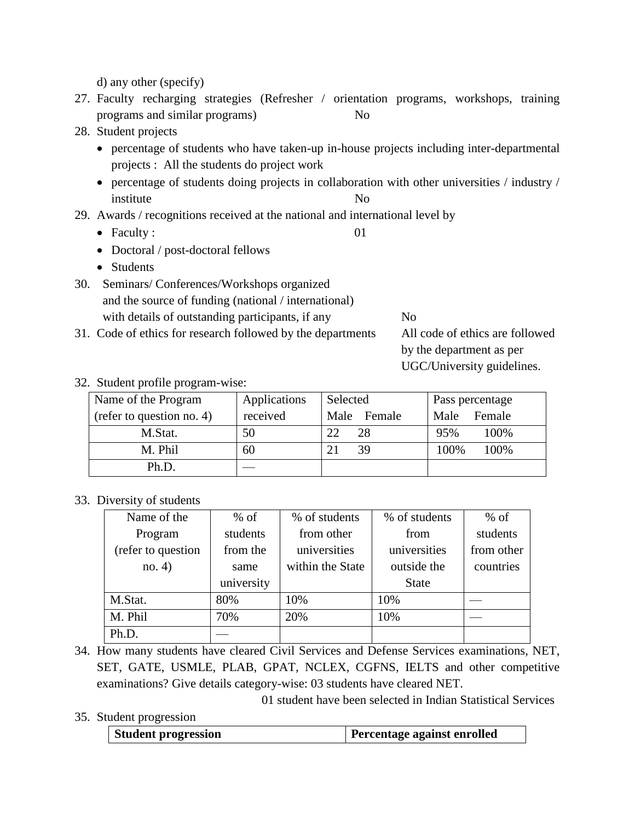d) any other (specify)

- 27. Faculty recharging strategies (Refresher / orientation programs, workshops, training programs and similar programs) No
- 28. Student projects
	- percentage of students who have taken-up in-house projects including inter-departmental projects : All the students do project work
	- percentage of students doing projects in collaboration with other universities / industry / institute No
- 29. Awards / recognitions received at the national and international level by
	- Faculty : 01
	- Doctoral / post-doctoral fellows
	- Students
- 30. Seminars/ Conferences/Workshops organized and the source of funding (national / international) with details of outstanding participants, if any No
- 31. Code of ethics for research followed by the departments All code of ethics are followed

by the department as per UGC/University guidelines.

#### 32. Student profile program-wise:

| Name of the Program       | Applications | Selected    | Pass percentage |
|---------------------------|--------------|-------------|-----------------|
| (refer to question no. 4) | received     | Male Female | Female<br>Male  |
| M.Stat.                   | 50           | 28<br>22    | 95%<br>100%     |
| M. Phil                   | 60           | 39          | 100%<br>100%    |
| Ph.D.                     |              |             |                 |

#### 33. Diversity of students

| Name of the        | $%$ of     | % of students    | % of students | $%$ of     |
|--------------------|------------|------------------|---------------|------------|
| Program            | students   | from other       | from          | students   |
| (refer to question | from the   | universities     | universities  | from other |
| no. 4)             | same       | within the State | outside the   | countries  |
|                    | university |                  | <b>State</b>  |            |
| M.Stat.            | 80%        | 10%              | 10%           |            |
| M. Phil            | 70%        | 20%              | 10%           |            |
| Ph.D.              |            |                  |               |            |

- 34. How many students have cleared Civil Services and Defense Services examinations, NET, SET, GATE, USMLE, PLAB, GPAT, NCLEX, CGFNS, IELTS and other competitive examinations? Give details category-wise: 03 students have cleared NET.
- 35. Student progression

| Student progression | <b>Percentage against enrolled</b> |
|---------------------|------------------------------------|
|---------------------|------------------------------------|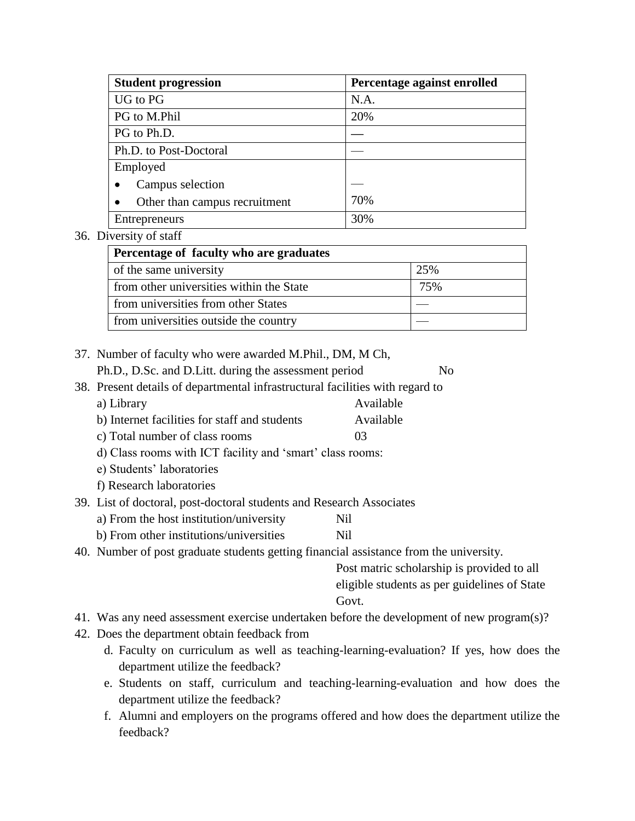| <b>Student progression</b>    | Percentage against enrolled |
|-------------------------------|-----------------------------|
| UG to PG                      | N.A.                        |
| PG to M.Phil                  | 20%                         |
| PG to Ph.D.                   |                             |
| Ph.D. to Post-Doctoral        |                             |
| Employed                      |                             |
| Campus selection              |                             |
| Other than campus recruitment | 70%                         |
| Entrepreneurs                 | 30%                         |

#### 36. Diversity of staff

| Percentage of faculty who are graduates  |     |  |
|------------------------------------------|-----|--|
| of the same university                   | 25% |  |
| from other universities within the State | 75% |  |
| from universities from other States      |     |  |
| from universities outside the country    |     |  |

| 37. Number of faculty who were awarded M.Phil., DM, M Ch, |                |
|-----------------------------------------------------------|----------------|
| Ph.D., D.Sc. and D.Litt. during the assessment period     | N <sub>0</sub> |

- 38. Present details of departmental infrastructural facilities with regard to
	- a) Library **Available**
	- b) Internet facilities for staff and students Available
	- c) Total number of class rooms 03

d) Class rooms with ICT facility and 'smart' class rooms:

- e) Students' laboratories
- f) Research laboratories
- 39. List of doctoral, post-doctoral students and Research Associates
	- a) From the host institution/university Nil
	- b) From other institutions/universities Nil
- 40. Number of post graduate students getting financial assistance from the university.

Post matric scholarship is provided to all eligible students as per guidelines of State Govt.

- 41. Was any need assessment exercise undertaken before the development of new program(s)?
- 42. Does the department obtain feedback from
	- d. Faculty on curriculum as well as teaching-learning-evaluation? If yes, how does the department utilize the feedback?
	- e. Students on staff, curriculum and teaching-learning-evaluation and how does the department utilize the feedback?
	- f. Alumni and employers on the programs offered and how does the department utilize the feedback?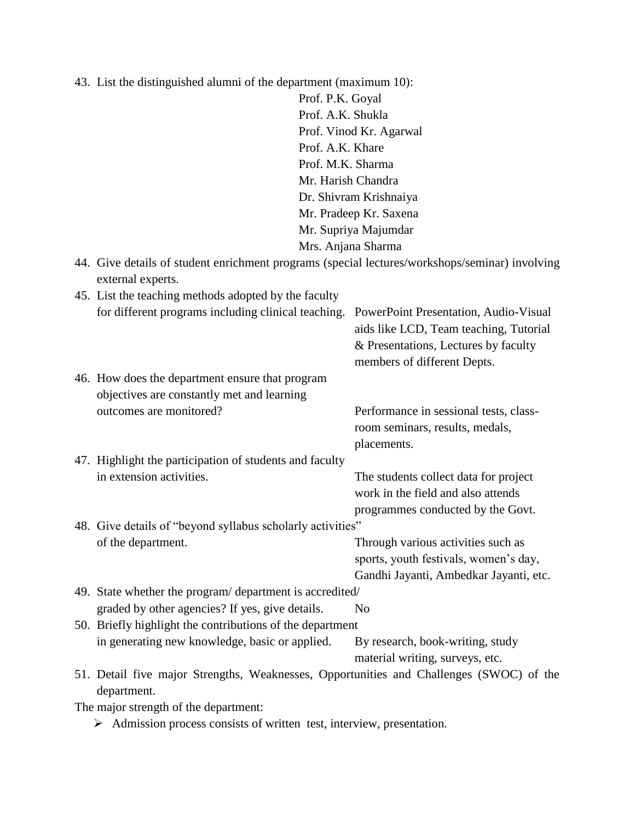| 43. List the distinguished alumni of the department (maximum 10):                                      |                                        |  |
|--------------------------------------------------------------------------------------------------------|----------------------------------------|--|
| Prof. P.K. Goyal                                                                                       |                                        |  |
| Prof. A.K. Shukla                                                                                      |                                        |  |
| Prof. Vinod Kr. Agarwal                                                                                |                                        |  |
| Prof. A.K. Khare                                                                                       |                                        |  |
| Prof. M.K. Sharma                                                                                      |                                        |  |
| Mr. Harish Chandra                                                                                     |                                        |  |
|                                                                                                        | Dr. Shivram Krishnaiya                 |  |
|                                                                                                        | Mr. Pradeep Kr. Saxena                 |  |
|                                                                                                        | Mr. Supriya Majumdar                   |  |
|                                                                                                        | Mrs. Anjana Sharma                     |  |
| 44. Give details of student enrichment programs (special lectures/workshops/seminar) involving         |                                        |  |
| external experts.                                                                                      |                                        |  |
| 45. List the teaching methods adopted by the faculty                                                   |                                        |  |
| for different programs including clinical teaching.                                                    | PowerPoint Presentation, Audio-Visual  |  |
|                                                                                                        | aids like LCD, Team teaching, Tutorial |  |
|                                                                                                        | & Presentations, Lectures by faculty   |  |
|                                                                                                        | members of different Depts.            |  |
| 46. How does the department ensure that program                                                        |                                        |  |
| objectives are constantly met and learning                                                             |                                        |  |
| outcomes are monitored?                                                                                | Performance in sessional tests, class- |  |
|                                                                                                        | room seminars, results, medals,        |  |
|                                                                                                        | placements.                            |  |
| 47. Highlight the participation of students and faculty                                                |                                        |  |
| in extension activities.                                                                               | The students collect data for project  |  |
|                                                                                                        | work in the field and also attends     |  |
|                                                                                                        | programmes conducted by the Govt.      |  |
| 48. Give details of "beyond syllabus scholarly activities"                                             |                                        |  |
| of the department.                                                                                     | Through various activities such as     |  |
|                                                                                                        | sports, youth festivals, women's day,  |  |
|                                                                                                        | Gandhi Jayanti, Ambedkar Jayanti, etc. |  |
| 49. State whether the program/department is accredited/                                                |                                        |  |
| graded by other agencies? If yes, give details.                                                        | N <sub>o</sub>                         |  |
| 50. Briefly highlight the contributions of the department                                              |                                        |  |
| in generating new knowledge, basic or applied.                                                         | By research, book-writing, study       |  |
|                                                                                                        | material writing, surveys, etc.        |  |
| 51. Detail five major Strengths, Weaknesses, Opportunities and Challenges (SWOC) of the<br>department. |                                        |  |
| The major strength of the department:                                                                  |                                        |  |
|                                                                                                        |                                        |  |

Admission process consists of written test, interview, presentation.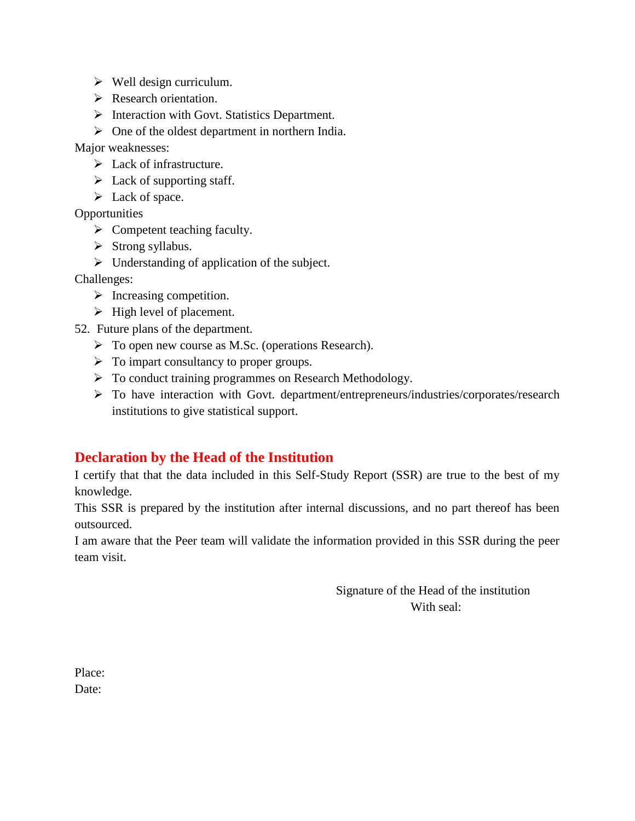- $\triangleright$  Well design curriculum.
- Research orientation.
- $\triangleright$  Interaction with Govt. Statistics Department.

 $\triangleright$  One of the oldest department in northern India.

Major weaknesses:

- $\triangleright$  Lack of infrastructure.
- $\triangleright$  Lack of supporting staff.
- Eack of space.

**Opportunities** 

- $\triangleright$  Competent teaching faculty.
- $\triangleright$  Strong syllabus.
- $\triangleright$  Understanding of application of the subject.

Challenges:

- $\triangleright$  Increasing competition.
- $\triangleright$  High level of placement.
- 52. Future plans of the department.
	- To open new course as M.Sc. (operations Research).
	- $\triangleright$  To impart consultancy to proper groups.
	- ▶ To conduct training programmes on Research Methodology.
	- To have interaction with Govt. department/entrepreneurs/industries/corporates/research institutions to give statistical support.

## **Declaration by the Head of the Institution**

I certify that that the data included in this Self-Study Report (SSR) are true to the best of my knowledge.

This SSR is prepared by the institution after internal discussions, and no part thereof has been outsourced.

I am aware that the Peer team will validate the information provided in this SSR during the peer team visit.

> Signature of the Head of the institution With seal:

Place: Date: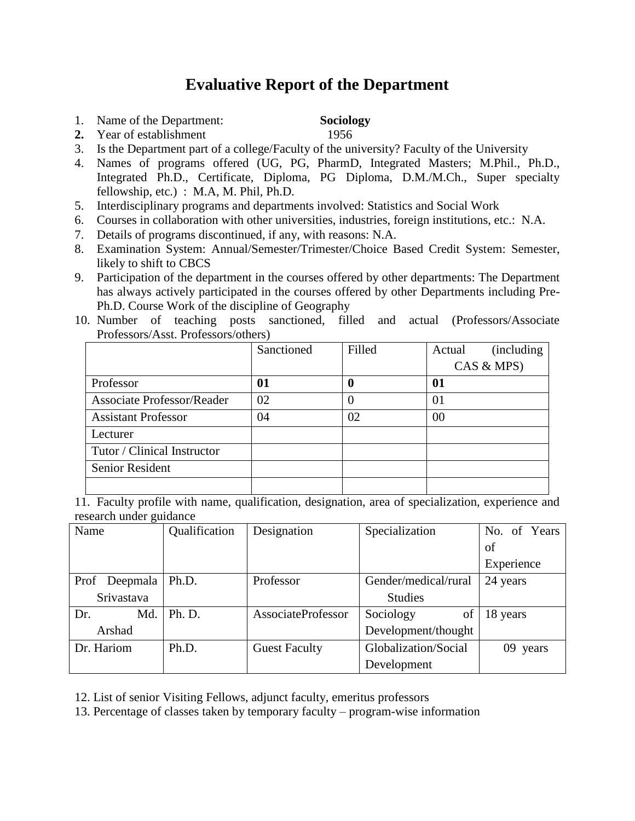## **Evaluative Report of the Department**

- 1. Name of the Department: **Sociology**
- 2. Year of establishment 1956
- 3. Is the Department part of a college/Faculty of the university? Faculty of the University
- 4. Names of programs offered (UG, PG, PharmD, Integrated Masters; M.Phil., Ph.D., Integrated Ph.D., Certificate, Diploma, PG Diploma, D.M./M.Ch., Super specialty fellowship, etc.) : M.A, M. Phil, Ph.D.
- 5. Interdisciplinary programs and departments involved: Statistics and Social Work
- 6. Courses in collaboration with other universities, industries, foreign institutions, etc.: N.A.
- 7. Details of programs discontinued, if any, with reasons: N.A.
- 8. Examination System: Annual/Semester/Trimester/Choice Based Credit System: Semester, likely to shift to CBCS
- 9. Participation of the department in the courses offered by other departments: The Department has always actively participated in the courses offered by other Departments including Pre-Ph.D. Course Work of the discipline of Geography
- 10. Number of teaching posts sanctioned, filled and actual (Professors/Associate Professors/Asst. Professors/others)

|                                   | Sanctioned | Filled | (including)<br>Actual |
|-----------------------------------|------------|--------|-----------------------|
|                                   |            |        | CAS & MPS)            |
| Professor                         | 01         | 0      | 01                    |
| <b>Associate Professor/Reader</b> | 02         | 0      | 01                    |
| <b>Assistant Professor</b>        | 04         | 02     | 00                    |
| Lecturer                          |            |        |                       |
| Tutor / Clinical Instructor       |            |        |                       |
| Senior Resident                   |            |        |                       |
|                                   |            |        |                       |

11. Faculty profile with name, qualification, designation, area of specialization, experience and research under guidance

| Name             | Qualification | Designation          | Specialization       | No. of Years |
|------------------|---------------|----------------------|----------------------|--------------|
|                  |               |                      |                      | of           |
|                  |               |                      |                      | Experience   |
| Deepmala<br>Prof | Ph.D.         | Professor            | Gender/medical/rural | 24 years     |
| Srivastava       |               |                      | <b>Studies</b>       |              |
| Md.<br>Dr.       | Ph. D.        | AssociateProfessor   | Sociology<br>of      | 18 years     |
| Arshad           |               |                      | Development/thought  |              |
| Dr. Hariom       | Ph.D.         | <b>Guest Faculty</b> | Globalization/Social | 09 years     |
|                  |               |                      | Development          |              |

12. List of senior Visiting Fellows, adjunct faculty, emeritus professors

13. Percentage of classes taken by temporary faculty – program-wise information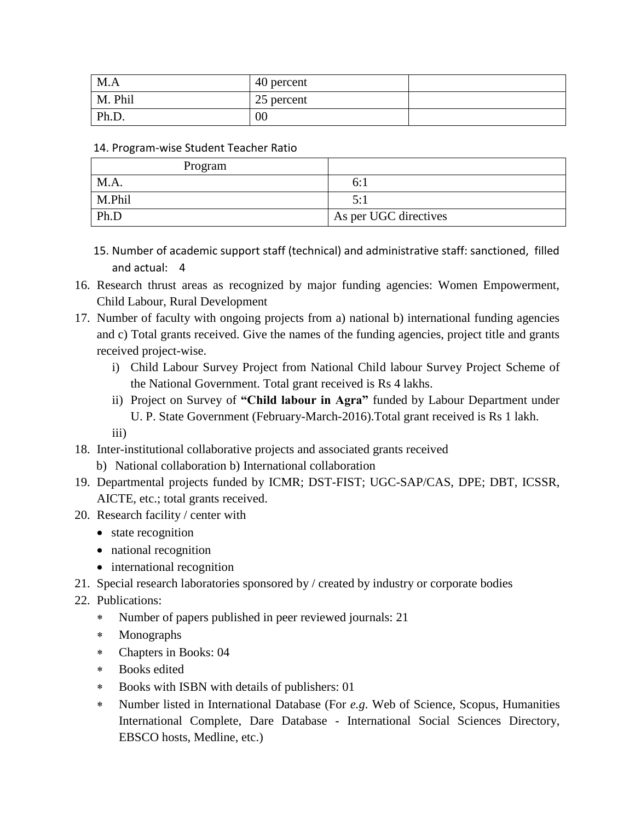| M.A     | 40 percent |  |
|---------|------------|--|
| M. Phil | 25 percent |  |
| Ph.D.   | $00\,$     |  |

#### 14. Program-wise Student Teacher Ratio

| Program |                       |
|---------|-----------------------|
| M.A.    | b:.                   |
| M.Phil  | 5:1                   |
| Ph.D    | As per UGC directives |

- 15. Number of academic support staff (technical) and administrative staff: sanctioned, filled and actual: 4
- 16. Research thrust areas as recognized by major funding agencies: Women Empowerment, Child Labour, Rural Development
- 17. Number of faculty with ongoing projects from a) national b) international funding agencies and c) Total grants received. Give the names of the funding agencies, project title and grants received project-wise.
	- i) Child Labour Survey Project from National Child labour Survey Project Scheme of the National Government. Total grant received is Rs 4 lakhs.
	- ii) Project on Survey of **"Child labour in Agra"** funded by Labour Department under U. P. State Government (February-March-2016).Total grant received is Rs 1 lakh. iii)
- 18. Inter-institutional collaborative projects and associated grants received
	- b) National collaboration b) International collaboration
- 19. Departmental projects funded by ICMR; DST-FIST; UGC-SAP/CAS, DPE; DBT, ICSSR, AICTE, etc.; total grants received.
- 20. Research facility / center with
	- state recognition
	- national recognition
	- international recognition
- 21. Special research laboratories sponsored by / created by industry or corporate bodies
- 22. Publications:
	- Number of papers published in peer reviewed journals: 21
	- Monographs
	- Chapters in Books: 04
	- Books edited
	- Books with ISBN with details of publishers: 01
	- Number listed in International Database (For *e.g*. Web of Science, Scopus, Humanities International Complete, Dare Database - International Social Sciences Directory, EBSCO hosts, Medline, etc.)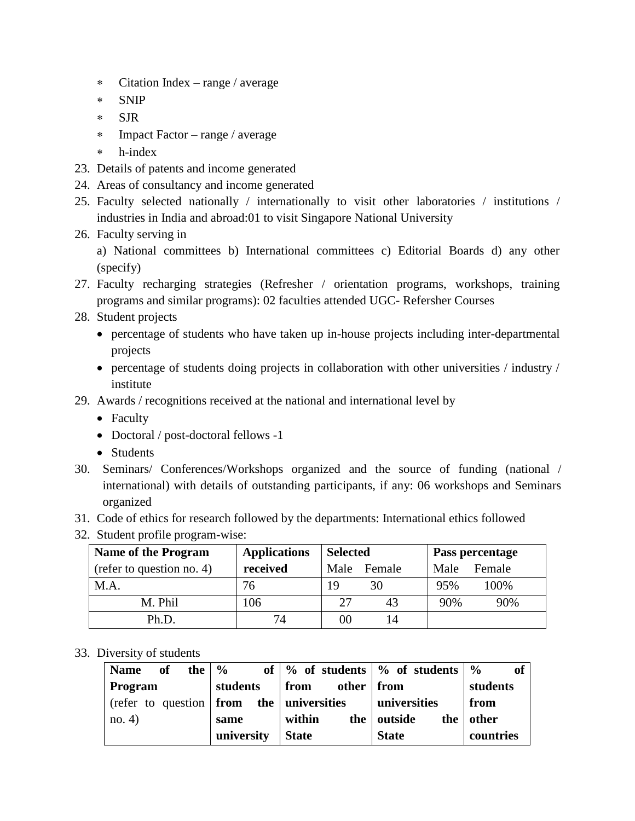- Citation Index range / average
- SNIP
- \* SJR
- Impact Factor range / average
- h-index
- 23. Details of patents and income generated
- 24. Areas of consultancy and income generated
- 25. Faculty selected nationally / internationally to visit other laboratories / institutions / industries in India and abroad:01 to visit Singapore National University
- 26. Faculty serving in
	- a) National committees b) International committees c) Editorial Boards d) any other (specify)
- 27. Faculty recharging strategies (Refresher / orientation programs, workshops, training programs and similar programs): 02 faculties attended UGC- Refersher Courses
- 28. Student projects
	- percentage of students who have taken up in-house projects including inter-departmental projects
	- percentage of students doing projects in collaboration with other universities / industry / institute
- 29. Awards / recognitions received at the national and international level by
	- Faculty
	- Doctoral / post-doctoral fellows -1
	- Students
- 30. Seminars/ Conferences/Workshops organized and the source of funding (national / international) with details of outstanding participants, if any: 06 workshops and Seminars organized
- 31. Code of ethics for research followed by the departments: International ethics followed
- 32. Student profile program-wise:

| <b>Name of the Program</b> | <b>Applications</b> | <b>Selected</b> | Pass percentage |
|----------------------------|---------------------|-----------------|-----------------|
| (refer to question no. 4)  | received            | Male Female     | Male<br>Female  |
| M.A.                       | 76                  | 19<br>30        | 100%<br>95%     |
| M. Phil                    | 106                 | 27<br>43        | 90%<br>90%      |
| Ph.D.                      | 74                  | 00              |                 |

#### 33. Diversity of students

| <b>Name</b><br>the  <br>of      | $\frac{6}{9}$ |                    | of $\%$ of students $\%$ of students $\%$ | of        |
|---------------------------------|---------------|--------------------|-------------------------------------------|-----------|
| Program                         | students      | other<br>from      | from                                      | students  |
| (refer to question $\vert$ from |               | the   universities | universities                              | from      |
| no. 4)                          | same          | within<br>the      | outside<br>the                            | other     |
|                                 | university    | <b>State</b>       | <b>State</b>                              | countries |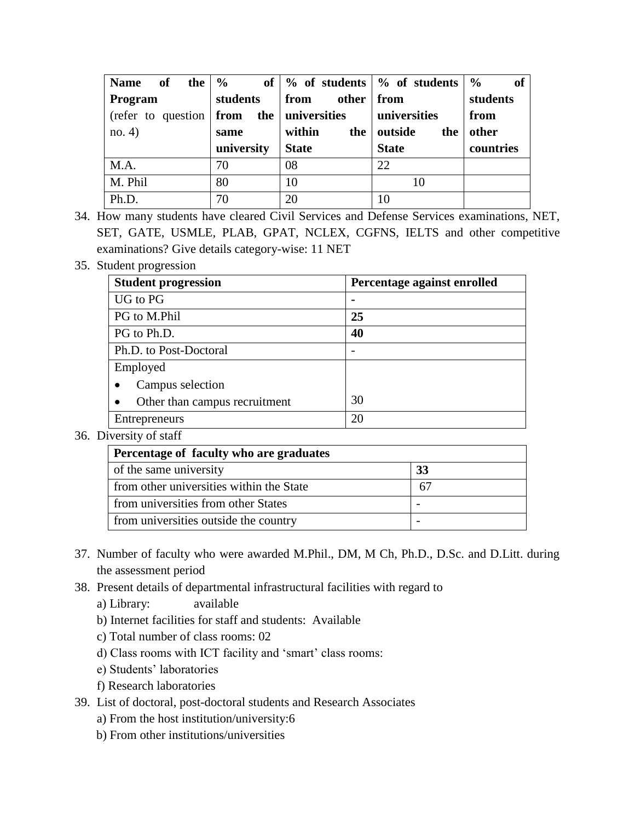| Name of                                                              | the $\frac{9}{6}$ |                 | of $\frac{9}{6}$ of students $\frac{9}{6}$ of students | $\frac{6}{9}$<br>of |
|----------------------------------------------------------------------|-------------------|-----------------|--------------------------------------------------------|---------------------|
| Program                                                              | students          | from other from |                                                        | students            |
| $(\text{refer to question}   \text{from the}   \text{universities})$ |                   |                 | universities                                           | from                |
| no. 4)                                                               | same              | within<br>the   | outside<br>the                                         | other               |
|                                                                      | university        | <b>State</b>    | <b>State</b>                                           | countries           |
| M.A.                                                                 | 70                | 08              | 22                                                     |                     |
| M. Phil                                                              | 80                | 10              | 10                                                     |                     |
| Ph.D.                                                                | 70                | 20              | 10                                                     |                     |

- 34. How many students have cleared Civil Services and Defense Services examinations, NET, SET, GATE, USMLE, PLAB, GPAT, NCLEX, CGFNS, IELTS and other competitive examinations? Give details category-wise: 11 NET
- 35. Student progression

| <b>Student progression</b>    | Percentage against enrolled |
|-------------------------------|-----------------------------|
| UG to PG                      |                             |
| PG to M.Phil                  | 25                          |
| PG to Ph.D.                   | 40                          |
| Ph.D. to Post-Doctoral        |                             |
| Employed                      |                             |
| Campus selection              |                             |
| Other than campus recruitment | 30                          |
| Entrepreneurs                 | 20                          |

#### 36. Diversity of staff

| Percentage of faculty who are graduates  |    |
|------------------------------------------|----|
| of the same university                   | 33 |
| from other universities within the State | 67 |
| from universities from other States      |    |
| from universities outside the country    |    |

- 37. Number of faculty who were awarded M.Phil., DM, M Ch, Ph.D., D.Sc. and D.Litt. during the assessment period
- 38. Present details of departmental infrastructural facilities with regard to
	- a) Library: available
	- b) Internet facilities for staff and students: Available
	- c) Total number of class rooms: 02
	- d) Class rooms with ICT facility and 'smart' class rooms:
	- e) Students' laboratories
	- f) Research laboratories
- 39. List of doctoral, post-doctoral students and Research Associates
	- a) From the host institution/university:6
	- b) From other institutions/universities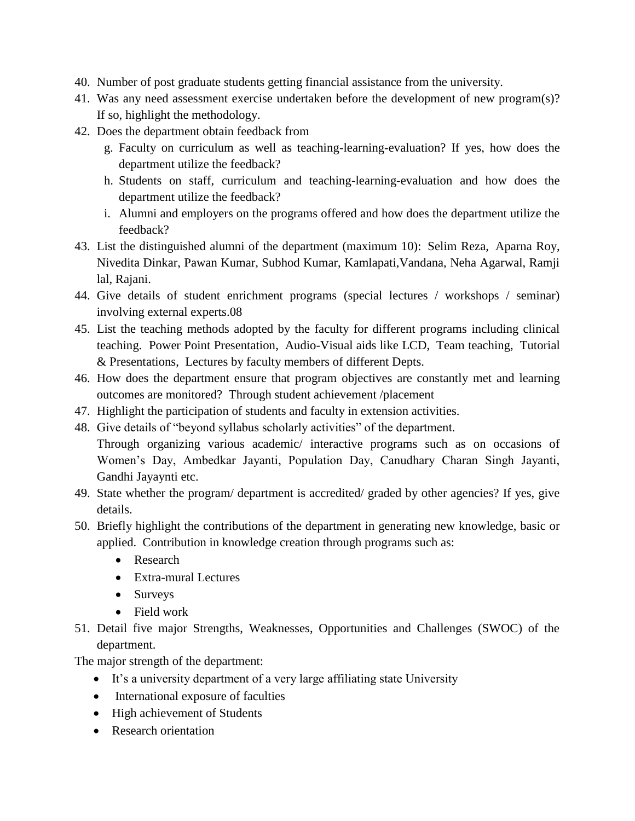- 40. Number of post graduate students getting financial assistance from the university.
- 41. Was any need assessment exercise undertaken before the development of new program(s)? If so, highlight the methodology.
- 42. Does the department obtain feedback from
	- g. Faculty on curriculum as well as teaching-learning-evaluation? If yes, how does the department utilize the feedback?
	- h. Students on staff, curriculum and teaching-learning-evaluation and how does the department utilize the feedback?
	- i. Alumni and employers on the programs offered and how does the department utilize the feedback?
- 43. List the distinguished alumni of the department (maximum 10): Selim Reza, Aparna Roy, Nivedita Dinkar, Pawan Kumar, Subhod Kumar, Kamlapati,Vandana, Neha Agarwal, Ramji lal, Rajani.
- 44. Give details of student enrichment programs (special lectures / workshops / seminar) involving external experts.08
- 45. List the teaching methods adopted by the faculty for different programs including clinical teaching. Power Point Presentation, Audio-Visual aids like LCD, Team teaching, Tutorial & Presentations, Lectures by faculty members of different Depts.
- 46. How does the department ensure that program objectives are constantly met and learning outcomes are monitored? Through student achievement /placement
- 47. Highlight the participation of students and faculty in extension activities.
- 48. Give details of "beyond syllabus scholarly activities" of the department. Through organizing various academic/ interactive programs such as on occasions of Women's Day, Ambedkar Jayanti, Population Day, Canudhary Charan Singh Jayanti, Gandhi Jayaynti etc.
- 49. State whether the program/ department is accredited/ graded by other agencies? If yes, give details.
- 50. Briefly highlight the contributions of the department in generating new knowledge, basic or applied. Contribution in knowledge creation through programs such as:
	- Research
	- Extra-mural Lectures
	- Surveys
	- Field work
- 51. Detail five major Strengths, Weaknesses, Opportunities and Challenges (SWOC) of the department.

The major strength of the department:

- It's a university department of a very large affiliating state University
- International exposure of faculties
- High achievement of Students
- Research orientation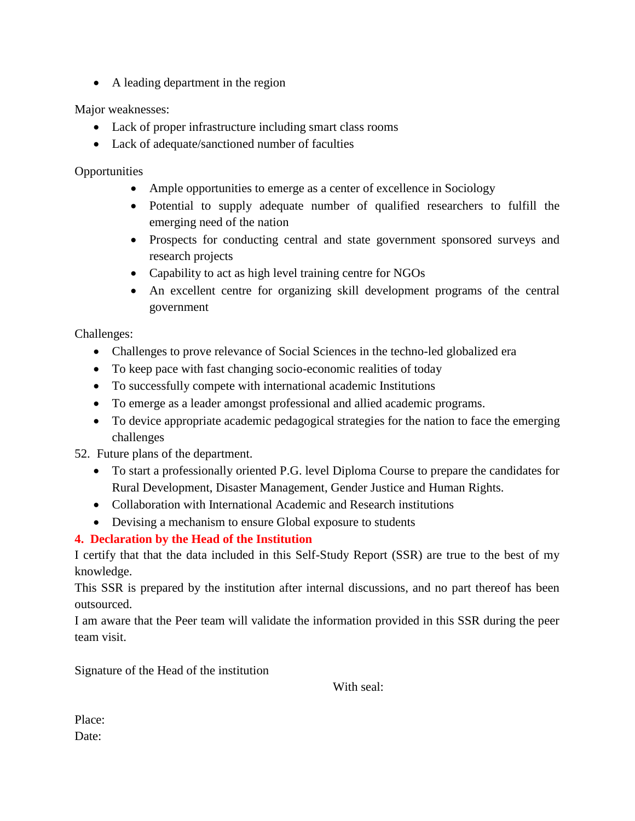• A leading department in the region

Major weaknesses:

- Lack of proper infrastructure including smart class rooms
- Lack of adequate/sanctioned number of faculties

**Opportunities** 

- Ample opportunities to emerge as a center of excellence in Sociology
- Potential to supply adequate number of qualified researchers to fulfill the emerging need of the nation
- Prospects for conducting central and state government sponsored surveys and research projects
- Capability to act as high level training centre for NGOs
- An excellent centre for organizing skill development programs of the central government

Challenges:

- Challenges to prove relevance of Social Sciences in the techno-led globalized era
- To keep pace with fast changing socio-economic realities of today
- To successfully compete with international academic Institutions
- To emerge as a leader amongst professional and allied academic programs.
- To device appropriate academic pedagogical strategies for the nation to face the emerging challenges

52. Future plans of the department.

- To start a professionally oriented P.G. level Diploma Course to prepare the candidates for Rural Development, Disaster Management, Gender Justice and Human Rights.
- Collaboration with International Academic and Research institutions
- Devising a mechanism to ensure Global exposure to students

**4. Declaration by the Head of the Institution**

I certify that that the data included in this Self-Study Report (SSR) are true to the best of my knowledge.

This SSR is prepared by the institution after internal discussions, and no part thereof has been outsourced.

I am aware that the Peer team will validate the information provided in this SSR during the peer team visit.

Signature of the Head of the institution

With seal:

Place: Date: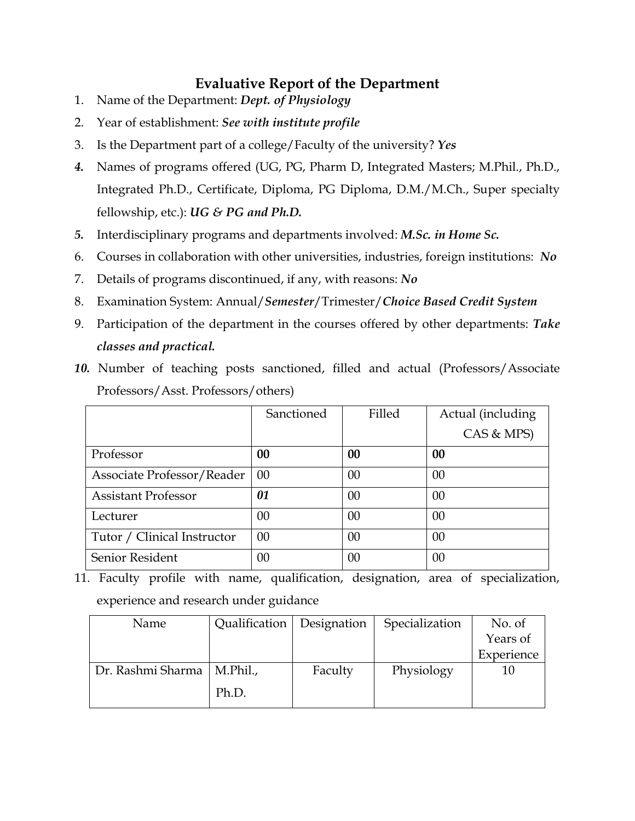## **Evaluative Report of the Department**

- 1. Name of the Department: *Dept. of Physiology*
- 2. Year of establishment: *See with institute profile*
- 3. Is the Department part of a college/Faculty of the university? *Yes*
- *4.* Names of programs offered (UG, PG, Pharm D, Integrated Masters; M.Phil., Ph.D., Integrated Ph.D., Certificate, Diploma, PG Diploma, D.M./M.Ch., Super specialty fellowship, etc.): *UG & PG and Ph.D.*
- *5.* Interdisciplinary programs and departments involved: *M.Sc. in Home Sc.*
- 6. Courses in collaboration with other universities, industries, foreign institutions: *No*
- 7. Details of programs discontinued, if any, with reasons: *No*
- 8. Examination System: Annual/*Semester*/Trimester/*Choice Based Credit System*
- 9. Participation of the department in the courses offered by other departments: *Take classes and practical.*
- *10.* Number of teaching posts sanctioned, filled and actual (Professors/Associate Professors/Asst. Professors/others)

|                             | Sanctioned | Filled | Actual (including |
|-----------------------------|------------|--------|-------------------|
|                             |            |        | CAS & MPS)        |
| Professor                   | 00         | 00     | 00                |
| Associate Professor/Reader  | 00         | $00\,$ | 00                |
| <b>Assistant Professor</b>  | 01         | 00     | 00                |
| Lecturer                    | 00         | 00     | 00                |
| Tutor / Clinical Instructor | 00         | 00     | 00                |
| Senior Resident             | 00         | 00     | 00                |

11. Faculty profile with name, qualification, designation, area of specialization, experience and research under guidance

| Name              | Qualification   Designation |         | Specialization | No. of     |
|-------------------|-----------------------------|---------|----------------|------------|
|                   |                             |         |                | Years of   |
|                   |                             |         |                | Experience |
| Dr. Rashmi Sharma | M.Phil.                     | Faculty | Physiology     | 10         |
|                   | Ph.D.                       |         |                |            |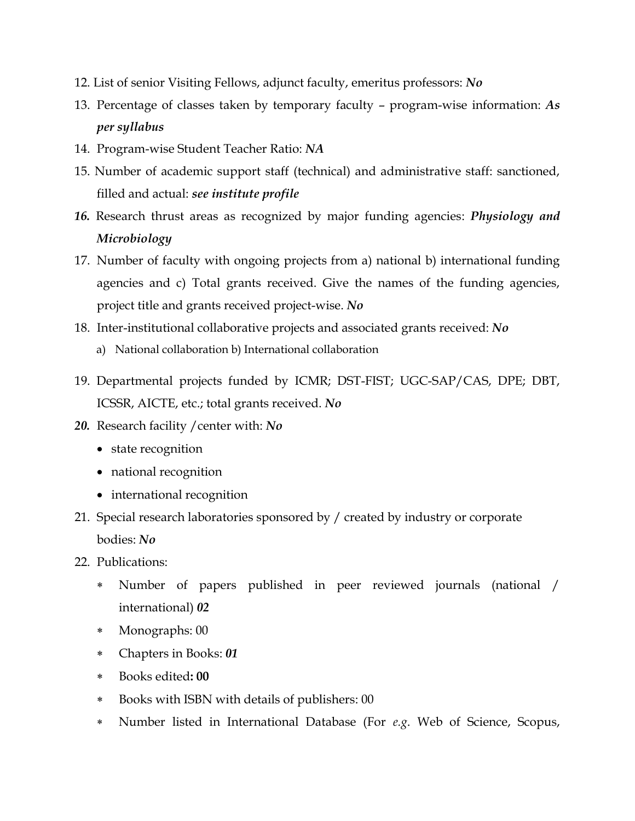- 12. List of senior Visiting Fellows, adjunct faculty, emeritus professors: *No*
- 13. Percentage of classes taken by temporary faculty program-wise information: *As per syllabus*
- 14. Program-wise Student Teacher Ratio: *NA*
- 15. Number of academic support staff (technical) and administrative staff: sanctioned, filled and actual: *see institute profile*
- *16.* Research thrust areas as recognized by major funding agencies: *Physiology and Microbiology*
- 17. Number of faculty with ongoing projects from a) national b) international funding agencies and c) Total grants received. Give the names of the funding agencies, project title and grants received project-wise. *No*
- 18. Inter-institutional collaborative projects and associated grants received: *No* a) National collaboration b) International collaboration
- 19. Departmental projects funded by ICMR; DST-FIST; UGC-SAP/CAS, DPE; DBT, ICSSR, AICTE, etc.; total grants received. *No*
- *20.* Research facility /center with: *No*
	- state recognition
	- national recognition
	- international recognition
- 21. Special research laboratories sponsored by / created by industry or corporate bodies: *No*
- 22. Publications:
	- Number of papers published in peer reviewed journals (national / international) *02*
	- Monographs: 00
	- Chapters in Books: *01*
	- Books edited**: 00**
	- Books with ISBN with details of publishers: 00
	- Number listed in International Database (For *e.g*. Web of Science, Scopus,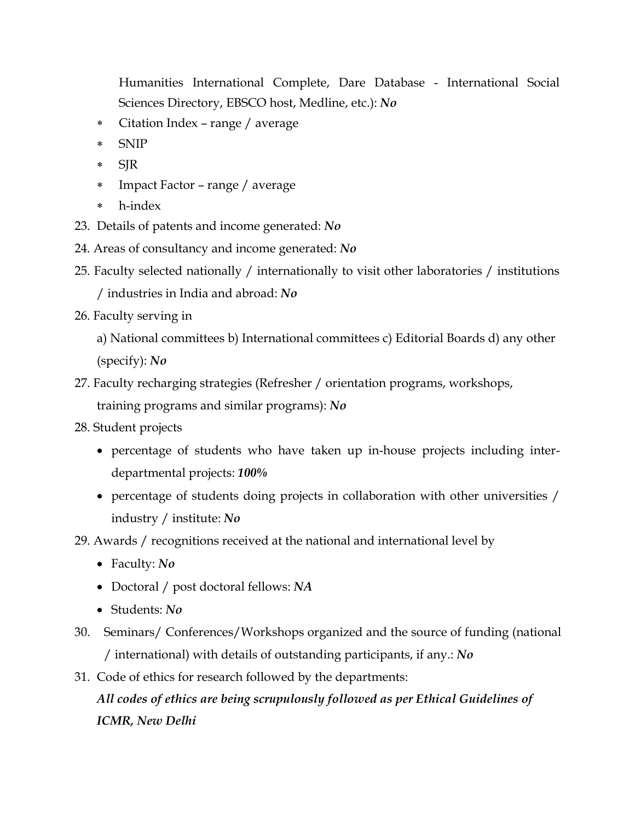Humanities International Complete, Dare Database - International Social Sciences Directory, EBSCO host, Medline, etc.): *No*

- Citation Index range / average
- SNIP
- \* SJR
- Impact Factor range / average
- h-index
- 23. Details of patents and income generated: *No*
- 24. Areas of consultancy and income generated: *No*
- 25. Faculty selected nationally / internationally to visit other laboratories / institutions / industries in India and abroad: *No*
- 26. Faculty serving in

a) National committees b) International committees c) Editorial Boards d) any other (specify): *No*

- 27. Faculty recharging strategies (Refresher / orientation programs, workshops, training programs and similar programs): *No*
- 28. Student projects
	- percentage of students who have taken up in-house projects including interdepartmental projects: *100%*
	- percentage of students doing projects in collaboration with other universities / industry / institute: *No*

29. Awards / recognitions received at the national and international level by

- Faculty: *No*
- Doctoral / post doctoral fellows: *NA*
- Students: *No*
- 30. Seminars/ Conferences/Workshops organized and the source of funding (national / international) with details of outstanding participants, if any.: *No*
- 31. Code of ethics for research followed by the departments:

*All codes of ethics are being scrupulously followed as per Ethical Guidelines of ICMR, New Delhi*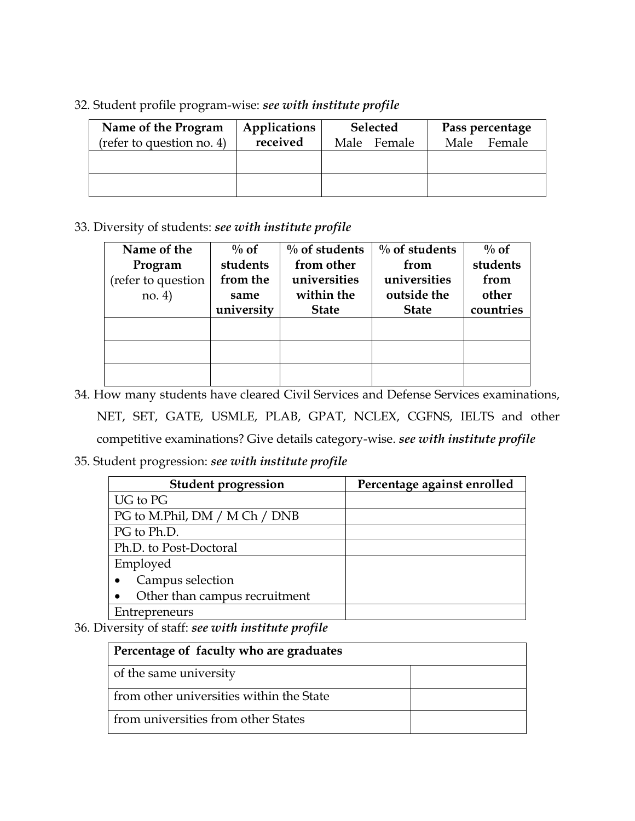32. Student profile program-wise: *see with institute profile*

| Name of the Program<br>(refer to question no. 4) | Applications<br>received | <b>Selected</b><br>Male Female | Pass percentage<br>Female<br>Male |
|--------------------------------------------------|--------------------------|--------------------------------|-----------------------------------|
|                                                  |                          |                                |                                   |
|                                                  |                          |                                |                                   |

33. Diversity of students: *see with institute profile*

| Name of the        | $\%$ of    | $\%$ of students | $\%$ of students | $\%$ of   |
|--------------------|------------|------------------|------------------|-----------|
| Program            | students   | from other       | from             | students  |
| (refer to question | from the   | universities     | universities     | from      |
| no. 4)             | same       | within the       | outside the      | other     |
|                    | university | <b>State</b>     | <b>State</b>     | countries |
|                    |            |                  |                  |           |
|                    |            |                  |                  |           |
|                    |            |                  |                  |           |
|                    |            |                  |                  |           |

34. How many students have cleared Civil Services and Defense Services examinations, NET, SET, GATE, USMLE, PLAB, GPAT, NCLEX, CGFNS, IELTS and other competitive examinations? Give details category-wise. *see with institute profile*

35. Student progression: *see with institute profile*

| <b>Student progression</b>    | Percentage against enrolled |
|-------------------------------|-----------------------------|
| UG to PG                      |                             |
| PG to M.Phil, DM / M Ch / DNB |                             |
| PG to Ph.D.                   |                             |
| Ph.D. to Post-Doctoral        |                             |
| Employed                      |                             |
| Campus selection              |                             |
| Other than campus recruitment |                             |
| Entrepreneurs                 |                             |

36. Diversity of staff: *see with institute profile*

| Percentage of faculty who are graduates  |  |
|------------------------------------------|--|
| of the same university                   |  |
| from other universities within the State |  |
| from universities from other States      |  |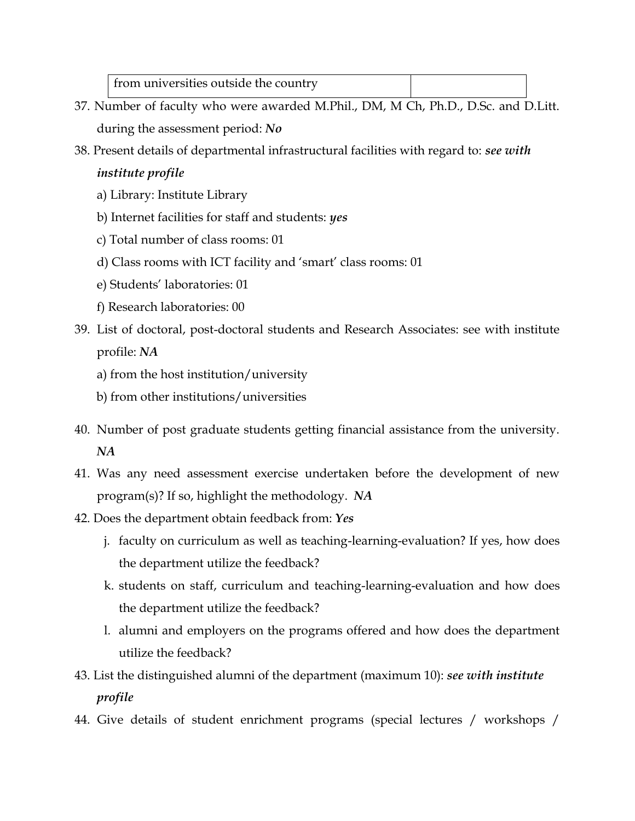| from universities outside the country |  |
|---------------------------------------|--|
|                                       |  |

- 37. Number of faculty who were awarded M.Phil., DM, M Ch, Ph.D., D.Sc. and D.Litt. during the assessment period: *No*
- 38. Present details of departmental infrastructural facilities with regard to: *see with institute profile*
	- a) Library: Institute Library
	- b) Internet facilities for staff and students: *yes*
	- c) Total number of class rooms: 01
	- d) Class rooms with ICT facility and 'smart' class rooms: 01
	- e) Students' laboratories: 01
	- f) Research laboratories: 00
- 39. List of doctoral, post-doctoral students and Research Associates: see with institute profile: *NA*
	- a) from the host institution/university
	- b) from other institutions/universities
- 40. Number of post graduate students getting financial assistance from the university. *NA*
- 41. Was any need assessment exercise undertaken before the development of new program(s)? If so, highlight the methodology. *NA*
- 42. Does the department obtain feedback from: *Yes*
	- j. faculty on curriculum as well as teaching-learning-evaluation? If yes, how does the department utilize the feedback?
	- k. students on staff, curriculum and teaching-learning-evaluation and how does the department utilize the feedback?
	- l. alumni and employers on the programs offered and how does the department utilize the feedback?
- 43. List the distinguished alumni of the department (maximum 10): *see with institute profile*
- 44. Give details of student enrichment programs (special lectures / workshops /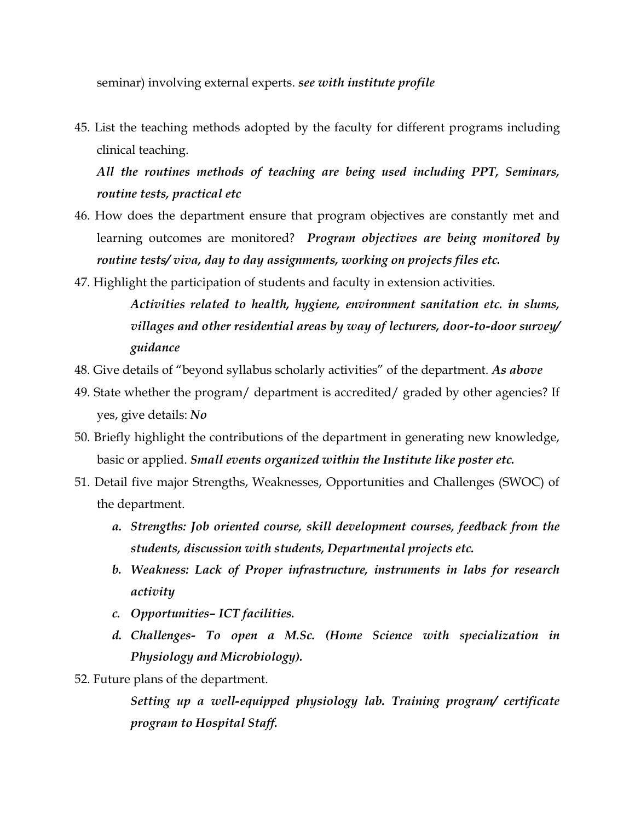seminar) involving external experts. *see with institute profile*

45. List the teaching methods adopted by the faculty for different programs including clinical teaching.

*All the routines methods of teaching are being used including PPT, Seminars, routine tests, practical etc*

- 46. How does the department ensure that program objectives are constantly met and learning outcomes are monitored? *Program objectives are being monitored by routine tests/ viva, day to day assignments, working on projects files etc.*
- 47. Highlight the participation of students and faculty in extension activities.

*Activities related to health, hygiene, environment sanitation etc. in slums, villages and other residential areas by way of lecturers, door-to-door survey/ guidance*

- 48. Give details of "beyond syllabus scholarly activities" of the department. *As above*
- 49. State whether the program/ department is accredited/ graded by other agencies? If yes, give details: *No*
- 50. Briefly highlight the contributions of the department in generating new knowledge, basic or applied. *Small events organized within the Institute like poster etc.*
- 51. Detail five major Strengths, Weaknesses, Opportunities and Challenges (SWOC) of the department.
	- *a. Strengths: Job oriented course, skill development courses, feedback from the students, discussion with students, Departmental projects etc.*
	- *b. Weakness: Lack of Proper infrastructure, instruments in labs for research activity*
	- *c. Opportunities– ICT facilities.*
	- *d. Challenges- To open a M.Sc. (Home Science with specialization in Physiology and Microbiology).*
- 52. Future plans of the department.

*Setting up a well-equipped physiology lab. Training program/ certificate program to Hospital Staff.*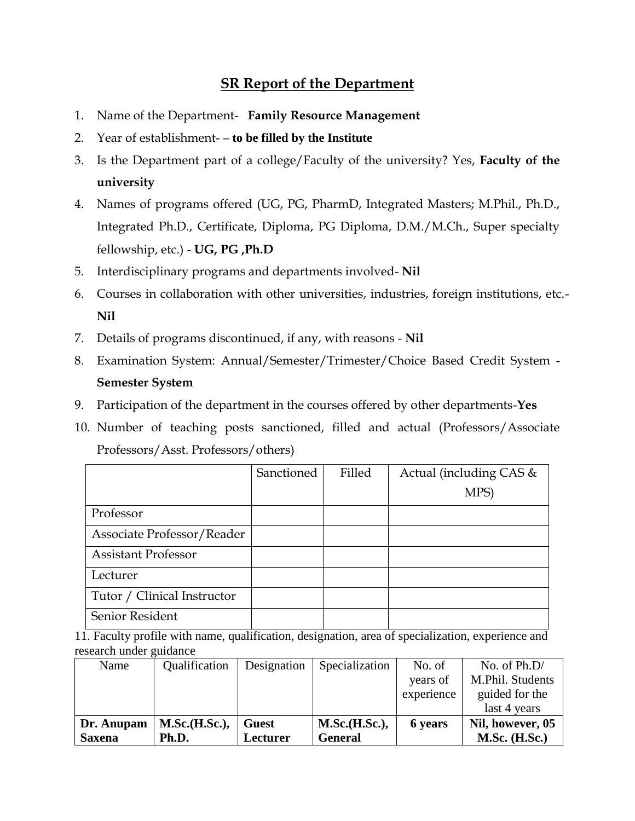## **SR Report of the Department**

- 1. Name of the Department- **Family Resource Management**
- 2. Year of establishment- **– to be filled by the Institute**
- 3. Is the Department part of a college/Faculty of the university? Yes, **Faculty of the university**
- 4. Names of programs offered (UG, PG, PharmD, Integrated Masters; M.Phil., Ph.D., Integrated Ph.D., Certificate, Diploma, PG Diploma, D.M./M.Ch., Super specialty fellowship, etc.) - **UG, PG ,Ph.D**
- 5. Interdisciplinary programs and departments involved- **Nil**
- 6. Courses in collaboration with other universities, industries, foreign institutions, etc.- **Nil**
- 7. Details of programs discontinued, if any, with reasons **Nil**
- 8. Examination System: Annual/Semester/Trimester/Choice Based Credit System **Semester System**
- 9. Participation of the department in the courses offered by other departments-**Yes**
- 10. Number of teaching posts sanctioned, filled and actual (Professors/Associate Professors/Asst. Professors/others)

|                             | Sanctioned | Filled | Actual (including CAS & |
|-----------------------------|------------|--------|-------------------------|
|                             |            |        | MPS)                    |
| Professor                   |            |        |                         |
| Associate Professor/Reader  |            |        |                         |
| <b>Assistant Professor</b>  |            |        |                         |
| Lecturer                    |            |        |                         |
| Tutor / Clinical Instructor |            |        |                         |
| Senior Resident             |            |        |                         |

<sup>11.</sup> Faculty profile with name, qualification, designation, area of specialization, experience and research under guidance

| Name          | Qualification | Designation  | Specialization | No. of     | No. of Ph.D/     |
|---------------|---------------|--------------|----------------|------------|------------------|
|               |               |              |                | years of   | M.Phil. Students |
|               |               |              |                | experience | guided for the   |
|               |               |              |                |            | last 4 years     |
| Dr. Anupam    | M.Sc.(H.Sc.), | <b>Guest</b> | M.Sc.(H.Sc.),  | 6 years    | Nil, however, 05 |
| <b>Saxena</b> | Ph.D.         | Lecturer     | <b>General</b> |            | $M.Sc.$ (H.Sc.)  |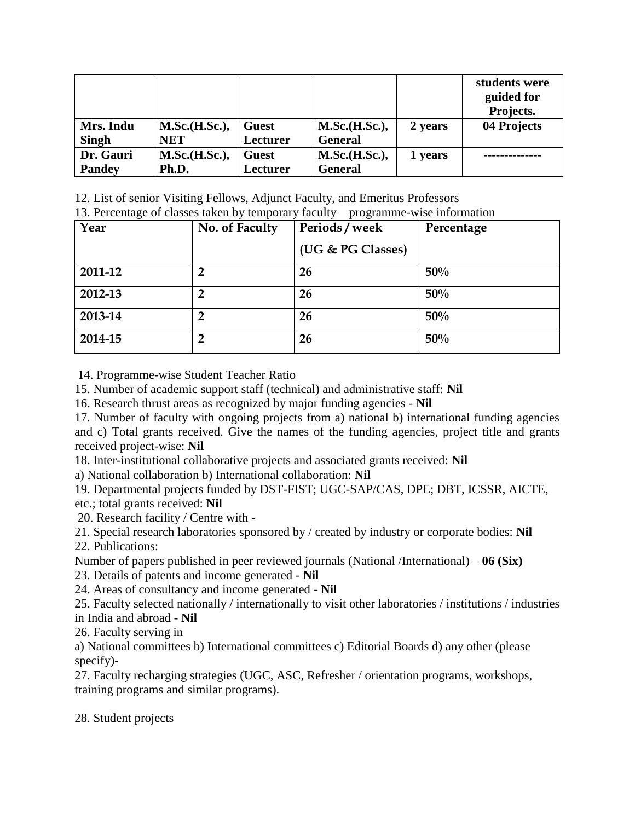|               |               |              |                |         | students were<br>guided for<br>Projects. |
|---------------|---------------|--------------|----------------|---------|------------------------------------------|
| Mrs. Indu     | M.Sc.(H.Sc.), | <b>Guest</b> | M.Sc.(H.Sc.),  | 2 years | 04 Projects                              |
| <b>Singh</b>  | <b>NET</b>    | Lecturer     | <b>General</b> |         |                                          |
| Dr. Gauri     | M.Sc.(H.Sc.), | <b>Guest</b> | M.Sc.(H.Sc.),  | 1 years |                                          |
| <b>Pandey</b> | Ph.D.         | Lecturer     | <b>General</b> |         |                                          |

12. List of senior Visiting Fellows, Adjunct Faculty, and Emeritus Professors

13. Percentage of classes taken by temporary faculty – programme-wise information

| Year    | No. of Faculty | Periods/week      | Percentage |
|---------|----------------|-------------------|------------|
|         |                | (UG & PG Classes) |            |
| 2011-12 |                | 26                | 50%        |
| 2012-13 |                | 26                | 50%        |
| 2013-14 | 2              | 26                | 50%        |
| 2014-15 | $\overline{2}$ | 26                | 50%        |

14. Programme-wise Student Teacher Ratio

15. Number of academic support staff (technical) and administrative staff: **Nil**

16. Research thrust areas as recognized by major funding agencies - **Nil**

17. Number of faculty with ongoing projects from a) national b) international funding agencies and c) Total grants received. Give the names of the funding agencies, project title and grants received project-wise: **Nil**

18. Inter-institutional collaborative projects and associated grants received: **Nil**

a) National collaboration b) International collaboration: **Nil**

19. Departmental projects funded by DST-FIST; UGC-SAP/CAS, DPE; DBT, ICSSR, AICTE, etc.; total grants received: **Nil**

20. Research facility / Centre with -

21. Special research laboratories sponsored by / created by industry or corporate bodies: **Nil** 22. Publications:

Number of papers published in peer reviewed journals (National /International) – **06 (Six)**

23. Details of patents and income generated - **Nil**

24. Areas of consultancy and income generated - **Nil**

25. Faculty selected nationally / internationally to visit other laboratories / institutions / industries in India and abroad - **Nil**

26. Faculty serving in

a) National committees b) International committees c) Editorial Boards d) any other (please specify)-

27. Faculty recharging strategies (UGC, ASC, Refresher / orientation programs, workshops, training programs and similar programs).

28. Student projects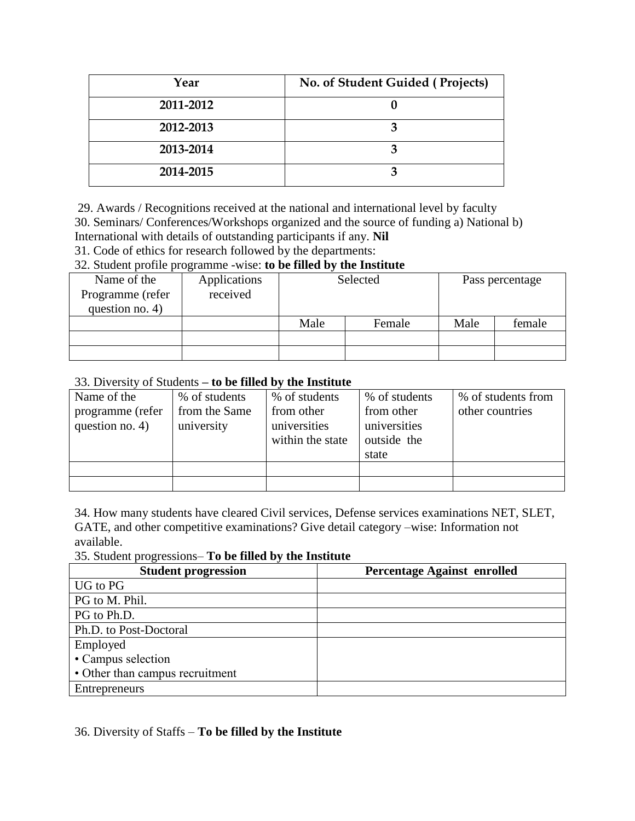| Year      | No. of Student Guided (Projects) |
|-----------|----------------------------------|
| 2011-2012 |                                  |
| 2012-2013 | כי                               |
| 2013-2014 |                                  |
| 2014-2015 |                                  |

29. Awards / Recognitions received at the national and international level by faculty 30. Seminars/ Conferences/Workshops organized and the source of funding a) National b) International with details of outstanding participants if any. **Nil**

31. Code of ethics for research followed by the departments:

### 32. Student profile programme -wise: **to be filled by the Institute**

| $v = 0.000000$ and $v = 0.00000$ and $v = 0.00000$ for $v = 0.0000$<br>$\cdots$ |              |                |  |                 |        |  |
|---------------------------------------------------------------------------------|--------------|----------------|--|-----------------|--------|--|
| Name of the                                                                     | Applications | Selected       |  | Pass percentage |        |  |
| Programme (refer                                                                | received     |                |  |                 |        |  |
| question no. 4)                                                                 |              |                |  |                 |        |  |
|                                                                                 |              | Male<br>Female |  | Male            | female |  |
|                                                                                 |              |                |  |                 |        |  |
|                                                                                 |              |                |  |                 |        |  |

### 33. Diversity of Students **– to be filled by the Institute**

| Name of the      | % of students | % of students    | % of students | % of students from |
|------------------|---------------|------------------|---------------|--------------------|
| programme (refer | from the Same | from other       | from other    | other countries    |
| question no. 4)  | university    | universities     | universities  |                    |
|                  |               | within the state | outside the   |                    |
|                  |               |                  | state         |                    |
|                  |               |                  |               |                    |
|                  |               |                  |               |                    |

34. How many students have cleared Civil services, Defense services examinations NET, SLET, GATE, and other competitive examinations? Give detail category –wise: Information not available.

35. Student progressions– **To be filled by the Institute**

| <b>Student progression</b>      | <b>Percentage Against enrolled</b> |
|---------------------------------|------------------------------------|
| UG to PG                        |                                    |
| PG to M. Phil.                  |                                    |
| PG to Ph.D.                     |                                    |
| Ph.D. to Post-Doctoral          |                                    |
| Employed                        |                                    |
| • Campus selection              |                                    |
| • Other than campus recruitment |                                    |
| Entrepreneurs                   |                                    |

36. Diversity of Staffs – **To be filled by the Institute**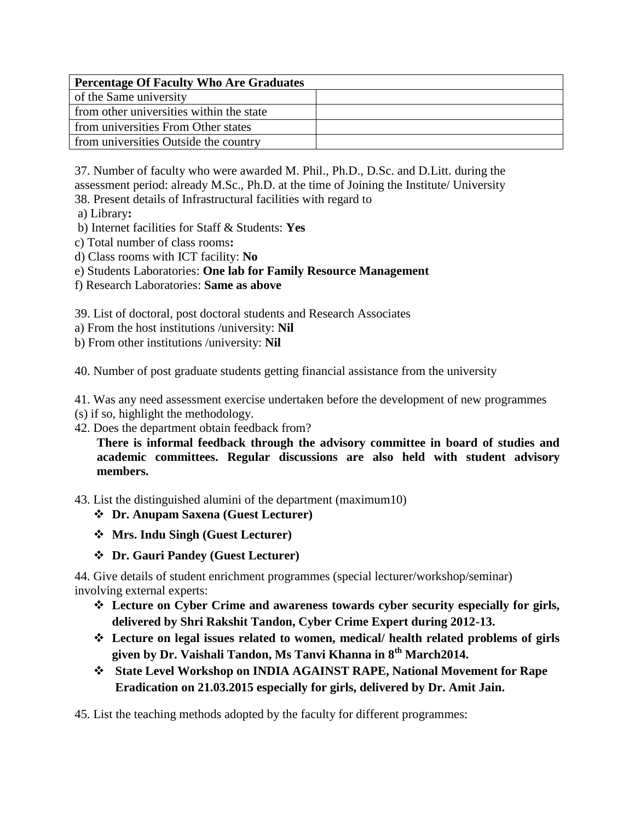| <b>Percentage Of Faculty Who Are Graduates</b> |  |  |
|------------------------------------------------|--|--|
| of the Same university                         |  |  |
| from other universities within the state       |  |  |
| from universities From Other states            |  |  |
| from universities Outside the country          |  |  |

37. Number of faculty who were awarded M. Phil., Ph.D., D.Sc. and D.Litt. during the assessment period: already M.Sc., Ph.D. at the time of Joining the Institute/ University

38. Present details of Infrastructural facilities with regard to

- a) Library**:**
- b) Internet facilities for Staff & Students: **Yes**
- c) Total number of class rooms**:**
- d) Class rooms with ICT facility: **No**
- e) Students Laboratories: **One lab for Family Resource Management**
- f) Research Laboratories: **Same as above**

39. List of doctoral, post doctoral students and Research Associates

- a) From the host institutions /university: **Nil**
- b) From other institutions /university: **Nil**

40. Number of post graduate students getting financial assistance from the university

41. Was any need assessment exercise undertaken before the development of new programmes

- (s) if so, highlight the methodology.
- 42. Does the department obtain feedback from?

**There is informal feedback through the advisory committee in board of studies and academic committees. Regular discussions are also held with student advisory members.**

43. List the distinguished alumini of the department (maximum10)

- **Dr. Anupam Saxena (Guest Lecturer)**
- **Mrs. Indu Singh (Guest Lecturer)**
- **Dr. Gauri Pandey (Guest Lecturer)**

44. Give details of student enrichment programmes (special lecturer/workshop/seminar) involving external experts:

- **Lecture on Cyber Crime and awareness towards cyber security especially for girls, delivered by Shri Rakshit Tandon, Cyber Crime Expert during 2012-13.**
- **Lecture on legal issues related to women, medical/ health related problems of girls given by Dr. Vaishali Tandon, Ms Tanvi Khanna in 8th March2014.**
- **State Level Workshop on INDIA AGAINST RAPE, National Movement for Rape Eradication on 21.03.2015 especially for girls, delivered by Dr. Amit Jain.**

45. List the teaching methods adopted by the faculty for different programmes: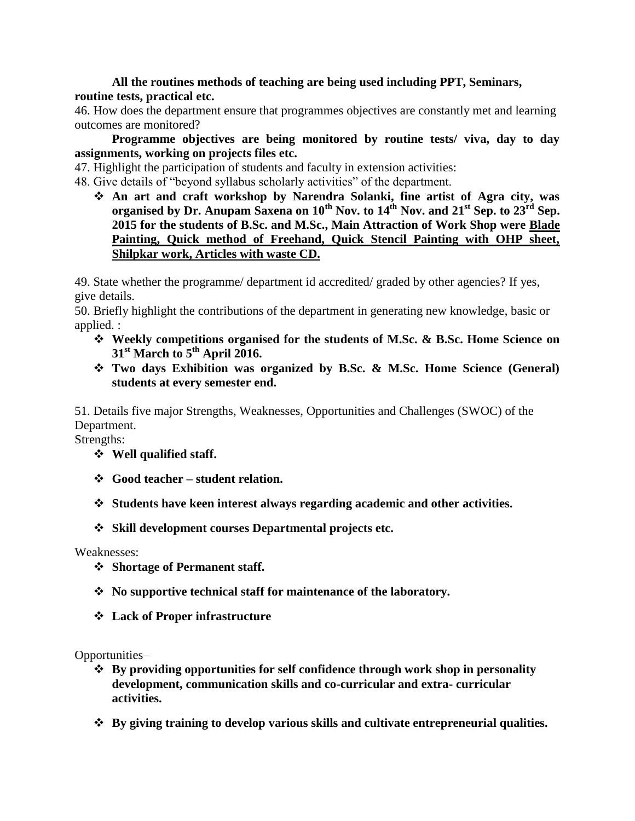**All the routines methods of teaching are being used including PPT, Seminars, routine tests, practical etc.**

46. How does the department ensure that programmes objectives are constantly met and learning outcomes are monitored?

**Programme objectives are being monitored by routine tests/ viva, day to day assignments, working on projects files etc.** 

47. Highlight the participation of students and faculty in extension activities:

48. Give details of "beyond syllabus scholarly activities" of the department.

 **An art and craft workshop by Narendra Solanki, fine artist of Agra city, was organised by Dr. Anupam Saxena on 10th Nov. to 14th Nov. and 21st Sep. to 23rd Sep. 2015 for the students of B.Sc. and M.Sc., Main Attraction of Work Shop were Blade Painting, Quick method of Freehand, Quick Stencil Painting with OHP sheet, Shilpkar work, Articles with waste CD.**

49. State whether the programme/ department id accredited/ graded by other agencies? If yes, give details.

50. Briefly highlight the contributions of the department in generating new knowledge, basic or applied. :

- **Weekly competitions organised for the students of M.Sc. & B.Sc. Home Science on 31st March to 5th April 2016.**
- **Two days Exhibition was organized by B.Sc. & M.Sc. Home Science (General) students at every semester end.**

51. Details five major Strengths, Weaknesses, Opportunities and Challenges (SWOC) of the Department.

Strengths:

- **Well qualified staff.**
- **Good teacher – student relation.**
- **Students have keen interest always regarding academic and other activities.**
- **Skill development courses Departmental projects etc.**

Weaknesses:

- **Shortage of Permanent staff.**
- **No supportive technical staff for maintenance of the laboratory.**
- **Lack of Proper infrastructure**

Opportunities–

- **By providing opportunities for self confidence through work shop in personality development, communication skills and co-curricular and extra- curricular activities.**
- **By giving training to develop various skills and cultivate entrepreneurial qualities.**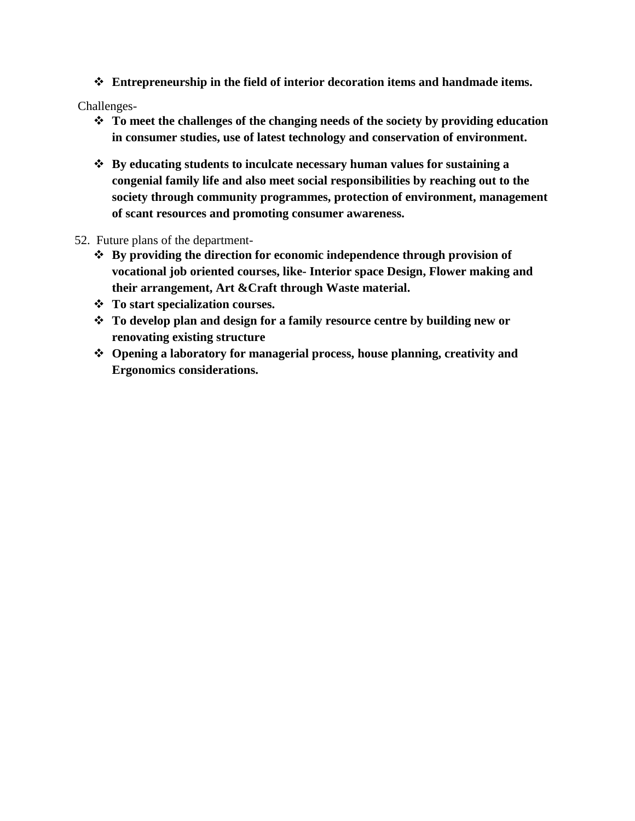**Entrepreneurship in the field of interior decoration items and handmade items.**

Challenges-

- **To meet the challenges of the changing needs of the society by providing education in consumer studies, use of latest technology and conservation of environment.**
- **By educating students to inculcate necessary human values for sustaining a congenial family life and also meet social responsibilities by reaching out to the society through community programmes, protection of environment, management of scant resources and promoting consumer awareness.**
- 52. Future plans of the department-
	- **By providing the direction for economic independence through provision of vocational job oriented courses, like- Interior space Design, Flower making and their arrangement, Art &Craft through Waste material.**
	- **To start specialization courses.**
	- **To develop plan and design for a family resource centre by building new or renovating existing structure**
	- **Opening a laboratory for managerial process, house planning, creativity and Ergonomics considerations.**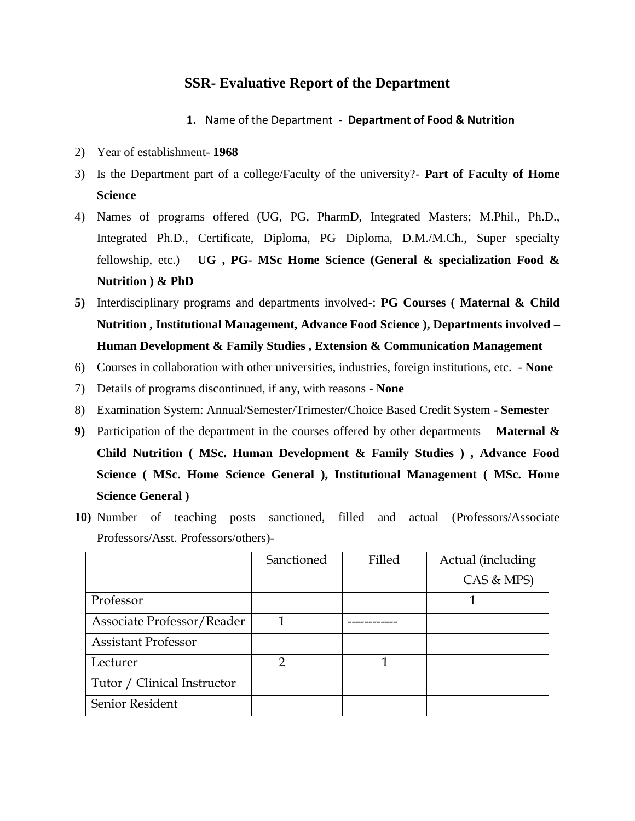### **SSR- Evaluative Report of the Department**

- **1.** Name of the Department **Department of Food & Nutrition**
- 2) Year of establishment- **1968**
- 3) Is the Department part of a college/Faculty of the university?- **Part of Faculty of Home Science**
- 4) Names of programs offered (UG, PG, PharmD, Integrated Masters; M.Phil., Ph.D., Integrated Ph.D., Certificate, Diploma, PG Diploma, D.M./M.Ch., Super specialty fellowship, etc.) – **UG , PG- MSc Home Science (General & specialization Food & Nutrition ) & PhD**
- **5)** Interdisciplinary programs and departments involved**-**: **PG Courses ( Maternal & Child Nutrition , Institutional Management, Advance Food Science ), Departments involved – Human Development & Family Studies , Extension & Communication Management**
- 6) Courses in collaboration with other universities, industries, foreign institutions, etc. **None**
- 7) Details of programs discontinued, if any, with reasons **None**
- 8) Examination System: Annual/Semester/Trimester/Choice Based Credit System **- Semester**
- **9)** Participation of the department in the courses offered by other departments **Maternal & Child Nutrition ( MSc. Human Development & Family Studies ) , Advance Food Science ( MSc. Home Science General ), Institutional Management ( MSc. Home Science General )**
- **10)** Number of teaching posts sanctioned, filled and actual (Professors/Associate Professors/Asst. Professors/others)-

|                             | Sanctioned | Filled | Actual (including |
|-----------------------------|------------|--------|-------------------|
|                             |            |        | CAS & MPS)        |
| Professor                   |            |        |                   |
| Associate Professor/Reader  |            |        |                   |
| <b>Assistant Professor</b>  |            |        |                   |
| Lecturer                    |            |        |                   |
| Tutor / Clinical Instructor |            |        |                   |
| Senior Resident             |            |        |                   |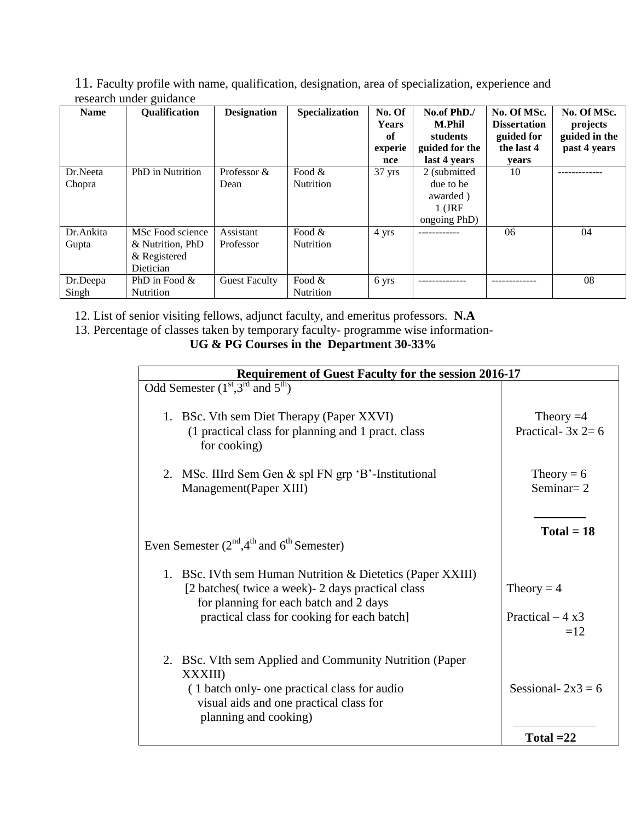11. Faculty profile with name, qualification, designation, area of specialization, experience and research under guidance

| <b>Name</b>        | <b>Qualification</b>                                              | <b>Designation</b>     | <b>Specialization</b>         | No. Of<br><b>Years</b><br>of<br>experie<br>nce | No.of PhD./<br><b>M.Phil</b><br>students<br>guided for the<br>last 4 years | No. Of MSc.<br><b>Dissertation</b><br>guided for<br>the last 4<br>vears | No. Of MSc.<br>projects<br>guided in the<br>past 4 years |
|--------------------|-------------------------------------------------------------------|------------------------|-------------------------------|------------------------------------------------|----------------------------------------------------------------------------|-------------------------------------------------------------------------|----------------------------------------------------------|
| Dr.Neeta<br>Chopra | PhD in Nutrition                                                  | Professor &<br>Dean    | Food $\&$<br><b>Nutrition</b> | $37$ yrs                                       | 2 (submitted)<br>due to be<br>awarded)<br>$1$ (JRF<br>ongoing PhD)         | 10                                                                      |                                                          |
| Dr.Ankita<br>Gupta | MSc Food science<br>& Nutrition, PhD<br>& Registered<br>Dietician | Assistant<br>Professor | Food $&$<br>Nutrition         | 4 yrs                                          |                                                                            | 06                                                                      | 04                                                       |
| Dr.Deepa<br>Singh  | PhD in Food $\&$<br><b>Nutrition</b>                              | <b>Guest Faculty</b>   | Food $&$<br>Nutrition         | 6 yrs                                          |                                                                            |                                                                         | 08                                                       |

12. List of senior visiting fellows, adjunct faculty, and emeritus professors. **N.A**

13. Percentage of classes taken by temporary faculty- programme wise information-

**UG & PG Courses in the Department 30-33%**

| <b>Requirement of Guest Faculty for the session 2016-17</b>                                                                                                                                               |                                           |  |  |  |  |
|-----------------------------------------------------------------------------------------------------------------------------------------------------------------------------------------------------------|-------------------------------------------|--|--|--|--|
| Odd Semester $(1st, 3rd$ and $5th$ )                                                                                                                                                                      |                                           |  |  |  |  |
| 1. BSc. Vth sem Diet Therapy (Paper XXVI)<br>(1 practical class for planning and 1 pract. class)<br>for cooking)                                                                                          | Theory $=4$<br>Practical- $3x$ 2= 6       |  |  |  |  |
| 2. MSc. IIIrd Sem Gen & spl FN grp 'B'-Institutional<br>Management(Paper XIII)                                                                                                                            | Theory = $6$<br>Seminar $= 2$             |  |  |  |  |
| Even Semester $(2nd,4th$ and $6th$ Semester)                                                                                                                                                              | $Total = 18$                              |  |  |  |  |
| 1. BSc. IVth sem Human Nutrition & Dietetics (Paper XXIII)<br>[2 batches( twice a week) - 2 days practical class<br>for planning for each batch and 2 days<br>practical class for cooking for each batch] | Theory = $4$<br>Practical $-4x3$<br>$=12$ |  |  |  |  |
| 2. BSc. VIth sem Applied and Community Nutrition (Paper<br><b>XXXIII</b> )<br>(1 batch only- one practical class for audio<br>visual aids and one practical class for<br>planning and cooking)            | Sessional- $2x3 = 6$<br>Total $=22$       |  |  |  |  |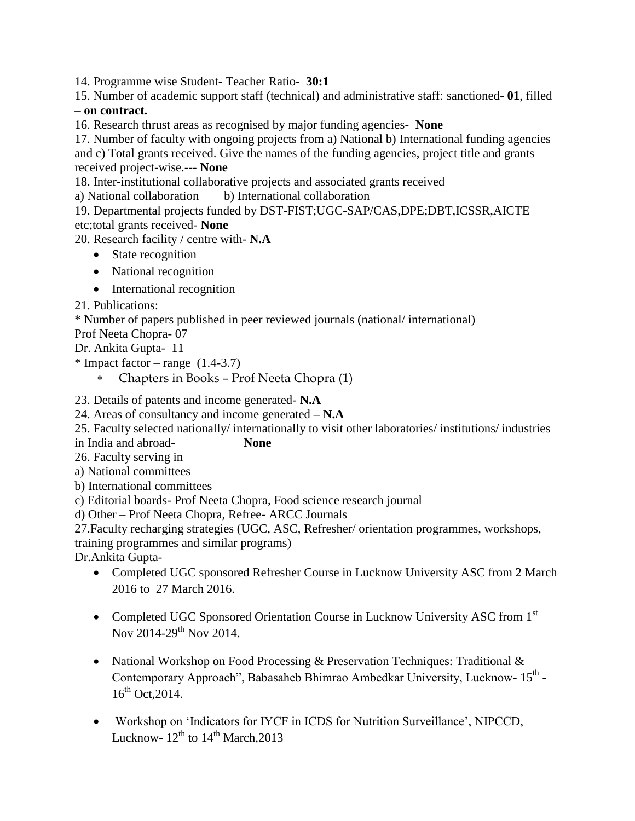14. Programme wise Student- Teacher Ratio- **30:1**

15. Number of academic support staff (technical) and administrative staff: sanctioned- **01**, filled – **on contract.**

16. Research thrust areas as recognised by major funding agencies- **None**

17. Number of faculty with ongoing projects from a) National b) International funding agencies and c) Total grants received. Give the names of the funding agencies, project title and grants received project-wise.--- **None**

18. Inter-institutional collaborative projects and associated grants received

a) National collaboration b) International collaboration

19. Departmental projects funded by DST-FIST;UGC-SAP/CAS,DPE;DBT,ICSSR,AICTE etc;total grants received- **None**

20. Research facility / centre with- **N.A**

- State recognition
- National recognition
- International recognition

21. Publications:

\* Number of papers published in peer reviewed journals (national/ international)

Prof Neeta Chopra- 07

Dr. Ankita Gupta- 11

 $*$  Impact factor – range  $(1.4-3.7)$ 

Chapters in Books – Prof Neeta Chopra (1)

23. Details of patents and income generated- **N.A**

24. Areas of consultancy and income generated **– N.A**

25. Faculty selected nationally/ internationally to visit other laboratories/ institutions/ industries

in India and abroad- **None**

26. Faculty serving in

a) National committees

b) International committees

c) Editorial boards- Prof Neeta Chopra, Food science research journal

d) Other – Prof Neeta Chopra, Refree- ARCC Journals

27.Faculty recharging strategies (UGC, ASC, Refresher/ orientation programmes, workshops, training programmes and similar programs)

Dr.Ankita Gupta-

- Completed UGC sponsored Refresher Course in Lucknow University ASC from 2 March 2016 to 27 March 2016.
- Completed UGC Sponsored Orientation Course in Lucknow University ASC from 1<sup>st</sup> Nov 2014-29<sup>th</sup> Nov 2014.
- National Workshop on Food Processing & Preservation Techniques: Traditional & Contemporary Approach", Babasaheb Bhimrao Ambedkar University, Lucknow- 15<sup>th</sup> - $16^{th}$  Oct. 2014.
- Workshop on 'Indicators for IYCF in ICDS for Nutrition Surveillance', NIPCCD, Lucknow-  $12^{th}$  to  $14^{th}$  March, 2013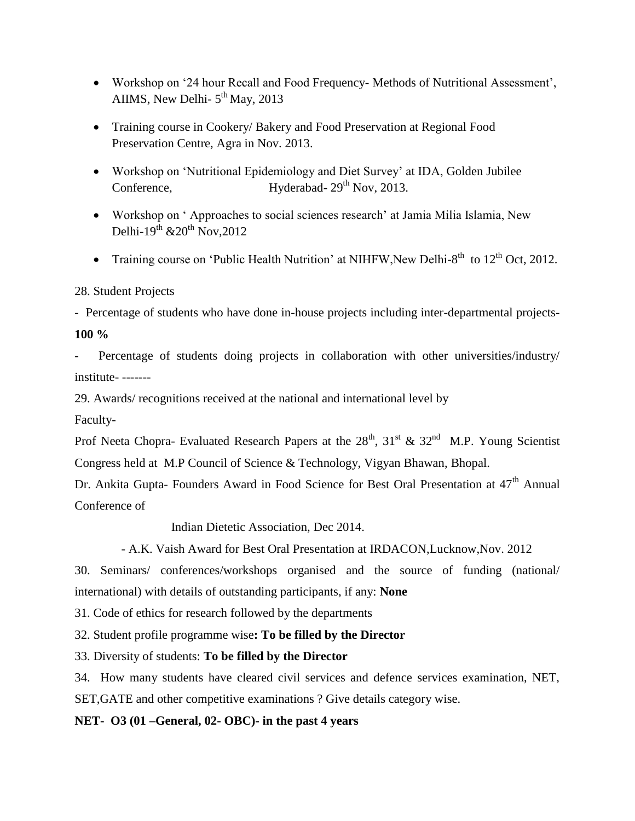- Workshop on '24 hour Recall and Food Frequency- Methods of Nutritional Assessment', AIIMS, New Delhi- $5<sup>th</sup>$  May, 2013
- Training course in Cookery/ Bakery and Food Preservation at Regional Food Preservation Centre, Agra in Nov. 2013.
- Workshop on 'Nutritional Epidemiology and Diet Survey' at IDA, Golden Jubilee Conference, Hyderabad-  $29<sup>th</sup>$  Nov, 2013.
- Workshop on ' Approaches to social sciences research' at Jamia Milia Islamia, New Delhi-19<sup>th</sup>  $\& 20^{th}$  Nov, 2012
- Training course on 'Public Health Nutrition' at NIHFW, New Delhi-8<sup>th</sup> to  $12<sup>th</sup>$  Oct, 2012.

#### 28. Student Projects

- Percentage of students who have done in-house projects including inter-departmental projects-**100 %**

Percentage of students doing projects in collaboration with other universities/industry/ institute- -------

29. Awards/ recognitions received at the national and international level by

Faculty-

Prof Neeta Chopra- Evaluated Research Papers at the  $28<sup>th</sup>$ ,  $31<sup>st</sup>$  &  $32<sup>nd</sup>$  M.P. Young Scientist Congress held at M.P Council of Science & Technology, Vigyan Bhawan, Bhopal.

Dr. Ankita Gupta- Founders Award in Food Science for Best Oral Presentation at 47<sup>th</sup> Annual Conference of

Indian Dietetic Association, Dec 2014.

- A.K. Vaish Award for Best Oral Presentation at IRDACON,Lucknow,Nov. 2012

30. Seminars/ conferences/workshops organised and the source of funding (national/ international) with details of outstanding participants, if any: **None**

31. Code of ethics for research followed by the departments

32. Student profile programme wise**: To be filled by the Director**

33. Diversity of students: **To be filled by the Director**

34. How many students have cleared civil services and defence services examination, NET, SET,GATE and other competitive examinations ? Give details category wise.

### **NET- O3 (01 –General, 02- OBC)- in the past 4 years**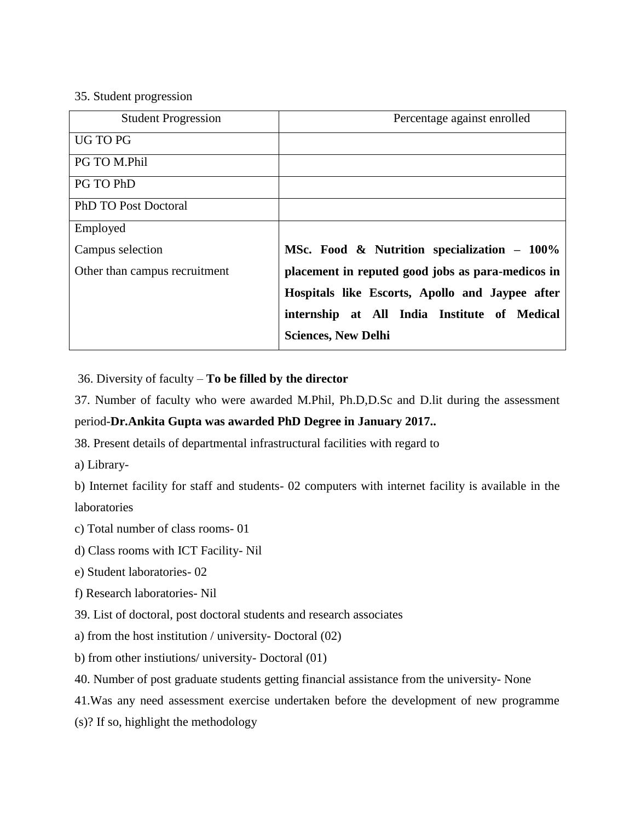#### 35. Student progression

| <b>Student Progression</b>    | Percentage against enrolled                       |
|-------------------------------|---------------------------------------------------|
| UG TO PG                      |                                                   |
| PG TO M.Phil                  |                                                   |
| PG TO PhD                     |                                                   |
| <b>PhD TO Post Doctoral</b>   |                                                   |
| Employed                      |                                                   |
| Campus selection              | MSc. Food & Nutrition specialization – 100%       |
| Other than campus recruitment | placement in reputed good jobs as para-medicos in |
|                               | Hospitals like Escorts, Apollo and Jaypee after   |
|                               | internship at All India Institute of Medical      |
|                               | <b>Sciences, New Delhi</b>                        |

36. Diversity of faculty – **To be filled by the director**

37. Number of faculty who were awarded M.Phil, Ph.D,D.Sc and D.lit during the assessment

### period-**Dr.Ankita Gupta was awarded PhD Degree in January 2017..**

38. Present details of departmental infrastructural facilities with regard to

a) Library-

b) Internet facility for staff and students- 02 computers with internet facility is available in the laboratories

- c) Total number of class rooms- 01
- d) Class rooms with ICT Facility- Nil
- e) Student laboratories- 02
- f) Research laboratories- Nil
- 39. List of doctoral, post doctoral students and research associates
- a) from the host institution / university- Doctoral (02)
- b) from other instiutions/ university- Doctoral (01)
- 40. Number of post graduate students getting financial assistance from the university- None
- 41.Was any need assessment exercise undertaken before the development of new programme
- (s)? If so, highlight the methodology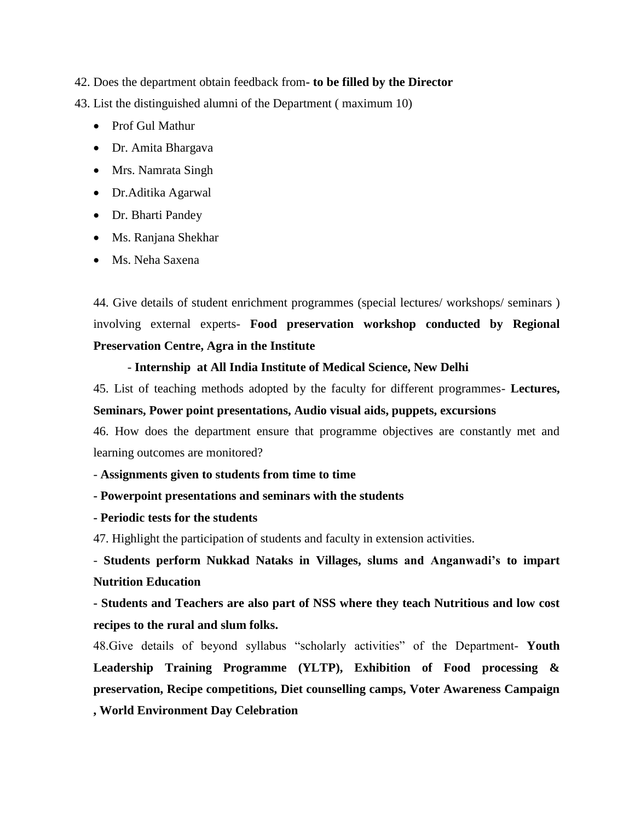42. Does the department obtain feedback from**- to be filled by the Director**

43. List the distinguished alumni of the Department ( maximum 10)

- Prof Gul Mathur
- Dr. Amita Bhargava
- Mrs. Namrata Singh
- Dr.Aditika Agarwal
- Dr. Bharti Pandey
- Ms. Ranjana Shekhar
- Ms. Neha Saxena

44. Give details of student enrichment programmes (special lectures/ workshops/ seminars ) involving external experts- **Food preservation workshop conducted by Regional Preservation Centre, Agra in the Institute**

#### - **Internship at All India Institute of Medical Science, New Delhi**

45. List of teaching methods adopted by the faculty for different programmes- **Lectures, Seminars, Power point presentations, Audio visual aids, puppets, excursions**

46. How does the department ensure that programme objectives are constantly met and learning outcomes are monitored?

- **Assignments given to students from time to time**

#### **- Powerpoint presentations and seminars with the students**

**- Periodic tests for the students**

47. Highlight the participation of students and faculty in extension activities.

- **Students perform Nukkad Nataks in Villages, slums and Anganwadi's to impart Nutrition Education**

**- Students and Teachers are also part of NSS where they teach Nutritious and low cost recipes to the rural and slum folks.**

48.Give details of beyond syllabus "scholarly activities" of the Department- **Youth Leadership Training Programme (YLTP), Exhibition of Food processing & preservation, Recipe competitions, Diet counselling camps, Voter Awareness Campaign , World Environment Day Celebration**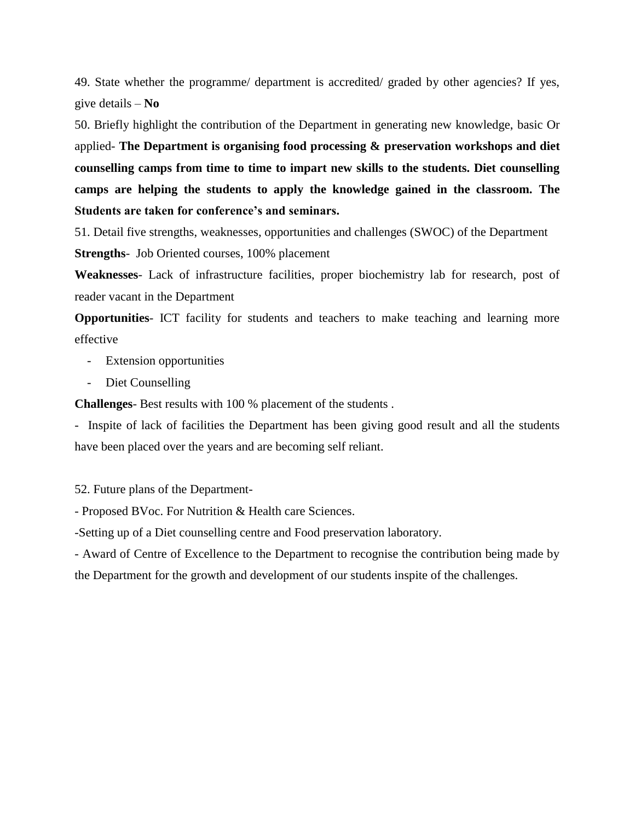49. State whether the programme/ department is accredited/ graded by other agencies? If yes, give details – **No**

50. Briefly highlight the contribution of the Department in generating new knowledge, basic Or applied- **The Department is organising food processing & preservation workshops and diet counselling camps from time to time to impart new skills to the students. Diet counselling camps are helping the students to apply the knowledge gained in the classroom. The Students are taken for conference's and seminars.**

51. Detail five strengths, weaknesses, opportunities and challenges (SWOC) of the Department **Strengths**- Job Oriented courses, 100% placement

**Weaknesses**- Lack of infrastructure facilities, proper biochemistry lab for research, post of reader vacant in the Department

**Opportunities**- ICT facility for students and teachers to make teaching and learning more effective

- Extension opportunities
- Diet Counselling

**Challenges**- Best results with 100 % placement of the students .

- Inspite of lack of facilities the Department has been giving good result and all the students have been placed over the years and are becoming self reliant.

52. Future plans of the Department-

- Proposed BVoc. For Nutrition & Health care Sciences.

-Setting up of a Diet counselling centre and Food preservation laboratory.

- Award of Centre of Excellence to the Department to recognise the contribution being made by the Department for the growth and development of our students inspite of the challenges.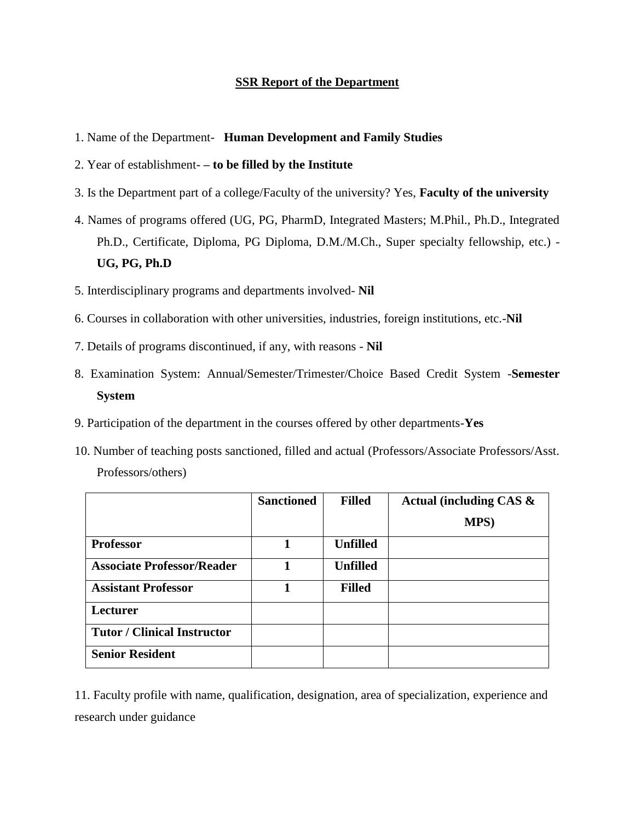#### **SSR Report of the Department**

- 1. Name of the Department- **Human Development and Family Studies**
- 2. Year of establishment- **– to be filled by the Institute**
- 3. Is the Department part of a college/Faculty of the university? Yes, **Faculty of the university**
- 4. Names of programs offered (UG, PG, PharmD, Integrated Masters; M.Phil., Ph.D., Integrated Ph.D., Certificate, Diploma, PG Diploma, D.M./M.Ch., Super specialty fellowship, etc.) - **UG, PG, Ph.D**
- 5. Interdisciplinary programs and departments involved- **Nil**
- 6. Courses in collaboration with other universities, industries, foreign institutions, etc.-**Nil**
- 7. Details of programs discontinued, if any, with reasons **Nil**
- 8. Examination System: Annual/Semester/Trimester/Choice Based Credit System -**Semester System**
- 9. Participation of the department in the courses offered by other departments-**Yes**
- 10. Number of teaching posts sanctioned, filled and actual (Professors/Associate Professors/Asst. Professors/others)

|                                    | <b>Sanctioned</b> | <b>Filled</b>   | Actual (including CAS $\&$ |
|------------------------------------|-------------------|-----------------|----------------------------|
|                                    |                   |                 | MPS)                       |
| <b>Professor</b>                   | 1                 | <b>Unfilled</b> |                            |
| <b>Associate Professor/Reader</b>  | 1                 | <b>Unfilled</b> |                            |
| <b>Assistant Professor</b>         |                   | <b>Filled</b>   |                            |
| Lecturer                           |                   |                 |                            |
| <b>Tutor / Clinical Instructor</b> |                   |                 |                            |
| <b>Senior Resident</b>             |                   |                 |                            |

11. Faculty profile with name, qualification, designation, area of specialization, experience and research under guidance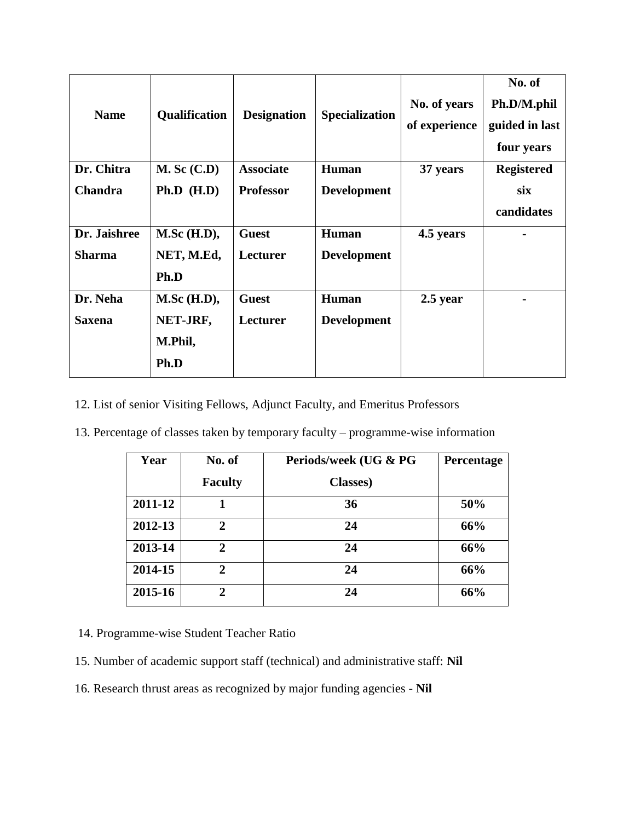| <b>Name</b>    | <b>Qualification</b> | <b>Designation</b> | <b>Specialization</b> | No. of years<br>of experience | No. of<br>Ph.D/M.phil<br>guided in last<br>four years |
|----------------|----------------------|--------------------|-----------------------|-------------------------------|-------------------------------------------------------|
| Dr. Chitra     | $M.$ Sc $(C.D)$      | <b>Associate</b>   | <b>Human</b>          | 37 years                      | <b>Registered</b>                                     |
| <b>Chandra</b> | Ph.D (H.D)           | <b>Professor</b>   | <b>Development</b>    |                               | six                                                   |
|                |                      |                    |                       |                               | candidates                                            |
| Dr. Jaishree   | $M.Sc$ (H.D),        | <b>Guest</b>       | <b>Human</b>          | 4.5 years                     |                                                       |
| <b>Sharma</b>  | NET, M.Ed,           | Lecturer           | <b>Development</b>    |                               |                                                       |
|                | Ph.D                 |                    |                       |                               |                                                       |
| Dr. Neha       | $M.Sc$ (H.D),        | <b>Guest</b>       | <b>Human</b>          | $2.5$ year                    |                                                       |
| <b>Saxena</b>  | NET-JRF,             | Lecturer           | <b>Development</b>    |                               |                                                       |
|                | M.Phil,              |                    |                       |                               |                                                       |
|                | Ph.D                 |                    |                       |                               |                                                       |

12. List of senior Visiting Fellows, Adjunct Faculty, and Emeritus Professors

13. Percentage of classes taken by temporary faculty – programme-wise information

| Year    | No. of         | Periods/week (UG & PG | Percentage |
|---------|----------------|-----------------------|------------|
|         | <b>Faculty</b> | <b>Classes</b> )      |            |
| 2011-12 |                | 36                    | 50%        |
| 2012-13 | 2              | 24                    | 66%        |
| 2013-14 | 2              | 24                    | 66%        |
| 2014-15 | 2.             | 24                    | 66%        |
| 2015-16 | 2              | 24                    | 66%        |

14. Programme-wise Student Teacher Ratio

- 15. Number of academic support staff (technical) and administrative staff: **Nil**
- 16. Research thrust areas as recognized by major funding agencies **Nil**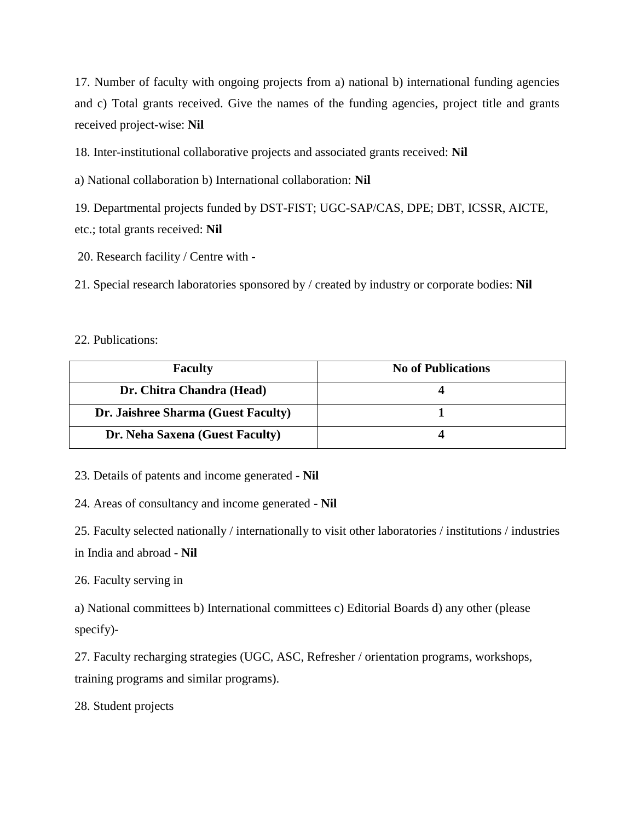17. Number of faculty with ongoing projects from a) national b) international funding agencies and c) Total grants received. Give the names of the funding agencies, project title and grants received project-wise: **Nil**

18. Inter-institutional collaborative projects and associated grants received: **Nil**

a) National collaboration b) International collaboration: **Nil**

19. Departmental projects funded by DST-FIST; UGC-SAP/CAS, DPE; DBT, ICSSR, AICTE, etc.; total grants received: **Nil**

20. Research facility / Centre with -

21. Special research laboratories sponsored by / created by industry or corporate bodies: **Nil**

#### 22. Publications:

| <b>Faculty</b>                      | <b>No of Publications</b> |
|-------------------------------------|---------------------------|
| Dr. Chitra Chandra (Head)           |                           |
| Dr. Jaishree Sharma (Guest Faculty) |                           |
| Dr. Neha Saxena (Guest Faculty)     |                           |

23. Details of patents and income generated - **Nil**

24. Areas of consultancy and income generated - **Nil**

25. Faculty selected nationally / internationally to visit other laboratories / institutions / industries in India and abroad - **Nil**

26. Faculty serving in

a) National committees b) International committees c) Editorial Boards d) any other (please specify)-

27. Faculty recharging strategies (UGC, ASC, Refresher / orientation programs, workshops, training programs and similar programs).

28. Student projects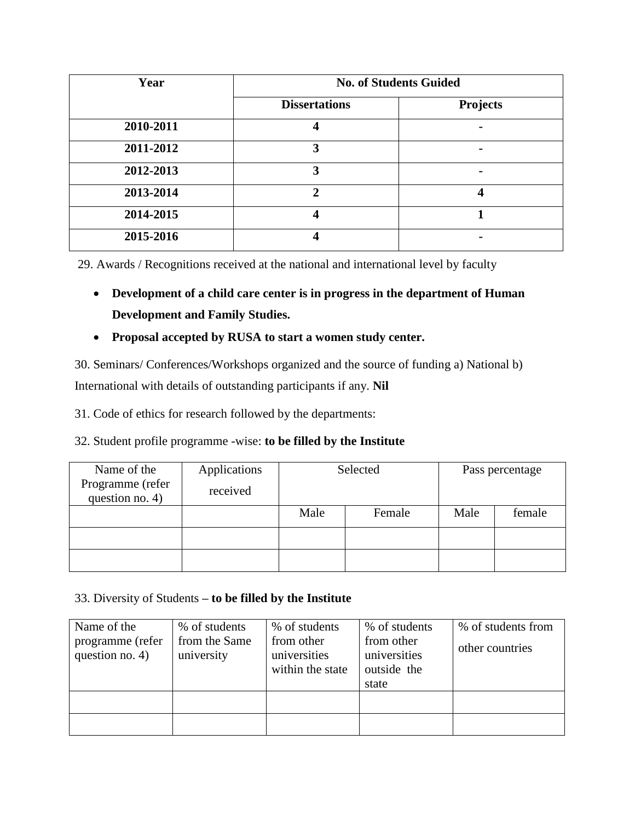| Year      | <b>No. of Students Guided</b> |                 |
|-----------|-------------------------------|-----------------|
|           | <b>Dissertations</b>          | <b>Projects</b> |
| 2010-2011 |                               |                 |
| 2011-2012 | 3                             | -               |
| 2012-2013 | 3                             |                 |
| 2013-2014 | 2                             | 4               |
| 2014-2015 | Δ                             |                 |
| 2015-2016 |                               |                 |

29. Awards / Recognitions received at the national and international level by faculty

- **Development of a child care center is in progress in the department of Human Development and Family Studies.**
- **Proposal accepted by RUSA to start a women study center.**

30. Seminars/ Conferences/Workshops organized and the source of funding a) National b)

International with details of outstanding participants if any. **Nil**

31. Code of ethics for research followed by the departments:

### 32. Student profile programme -wise: **to be filled by the Institute**

| Name of the                         | Applications | Selected |        |      | Pass percentage |
|-------------------------------------|--------------|----------|--------|------|-----------------|
| Programme (refer<br>question no. 4) | received     |          |        |      |                 |
|                                     |              | Male     | Female | Male | female          |
|                                     |              |          |        |      |                 |
|                                     |              |          |        |      |                 |

### 33. Diversity of Students **– to be filled by the Institute**

| Name of the<br>programme (refer<br>question no. $4$ ) | % of students<br>from the Same<br>university | % of students<br>from other<br>universities<br>within the state | % of students<br>from other<br>universities<br>outside the<br>state | % of students from<br>other countries |
|-------------------------------------------------------|----------------------------------------------|-----------------------------------------------------------------|---------------------------------------------------------------------|---------------------------------------|
|                                                       |                                              |                                                                 |                                                                     |                                       |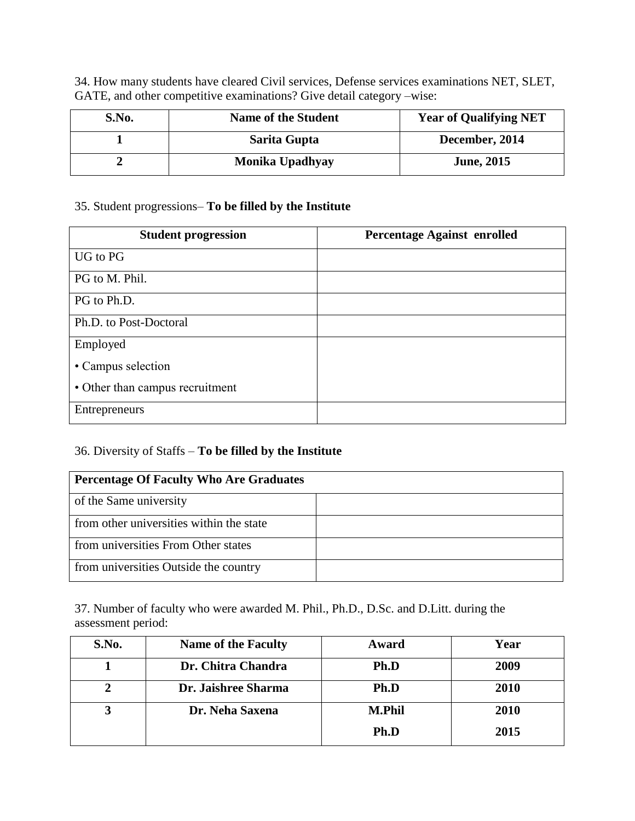34. How many students have cleared Civil services, Defense services examinations NET, SLET, GATE, and other competitive examinations? Give detail category –wise:

| S.No. | <b>Name of the Student</b> | <b>Year of Qualifying NET</b> |
|-------|----------------------------|-------------------------------|
|       | Sarita Gupta               | December, 2014                |
|       | Monika Upadhyay            | <b>June, 2015</b>             |

### 35. Student progressions– **To be filled by the Institute**

| <b>Student progression</b>      | <b>Percentage Against enrolled</b> |
|---------------------------------|------------------------------------|
| UG to PG                        |                                    |
| PG to M. Phil.                  |                                    |
| PG to Ph.D.                     |                                    |
| Ph.D. to Post-Doctoral          |                                    |
| Employed                        |                                    |
| • Campus selection              |                                    |
| • Other than campus recruitment |                                    |
| Entrepreneurs                   |                                    |

### 36. Diversity of Staffs – **To be filled by the Institute**

| <b>Percentage Of Faculty Who Are Graduates</b> |  |
|------------------------------------------------|--|
| of the Same university                         |  |
| from other universities within the state       |  |
| from universities From Other states            |  |
| from universities Outside the country          |  |

37. Number of faculty who were awarded M. Phil., Ph.D., D.Sc. and D.Litt. during the assessment period:

| S.No. | <b>Name of the Faculty</b> | Award         | Year |
|-------|----------------------------|---------------|------|
|       | Dr. Chitra Chandra         | Ph.D          | 2009 |
|       | Dr. Jaishree Sharma        | Ph.D          | 2010 |
|       | Dr. Neha Saxena            | <b>M.Phil</b> | 2010 |
|       |                            | Ph.D          | 2015 |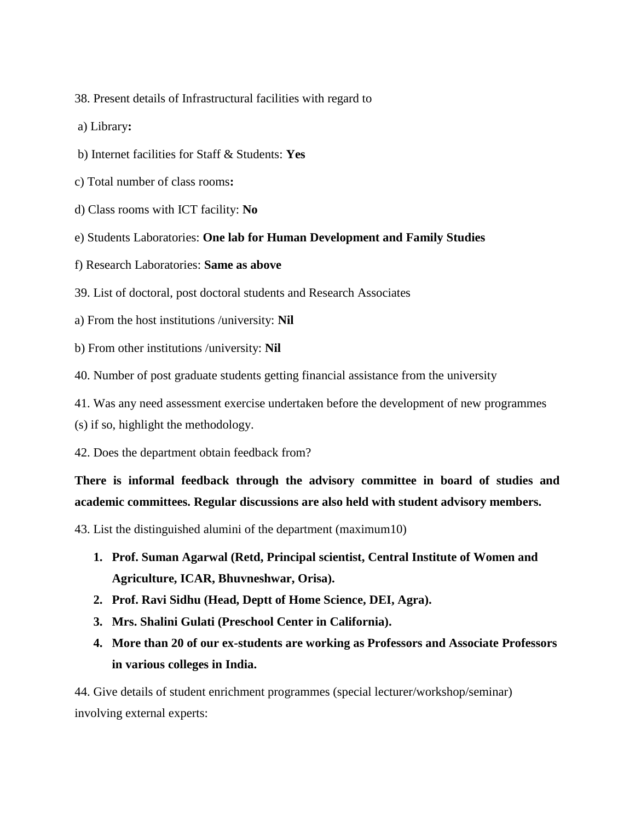- 38. Present details of Infrastructural facilities with regard to
- a) Library**:**
- b) Internet facilities for Staff & Students: **Yes**
- c) Total number of class rooms**:**
- d) Class rooms with ICT facility: **No**
- e) Students Laboratories: **One lab for Human Development and Family Studies**
- f) Research Laboratories: **Same as above**
- 39. List of doctoral, post doctoral students and Research Associates
- a) From the host institutions /university: **Nil**
- b) From other institutions /university: **Nil**
- 40. Number of post graduate students getting financial assistance from the university
- 41. Was any need assessment exercise undertaken before the development of new programmes
- (s) if so, highlight the methodology.
- 42. Does the department obtain feedback from?

## **There is informal feedback through the advisory committee in board of studies and academic committees. Regular discussions are also held with student advisory members.**

43. List the distinguished alumini of the department (maximum10)

- **1. Prof. Suman Agarwal (Retd, Principal scientist, Central Institute of Women and Agriculture, ICAR, Bhuvneshwar, Orisa).**
- **2. Prof. Ravi Sidhu (Head, Deptt of Home Science, DEI, Agra).**
- **3. Mrs. Shalini Gulati (Preschool Center in California).**
- **4. More than 20 of our ex-students are working as Professors and Associate Professors in various colleges in India.**

44. Give details of student enrichment programmes (special lecturer/workshop/seminar) involving external experts: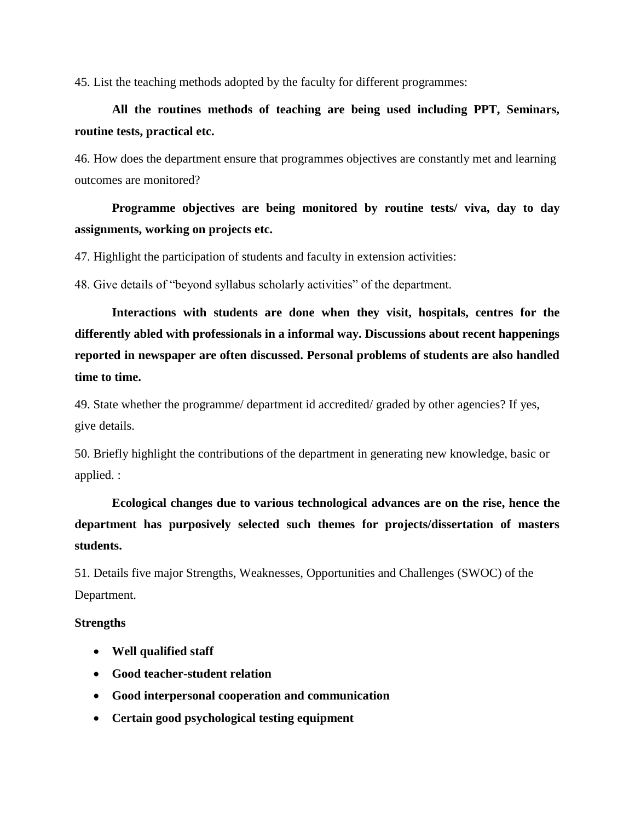45. List the teaching methods adopted by the faculty for different programmes:

## **All the routines methods of teaching are being used including PPT, Seminars, routine tests, practical etc.**

46. How does the department ensure that programmes objectives are constantly met and learning outcomes are monitored?

## **Programme objectives are being monitored by routine tests/ viva, day to day assignments, working on projects etc.**

47. Highlight the participation of students and faculty in extension activities:

48. Give details of "beyond syllabus scholarly activities" of the department.

**Interactions with students are done when they visit, hospitals, centres for the differently abled with professionals in a informal way. Discussions about recent happenings reported in newspaper are often discussed. Personal problems of students are also handled time to time.**

49. State whether the programme/ department id accredited/ graded by other agencies? If yes, give details.

50. Briefly highlight the contributions of the department in generating new knowledge, basic or applied. :

**Ecological changes due to various technological advances are on the rise, hence the department has purposively selected such themes for projects/dissertation of masters students.**

51. Details five major Strengths, Weaknesses, Opportunities and Challenges (SWOC) of the Department.

#### **Strengths**

- **Well qualified staff**
- **Good teacher-student relation**
- **Good interpersonal cooperation and communication**
- **Certain good psychological testing equipment**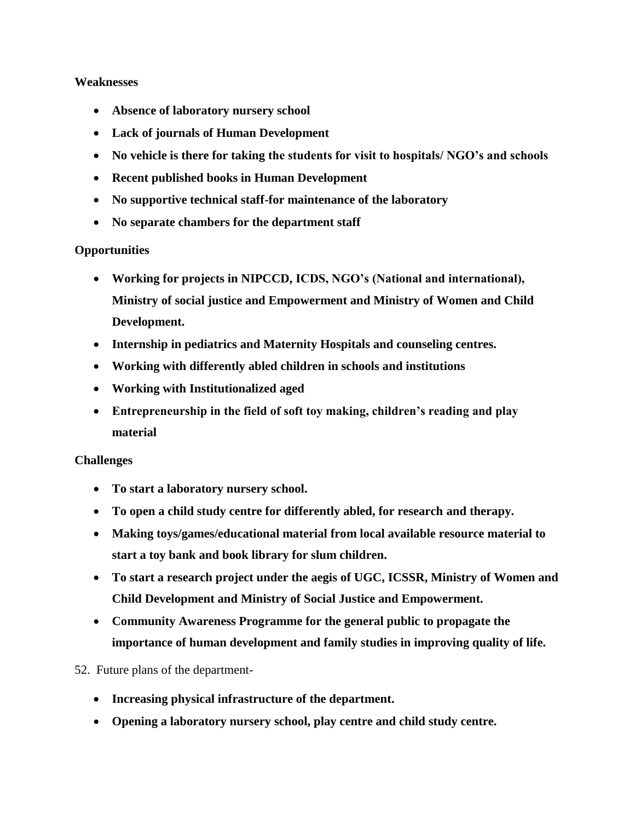#### **Weaknesses**

- **Absence of laboratory nursery school**
- **Lack of journals of Human Development**
- **No vehicle is there for taking the students for visit to hospitals/ NGO's and schools**
- **Recent published books in Human Development**
- **No supportive technical staff-for maintenance of the laboratory**
- **No separate chambers for the department staff**

### **Opportunities**

- **Working for projects in NIPCCD, ICDS, NGO's (National and international), Ministry of social justice and Empowerment and Ministry of Women and Child Development.**
- **Internship in pediatrics and Maternity Hospitals and counseling centres.**
- **Working with differently abled children in schools and institutions**
- **Working with Institutionalized aged**
- **Entrepreneurship in the field of soft toy making, children's reading and play material**

#### **Challenges**

- **To start a laboratory nursery school.**
- **To open a child study centre for differently abled, for research and therapy.**
- **Making toys/games/educational material from local available resource material to start a toy bank and book library for slum children.**
- **To start a research project under the aegis of UGC, ICSSR, Ministry of Women and Child Development and Ministry of Social Justice and Empowerment.**
- **Community Awareness Programme for the general public to propagate the importance of human development and family studies in improving quality of life.**

### 52. Future plans of the department-

- **Increasing physical infrastructure of the department.**
- **Opening a laboratory nursery school, play centre and child study centre.**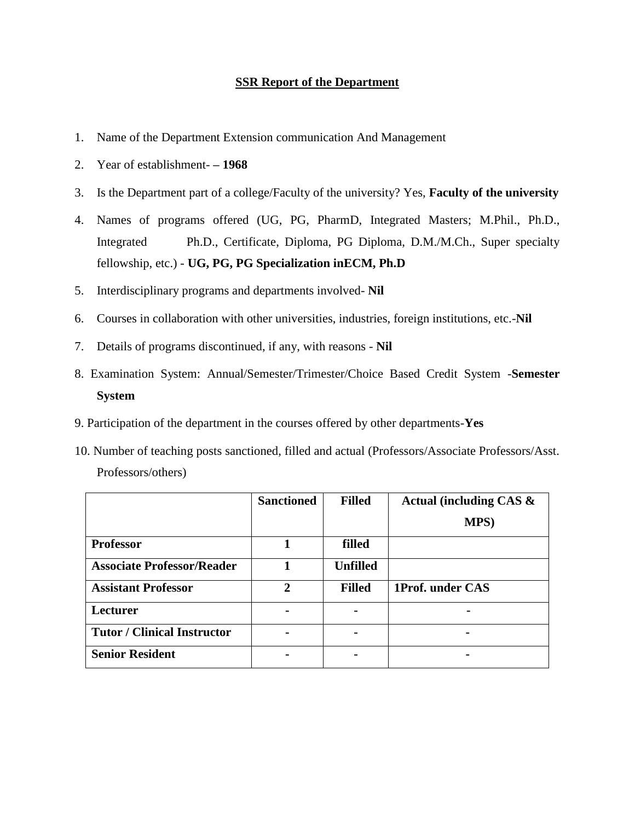#### **SSR Report of the Department**

- 1. Name of the Department Extension communication And Management
- 2. Year of establishment- **– 1968**
- 3. Is the Department part of a college/Faculty of the university? Yes, **Faculty of the university**
- 4. Names of programs offered (UG, PG, PharmD, Integrated Masters; M.Phil., Ph.D., Integrated Ph.D., Certificate, Diploma, PG Diploma, D.M./M.Ch., Super specialty fellowship, etc.) - **UG, PG, PG Specialization inECM, Ph.D**
- 5. Interdisciplinary programs and departments involved- **Nil**
- 6. Courses in collaboration with other universities, industries, foreign institutions, etc.-**Nil**
- 7. Details of programs discontinued, if any, with reasons **Nil**
- 8. Examination System: Annual/Semester/Trimester/Choice Based Credit System -**Semester System**
- 9. Participation of the department in the courses offered by other departments-**Yes**
- 10. Number of teaching posts sanctioned, filled and actual (Professors/Associate Professors/Asst. Professors/others)

|                                    | <b>Sanctioned</b> | <b>Filled</b>   | Actual (including CAS $\&$ |
|------------------------------------|-------------------|-----------------|----------------------------|
|                                    |                   |                 | <b>MPS</b> )               |
| <b>Professor</b>                   |                   | filled          |                            |
| <b>Associate Professor/Reader</b>  |                   | <b>Unfilled</b> |                            |
| <b>Assistant Professor</b>         | $\mathbf{2}$      | <b>Filled</b>   | 1Prof. under CAS           |
| Lecturer                           |                   |                 |                            |
| <b>Tutor / Clinical Instructor</b> |                   |                 |                            |
| <b>Senior Resident</b>             |                   |                 |                            |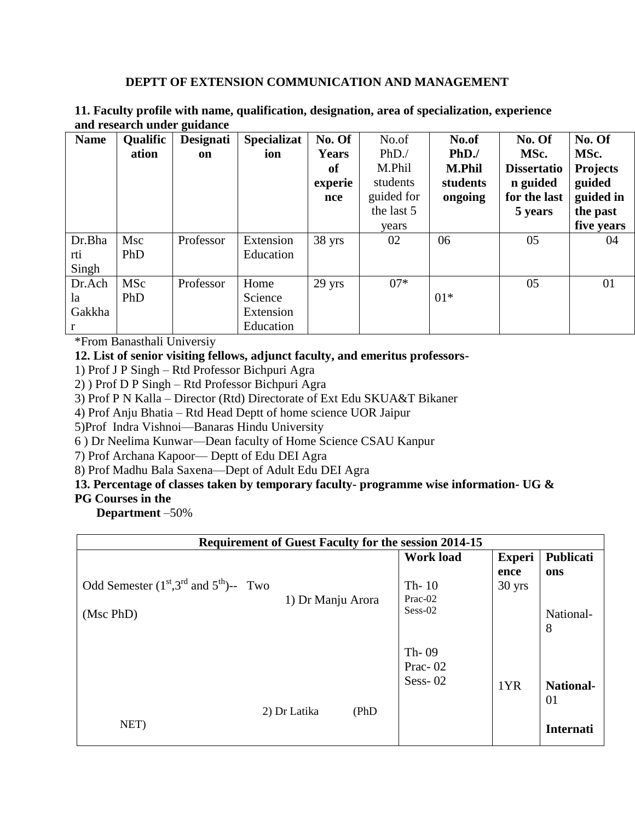#### **DEPTT OF EXTENSION COMMUNICATION AND MANAGEMENT**

| <b>Name</b> | Qualific   | <b>Designati</b> | <b>Specializat</b> | No. Of       | No.of      | No.of         | No. Of             | No. Of          |
|-------------|------------|------------------|--------------------|--------------|------------|---------------|--------------------|-----------------|
|             | ation      | on               | ion                | <b>Years</b> | PhD.       | PhD.          | MSc.               | MSc.            |
|             |            |                  |                    | of           | M.Phil     | <b>M.Phil</b> | <b>Dissertatio</b> | <b>Projects</b> |
|             |            |                  |                    | experie      | students   | students      | n guided           | guided          |
|             |            |                  |                    | nce          | guided for | ongoing       | for the last       | guided in       |
|             |            |                  |                    |              | the last 5 |               | 5 years            | the past        |
|             |            |                  |                    |              | years      |               |                    | five years      |
| Dr.Bha      | Msc        | Professor        | Extension          | 38 yrs       | 02         | 06            | 05                 | 04              |
| rti         | PhD        |                  | Education          |              |            |               |                    |                 |
| Singh       |            |                  |                    |              |            |               |                    |                 |
| Dr.Ach      | <b>MSc</b> | Professor        | Home               | 29 yrs       | $07*$      |               | 05                 | 01              |
| la          | PhD        |                  | Science            |              |            | $01*$         |                    |                 |
| Gakkha      |            |                  | Extension          |              |            |               |                    |                 |
| r           |            |                  | Education          |              |            |               |                    |                 |

#### **11. Faculty profile with name, qualification, designation, area of specialization, experience and research under guidance**

\*From Banasthali Universiy

### **12. List of senior visiting fellows, adjunct faculty, and emeritus professors-**

1) Prof J P Singh – Rtd Professor Bichpuri Agra

2) ) Prof D P Singh – Rtd Professor Bichpuri Agra

3) Prof P N Kalla – Director (Rtd) Directorate of Ext Edu SKUA&T Bikaner

4) Prof Anju Bhatia – Rtd Head Deptt of home science UOR Jaipur

5)Prof Indra Vishnoi—Banaras Hindu University

6 ) Dr Neelima Kunwar—Dean faculty of Home Science CSAU Kanpur

7) Prof Archana Kapoor— Deptt of Edu DEI Agra

8) Prof Madhu Bala Saxena—Dept of Adult Edu DEI Agra

### **13. Percentage of classes taken by temporary faculty- programme wise information- UG &**

#### **PG Courses in the**

 **Department** –50%

| Requirement of Guest Faculty for the session 2014-15 |                  |               |                  |  |  |  |
|------------------------------------------------------|------------------|---------------|------------------|--|--|--|
|                                                      | <b>Work load</b> | <b>Experi</b> | Publicati        |  |  |  |
|                                                      |                  | ence          | ons              |  |  |  |
| Odd Semester $(1st, 3rd$ and $5th$ )-- Two           | Th- $10$         | 30 yrs        |                  |  |  |  |
| 1) Dr Manju Arora                                    | Prac-02          |               |                  |  |  |  |
| (Msc PhD)                                            | Sess-02          |               | National-        |  |  |  |
|                                                      |                  |               | 8                |  |  |  |
|                                                      | Th- $09$         |               |                  |  |  |  |
|                                                      | Prac-02          |               |                  |  |  |  |
|                                                      | Sess- $02$       |               |                  |  |  |  |
|                                                      |                  | 1YR           | <b>National-</b> |  |  |  |
|                                                      |                  |               | 01               |  |  |  |
| 2) Dr Latika<br>(PhD)<br>NET)                        |                  |               |                  |  |  |  |
|                                                      |                  |               | <b>Internati</b> |  |  |  |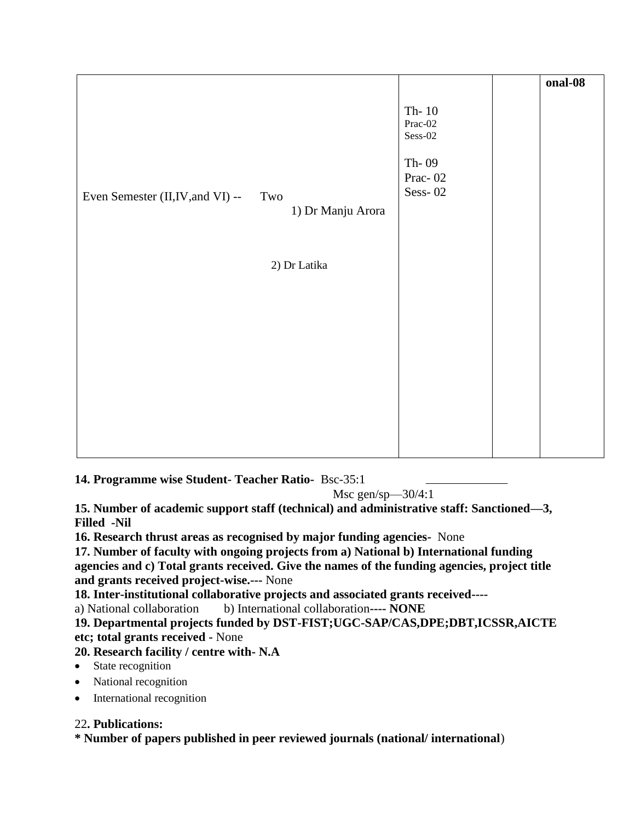|                                   |                   |                                   | onal-08 |
|-----------------------------------|-------------------|-----------------------------------|---------|
|                                   |                   | Th- $10$<br>Prac-02<br>$Sess-02$  |         |
| Even Semester (II, IV, and VI) -- | Two               | Th-09<br>Prac- $02$<br>Sess- $02$ |         |
|                                   | 1) Dr Manju Arora |                                   |         |
|                                   |                   |                                   |         |
|                                   | 2) Dr Latika      |                                   |         |
|                                   |                   |                                   |         |
|                                   |                   |                                   |         |
|                                   |                   |                                   |         |
|                                   |                   |                                   |         |
|                                   |                   |                                   |         |
|                                   |                   |                                   |         |
|                                   |                   |                                   |         |

**14. Programme wise Student- Teacher Ratio-** Bsc-35:1

Msc gen/sp $-30/4:1$ 

**15. Number of academic support staff (technical) and administrative staff: Sanctioned—3, Filled -Nil**

**16. Research thrust areas as recognised by major funding agencies-** None

**17. Number of faculty with ongoing projects from a) National b) International funding agencies and c) Total grants received. Give the names of the funding agencies, project title and grants received project-wise.---** None

**18. Inter-institutional collaborative projects and associated grants received----**

a) National collaboration b) International collaboration**---- NONE**

**19. Departmental projects funded by DST-FIST;UGC-SAP/CAS,DPE;DBT,ICSSR,AICTE etc; total grants received -** None

### **20. Research facility / centre with- N.A**

- State recognition
- National recognition
- International recognition

### 22**. Publications:**

**\* Number of papers published in peer reviewed journals (national/ international**)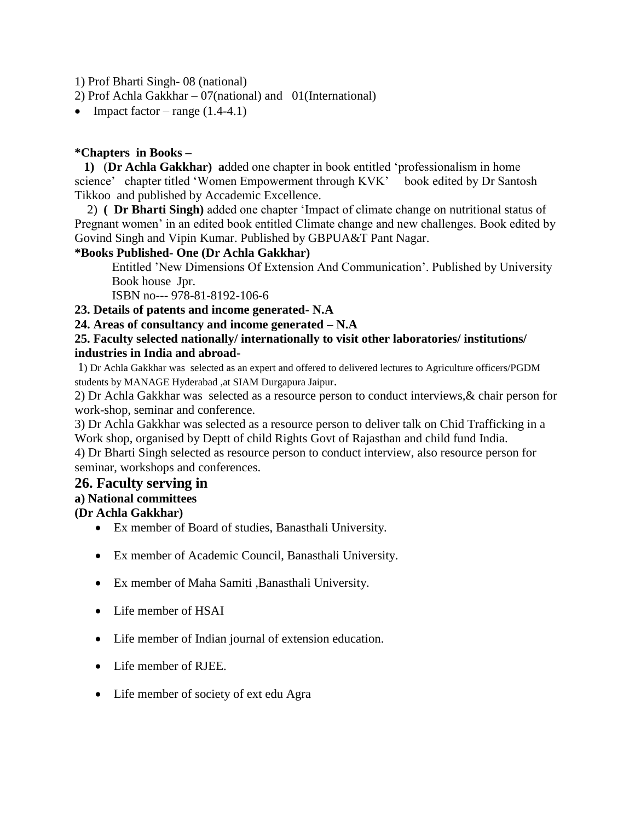1) Prof Bharti Singh- 08 (national)

2) Prof Achla Gakkhar – 07(national) and 01(International)

• Impact factor – range  $(1.4-4.1)$ 

### **\*Chapters in Books –**

 **1)** (**Dr Achla Gakkhar) a**dded one chapter in book entitled 'professionalism in home science' chapter titled 'Women Empowerment through KVK' book edited by Dr Santosh Tikkoo and published by Accademic Excellence.

 2) **( Dr Bharti Singh)** added one chapter 'Impact of climate change on nutritional status of Pregnant women' in an edited book entitled Climate change and new challenges. Book edited by Govind Singh and Vipin Kumar. Published by GBPUA&T Pant Nagar.

### **\*Books Published- One (Dr Achla Gakkhar)**

Entitled 'New Dimensions Of Extension And Communication'. Published by University Book house Jpr.

ISBN no--- 978-81-8192-106-6

### **23. Details of patents and income generated- N.A**

### **24. Areas of consultancy and income generated – N.A**

#### **25. Faculty selected nationally/ internationally to visit other laboratories/ institutions/ industries in India and abroad-**

1) Dr Achla Gakkhar was selected as an expert and offered to delivered lectures to Agriculture officers/PGDM students by MANAGE Hyderabad ,at SIAM Durgapura Jaipur.

2) Dr Achla Gakkhar was selected as a resource person to conduct interviews,& chair person for work-shop, seminar and conference.

3) Dr Achla Gakkhar was selected as a resource person to deliver talk on Chid Trafficking in a Work shop, organised by Deptt of child Rights Govt of Rajasthan and child fund India.

4) Dr Bharti Singh selected as resource person to conduct interview, also resource person for seminar, workshops and conferences.

### **26. Faculty serving in**

### **a) National committees**

### **(Dr Achla Gakkhar)**

- Ex member of Board of studies, Banasthali University.
- Ex member of Academic Council, Banasthali University.
- Ex member of Maha Samiti ,Banasthali University.
- Life member of HSAI
- Life member of Indian journal of extension education.
- Life member of RJEE.
- Life member of society of ext edu Agra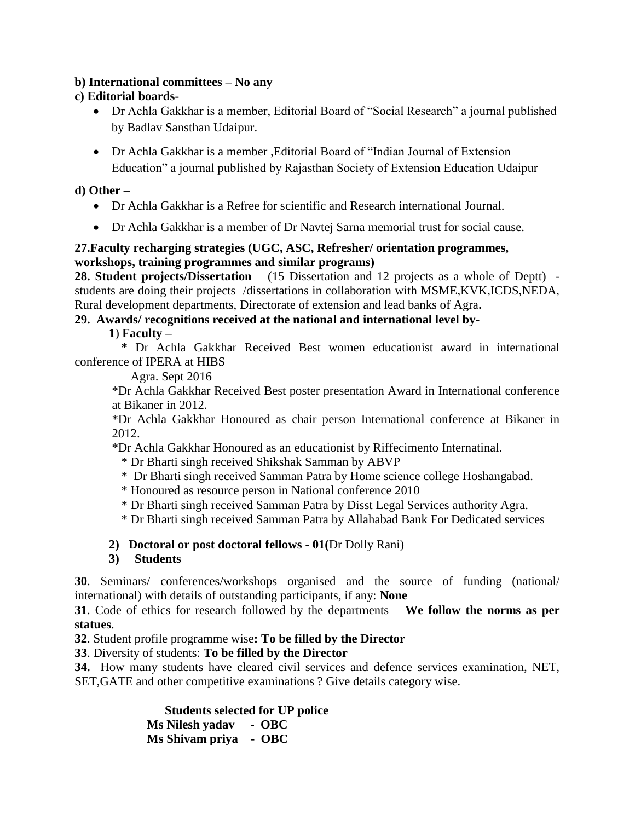#### **b) International committees – No any**

### **c) Editorial boards-**

- Dr Achla Gakkhar is a member, Editorial Board of "Social Research" a journal published by Badlav Sansthan Udaipur.
- Dr Achla Gakkhar is a member ,Editorial Board of "Indian Journal of Extension Education" a journal published by Rajasthan Society of Extension Education Udaipur

#### **d) Other –**

- Dr Achla Gakkhar is a Refree for scientific and Research international Journal.
- Dr Achla Gakkhar is a member of Dr Navtej Sarna memorial trust for social cause.

### **27.Faculty recharging strategies (UGC, ASC, Refresher/ orientation programmes, workshops, training programmes and similar programs)**

**28. Student projects/Dissertation** – (15 Dissertation and 12 projects as a whole of Deptt) – students are doing their projects /dissertations in collaboration with MSME,KVK,ICDS,NEDA, Rural development departments, Directorate of extension and lead banks of Agra**.** 

### **29. Awards/ recognitions received at the national and international level by-**

**1**) **Faculty –**

 **\*** Dr Achla Gakkhar Received Best women educationist award in international conference of IPERA at HIBS

Agra. Sept 2016

\*Dr Achla Gakkhar Received Best poster presentation Award in International conference at Bikaner in 2012.

\*Dr Achla Gakkhar Honoured as chair person International conference at Bikaner in 2012.

\*Dr Achla Gakkhar Honoured as an educationist by Riffecimento Internatinal.

- \* Dr Bharti singh received Shikshak Samman by ABVP
- \* Dr Bharti singh received Samman Patra by Home science college Hoshangabad.
- \* Honoured as resource person in National conference 2010
- \* Dr Bharti singh received Samman Patra by Disst Legal Services authority Agra.
- \* Dr Bharti singh received Samman Patra by Allahabad Bank For Dedicated services

### **2) Doctoral or post doctoral fellows - 01(**Dr Dolly Rani)

### **3) Students**

**30**. Seminars/ conferences/workshops organised and the source of funding (national/ international) with details of outstanding participants, if any: **None**

**31**. Code of ethics for research followed by the departments – **We follow the norms as per statues**.

**32**. Student profile programme wise**: To be filled by the Director**

**33**. Diversity of students: **To be filled by the Director**

**34.** How many students have cleared civil services and defence services examination, NET, SET,GATE and other competitive examinations ? Give details category wise.

> **Students selected for UP police Ms Nilesh yadav - OBC Ms Shivam priya - OBC**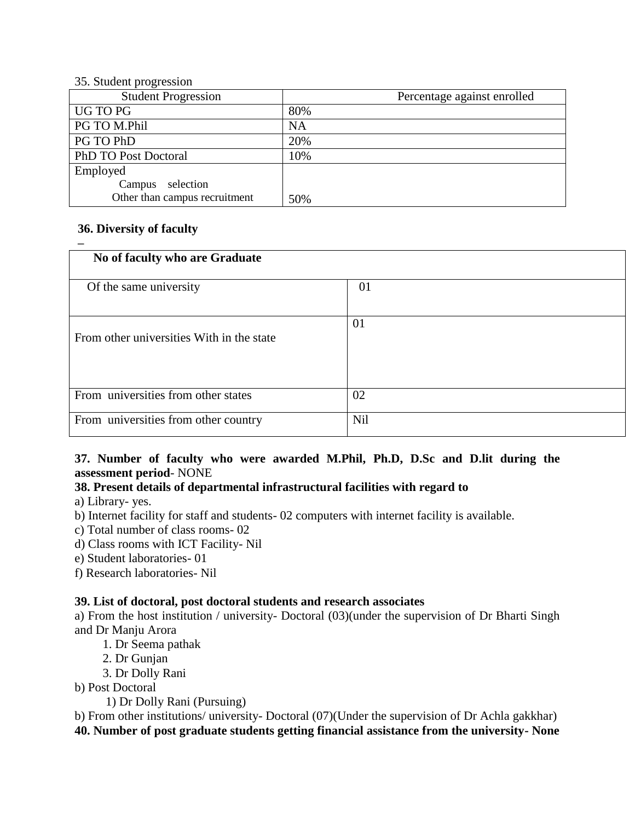#### 35. Student progression

| <b>Student Progression</b>    | Percentage against enrolled |
|-------------------------------|-----------------------------|
| UG TO PG                      | 80%                         |
| PG TO M.Phil                  | <b>NA</b>                   |
| PG TO PhD                     | 20%                         |
| PhD TO Post Doctoral          | 10%                         |
| Employed                      |                             |
| selection<br>Campus           |                             |
| Other than campus recruitment | 50%                         |

#### **36. Diversity of faculty**

**–**

| No of faculty who are Graduate            |            |
|-------------------------------------------|------------|
| Of the same university                    | 01         |
| From other universities With in the state | 01         |
| From universities from other states       | 02         |
| From universities from other country      | <b>Nil</b> |

### **37. Number of faculty who were awarded M.Phil, Ph.D, D.Sc and D.lit during the assessment period**- NONE

### **38. Present details of departmental infrastructural facilities with regard to**

a) Library- yes.

b) Internet facility for staff and students- 02 computers with internet facility is available.

c) Total number of class rooms- 02

d) Class rooms with ICT Facility- Nil

e) Student laboratories- 01

f) Research laboratories- Nil

### **39. List of doctoral, post doctoral students and research associates**

a) From the host institution / university- Doctoral (03)(under the supervision of Dr Bharti Singh and Dr Manju Arora

- 1. Dr Seema pathak
- 2. Dr Gunjan
- 3. Dr Dolly Rani
- b) Post Doctoral

1) Dr Dolly Rani (Pursuing)

b) From other institutions/ university- Doctoral (07)(Under the supervision of Dr Achla gakkhar) **40. Number of post graduate students getting financial assistance from the university- None**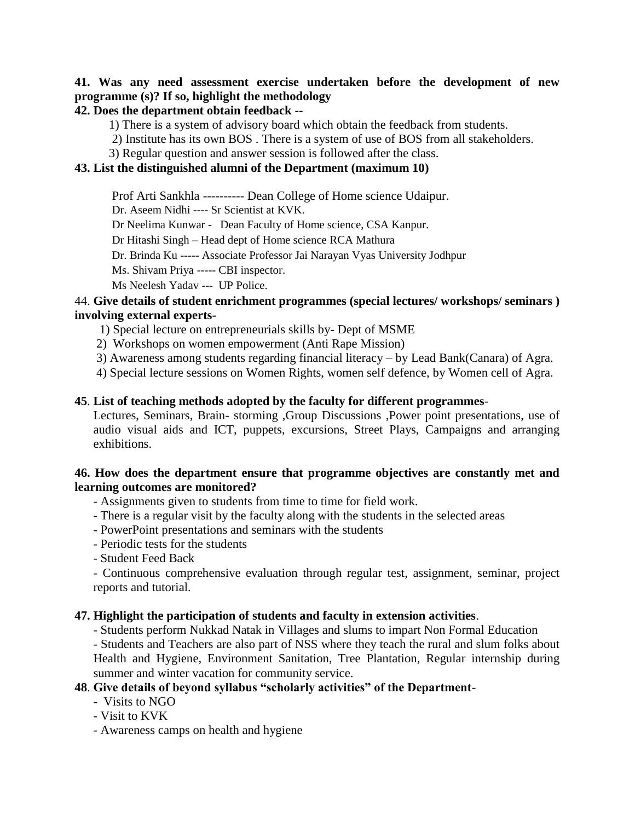### **41. Was any need assessment exercise undertaken before the development of new programme (s)? If so, highlight the methodology**

#### **42. Does the department obtain feedback --**

1) There is a system of advisory board which obtain the feedback from students.

- 2) Institute has its own BOS . There is a system of use of BOS from all stakeholders.
- 3) Regular question and answer session is followed after the class.

#### **43. List the distinguished alumni of the Department (maximum 10)**

Prof Arti Sankhla ---------- Dean College of Home science Udaipur.

Dr. Aseem Nidhi ---- Sr Scientist at KVK.

Dr Neelima Kunwar - Dean Faculty of Home science, CSA Kanpur.

Dr Hitashi Singh – Head dept of Home science RCA Mathura

Dr. Brinda Ku ----- Associate Professor Jai Narayan Vyas University Jodhpur

Ms. Shivam Priya ----- CBI inspector.

Ms Neelesh Yadav --- UP Police.

#### 44. **Give details of student enrichment programmes (special lectures/ workshops/ seminars ) involving external experts-**

- 1) Special lecture on entrepreneurials skills by- Dept of MSME
- 2) Workshops on women empowerment (Anti Rape Mission)
- 3) Awareness among students regarding financial literacy by Lead Bank(Canara) of Agra.
- 4) Special lecture sessions on Women Rights, women self defence, by Women cell of Agra.

#### **45**. **List of teaching methods adopted by the faculty for different programmes**-

Lectures, Seminars, Brain- storming ,Group Discussions ,Power point presentations, use of audio visual aids and ICT, puppets, excursions, Street Plays, Campaigns and arranging exhibitions.

#### **46. How does the department ensure that programme objectives are constantly met and learning outcomes are monitored?**

- Assignments given to students from time to time for field work.
- There is a regular visit by the faculty along with the students in the selected areas
- PowerPoint presentations and seminars with the students
- Periodic tests for the students
- Student Feed Back

- Continuous comprehensive evaluation through regular test, assignment, seminar, project reports and tutorial.

#### **47. Highlight the participation of students and faculty in extension activities**.

- Students perform Nukkad Natak in Villages and slums to impart Non Formal Education

- Students and Teachers are also part of NSS where they teach the rural and slum folks about Health and Hygiene, Environment Sanitation, Tree Plantation, Regular internship during summer and winter vacation for community service.

### **48**. **Give details of beyond syllabus "scholarly activities" of the Department**-

- Visits to NGO

- Visit to KVK

- Awareness camps on health and hygiene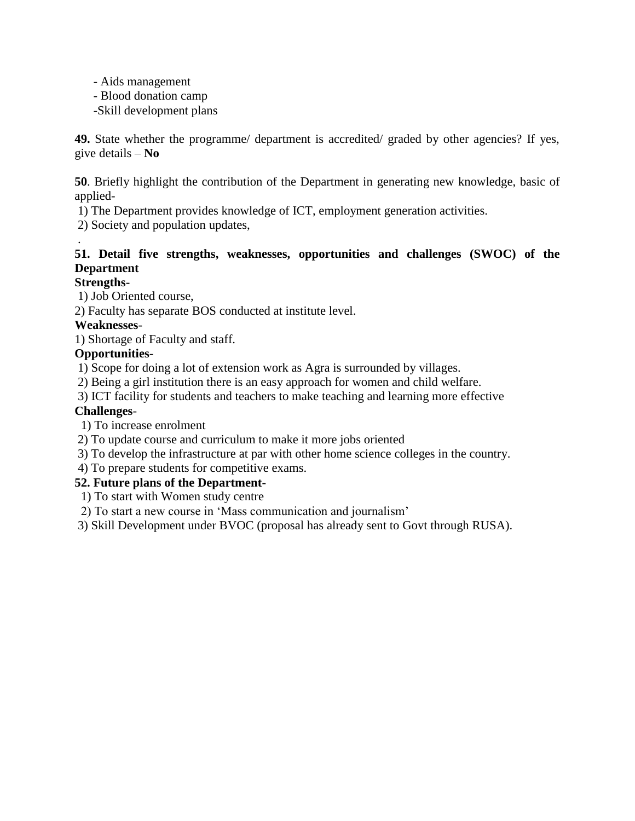- Aids management
- Blood donation camp
- -Skill development plans

**49.** State whether the programme/ department is accredited/ graded by other agencies? If yes, give details – **No**

**50**. Briefly highlight the contribution of the Department in generating new knowledge, basic of applied-

1) The Department provides knowledge of ICT, employment generation activities.

2) Society and population updates,

### **51. Detail five strengths, weaknesses, opportunities and challenges (SWOC) of the Department**

### **Strengths-**

.

1) Job Oriented course,

2) Faculty has separate BOS conducted at institute level.

### **Weaknesses**-

1) Shortage of Faculty and staff.

### **Opportunities**-

1) Scope for doing a lot of extension work as Agra is surrounded by villages.

2) Being a girl institution there is an easy approach for women and child welfare.

3) ICT facility for students and teachers to make teaching and learning more effective

### **Challenges**-

1) To increase enrolment

- 2) To update course and curriculum to make it more jobs oriented
- 3) To develop the infrastructure at par with other home science colleges in the country.
- 4) To prepare students for competitive exams.

### **52. Future plans of the Department-**

1) To start with Women study centre

2) To start a new course in 'Mass communication and journalism'

3) Skill Development under BVOC (proposal has already sent to Govt through RUSA).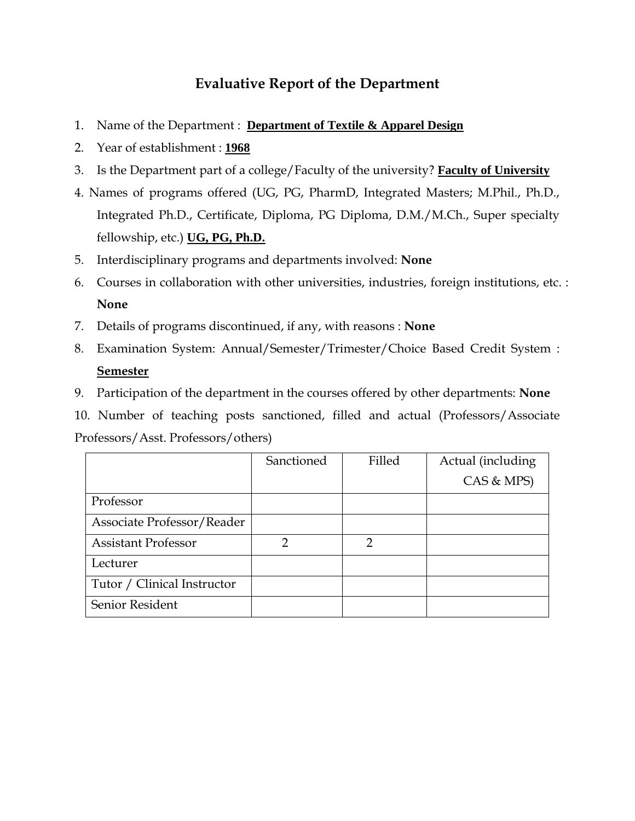## **Evaluative Report of the Department**

- 1. Name of the Department : **Department of Textile & Apparel Design**
- 2. Year of establishment : **1968**
- 3. Is the Department part of a college/Faculty of the university? **Faculty of University**
- 4. Names of programs offered (UG, PG, PharmD, Integrated Masters; M.Phil., Ph.D., Integrated Ph.D., Certificate, Diploma, PG Diploma, D.M./M.Ch., Super specialty fellowship, etc.) **UG, PG, Ph.D.**
- 5. Interdisciplinary programs and departments involved: **None**
- 6. Courses in collaboration with other universities, industries, foreign institutions, etc. : **None**
- 7. Details of programs discontinued, if any, with reasons : **None**
- 8. Examination System: Annual/Semester/Trimester/Choice Based Credit System : **Semester**
- 9. Participation of the department in the courses offered by other departments: **None**

10. Number of teaching posts sanctioned, filled and actual (Professors/Associate Professors/Asst. Professors/others)

|                             | Sanctioned | Filled | Actual (including |
|-----------------------------|------------|--------|-------------------|
|                             |            |        | CAS & MPS)        |
| Professor                   |            |        |                   |
| Associate Professor/Reader  |            |        |                   |
| <b>Assistant Professor</b>  | ∍          | っ      |                   |
| Lecturer                    |            |        |                   |
| Tutor / Clinical Instructor |            |        |                   |
| Senior Resident             |            |        |                   |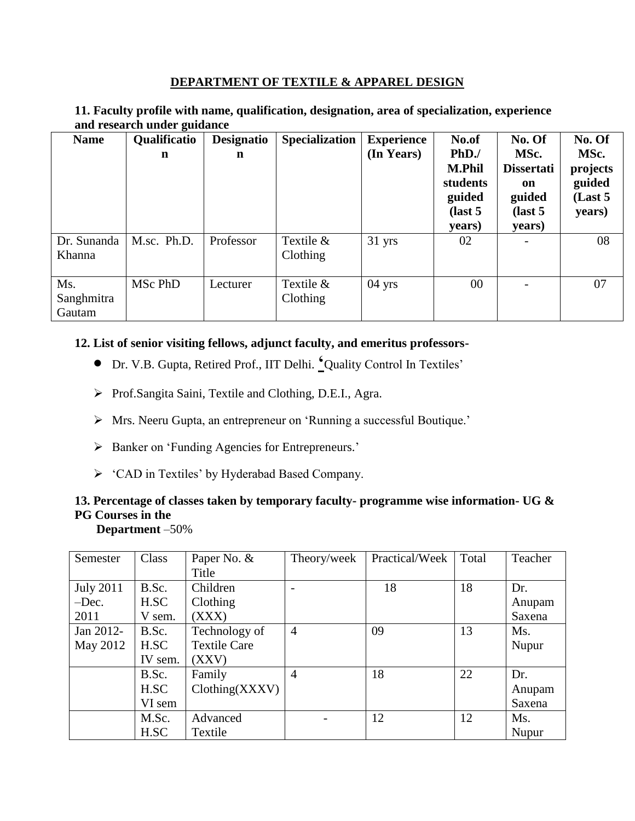#### **DEPARTMENT OF TEXTILE & APPAREL DESIGN**

**11. Faculty profile with name, qualification, designation, area of specialization, experience and research under guidance**

| <b>Name</b>                 | Qualificatio<br>$\mathbf n$ | <b>Designatio</b><br>n | <b>Specialization</b>   | <b>Experience</b><br>(In Years) | No.of<br>PhD.<br><b>M.Phil</b><br>students<br>guided<br>$\int$ ast 5<br>years) | No. Of<br>MSc.<br><b>Dissertati</b><br>on<br>guided<br>$\int$ ast 5<br>years) | No. Of<br>MSc.<br>projects<br>guided<br>(Last 5)<br>years) |
|-----------------------------|-----------------------------|------------------------|-------------------------|---------------------------------|--------------------------------------------------------------------------------|-------------------------------------------------------------------------------|------------------------------------------------------------|
| Dr. Sunanda<br>Khanna       | M.sc. Ph.D.                 | Professor              | Textile $&$<br>Clothing | $31 \text{ yrs}$                | 02                                                                             |                                                                               | 08                                                         |
| Ms.<br>Sanghmitra<br>Gautam | MSc PhD                     | Lecturer               | Textile $&$<br>Clothing | $04$ yrs                        | 00                                                                             | $\overline{\phantom{0}}$                                                      | 07                                                         |

#### **12. List of senior visiting fellows, adjunct faculty, and emeritus professors-**

- Dr. V.B. Gupta, Retired Prof., IIT Delhi. **'**Quality Control In Textiles'
- Prof.Sangita Saini, Textile and Clothing, D.E.I., Agra.
- Mrs. Neeru Gupta, an entrepreneur on 'Running a successful Boutique.'
- > Banker on 'Funding Agencies for Entrepreneurs.'
- 'CAD in Textiles' by Hyderabad Based Company.

### **13. Percentage of classes taken by temporary faculty- programme wise information- UG & PG Courses in the**

 **Department** –50%

| Semester         | Class   | Paper No. &         | Theory/week    | Practical/Week | Total | Teacher |
|------------------|---------|---------------------|----------------|----------------|-------|---------|
|                  |         | Title               |                |                |       |         |
| <b>July 2011</b> | B.Sc.   | Children            |                | 18             | 18    | Dr.     |
| $-$ Dec.         | H.SC    | Clothing            |                |                |       | Anupam  |
| 2011             | V sem.  | (XXX)               |                |                |       | Saxena  |
| Jan 2012-        | B.Sc.   | Technology of       | $\overline{4}$ | 09             | 13    | Ms.     |
| May 2012         | H.SC    | <b>Textile Care</b> |                |                |       | Nupur   |
|                  | IV sem. | (XXY)               |                |                |       |         |
|                  | B.Sc.   | Family              | $\overline{4}$ | 18             | 22    | Dr.     |
|                  | H.SC    | Clothing(XXXV)      |                |                |       | Anupam  |
|                  | VI sem  |                     |                |                |       | Saxena  |
|                  | M.Sc.   | Advanced            |                | 12             | 12    | Ms.     |
|                  | H.SC    | Textile             |                |                |       | Nupur   |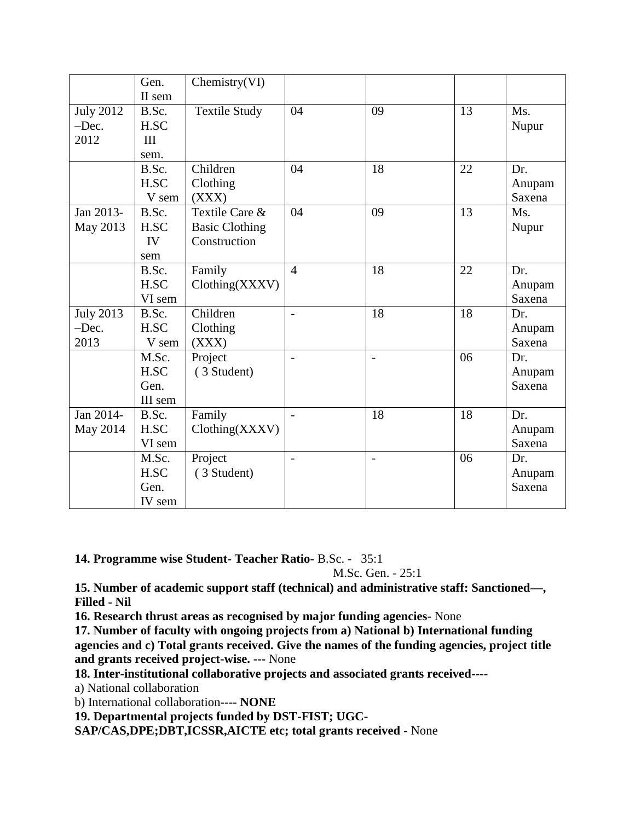|                  | Gen.    | Chemistry(VI)         |                          |                          |    |        |
|------------------|---------|-----------------------|--------------------------|--------------------------|----|--------|
|                  | II sem  |                       |                          |                          |    |        |
| <b>July 2012</b> | B.Sc.   | <b>Textile Study</b>  | 04                       | 09                       | 13 | Ms.    |
| -Dec.            | H.SC    |                       |                          |                          |    | Nupur  |
| 2012             | III     |                       |                          |                          |    |        |
|                  | sem.    |                       |                          |                          |    |        |
|                  | B.Sc.   | Children              | 04                       | 18                       | 22 | Dr.    |
|                  | H.SC    | Clothing              |                          |                          |    | Anupam |
|                  | V sem   | (XXX)                 |                          |                          |    | Saxena |
| Jan 2013-        | B.Sc.   | Textile Care &        | 04                       | 09                       | 13 | Ms.    |
| May 2013         | H.SC    | <b>Basic Clothing</b> |                          |                          |    | Nupur  |
|                  | IV      | Construction          |                          |                          |    |        |
|                  | sem     |                       |                          |                          |    |        |
|                  | B.Sc.   | Family                | $\overline{4}$           | 18                       | 22 | Dr.    |
|                  | H.SC    | Clothing(XXXV)        |                          |                          |    | Anupam |
|                  | VI sem  |                       |                          |                          |    | Saxena |
| <b>July 2013</b> | B.Sc.   | Children              | $\overline{\phantom{a}}$ | 18                       | 18 | Dr.    |
| $-$ Dec.         | H.SC    | Clothing              |                          |                          |    | Anupam |
| 2013             | V sem   | (XXX)                 |                          |                          |    | Saxena |
|                  | M.Sc.   | Project               |                          | $\overline{\phantom{a}}$ | 06 | Dr.    |
|                  | H.SC    | (3 Student)           |                          |                          |    | Anupam |
|                  | Gen.    |                       |                          |                          |    | Saxena |
|                  | III sem |                       |                          |                          |    |        |
| Jan 2014-        | B.Sc.   | Family                |                          | 18                       | 18 | Dr.    |
| May 2014         | H.SC    | Clothing(XXXV)        |                          |                          |    | Anupam |
|                  | VI sem  |                       |                          |                          |    | Saxena |
|                  | M.Sc.   | Project               | $\blacksquare$           | $\overline{\phantom{a}}$ | 06 | Dr.    |
|                  | H.SC    | (3 Student)           |                          |                          |    | Anupam |
|                  | Gen.    |                       |                          |                          |    | Saxena |
|                  | IV sem  |                       |                          |                          |    |        |

**14. Programme wise Student- Teacher Ratio-** B.Sc. - 35:1

M.Sc. Gen. - 25:1

**15. Number of academic support staff (technical) and administrative staff: Sanctioned—, Filled - Nil**

**16. Research thrust areas as recognised by major funding agencies-** None

**17. Number of faculty with ongoing projects from a) National b) International funding agencies and c) Total grants received. Give the names of the funding agencies, project title and grants received project-wise. ---** None

**18. Inter-institutional collaborative projects and associated grants received----**

a) National collaboration

b) International collaboration**---- NONE**

**19. Departmental projects funded by DST-FIST; UGC-**

**SAP/CAS,DPE;DBT,ICSSR,AICTE etc; total grants received -** None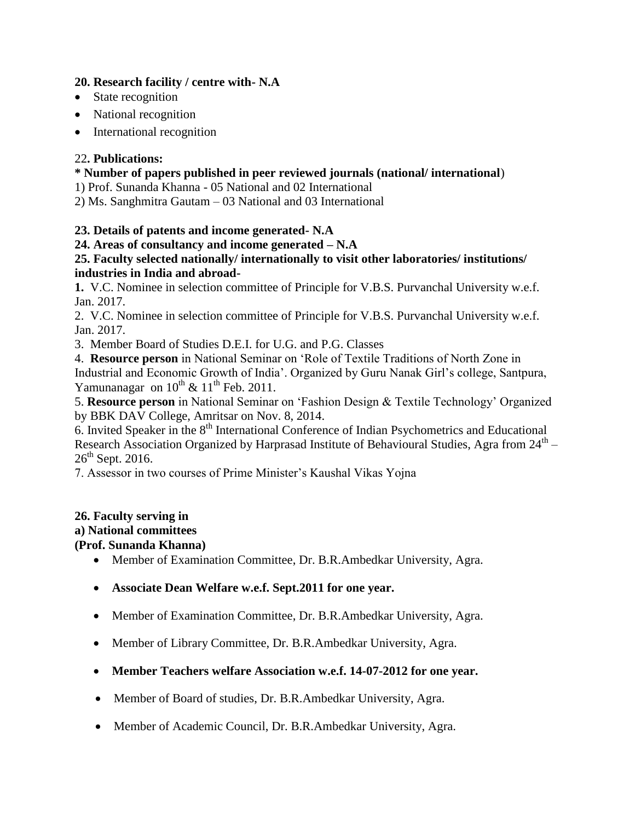### **20. Research facility / centre with- N.A**

- State recognition
- National recognition
- International recognition

### 22**. Publications:**

### **\* Number of papers published in peer reviewed journals (national/ international**)

1) Prof. Sunanda Khanna - 05 National and 02 International

2) Ms. Sanghmitra Gautam – 03 National and 03 International

### **23. Details of patents and income generated- N.A**

### **24. Areas of consultancy and income generated – N.A**

### **25. Faculty selected nationally/ internationally to visit other laboratories/ institutions/ industries in India and abroad-**

**1.** V.C. Nominee in selection committee of Principle for V.B.S. Purvanchal University w.e.f. Jan. 2017.

2. V.C. Nominee in selection committee of Principle for V.B.S. Purvanchal University w.e.f. Jan. 2017.

3. Member Board of Studies D.E.I. for U.G. and P.G. Classes

4. **Resource person** in National Seminar on 'Role of Textile Traditions of North Zone in Industrial and Economic Growth of India'. Organized by Guru Nanak Girl's college, Santpura, Yamunanagar on  $10^{th}$  &  $11^{th}$  Feb. 2011.

5. **Resource person** in National Seminar on 'Fashion Design & Textile Technology' Organized by BBK DAV College, Amritsar on Nov. 8, 2014.

 $6.$  Invited Speaker in the  $8<sup>th</sup>$  International Conference of Indian Psychometrics and Educational Research Association Organized by Harprasad Institute of Behavioural Studies, Agra from  $24^{\text{th}}$  –  $26<sup>th</sup>$  Sept. 2016.

7. Assessor in two courses of Prime Minister's Kaushal Vikas Yojna

### **26. Faculty serving in**

### **a) National committees**

### **(Prof. Sunanda Khanna)**

- Member of Examination Committee, Dr. B.R.Ambedkar University, Agra.
- **Associate Dean Welfare w.e.f. Sept.2011 for one year.**
- Member of Examination Committee, Dr. B.R.Ambedkar University, Agra.
- Member of Library Committee, Dr. B.R.Ambedkar University, Agra.
- **Member Teachers welfare Association w.e.f. 14-07-2012 for one year.**
- Member of Board of studies, Dr. B.R.Ambedkar University, Agra.
- Member of Academic Council, Dr. B.R.Ambedkar University, Agra.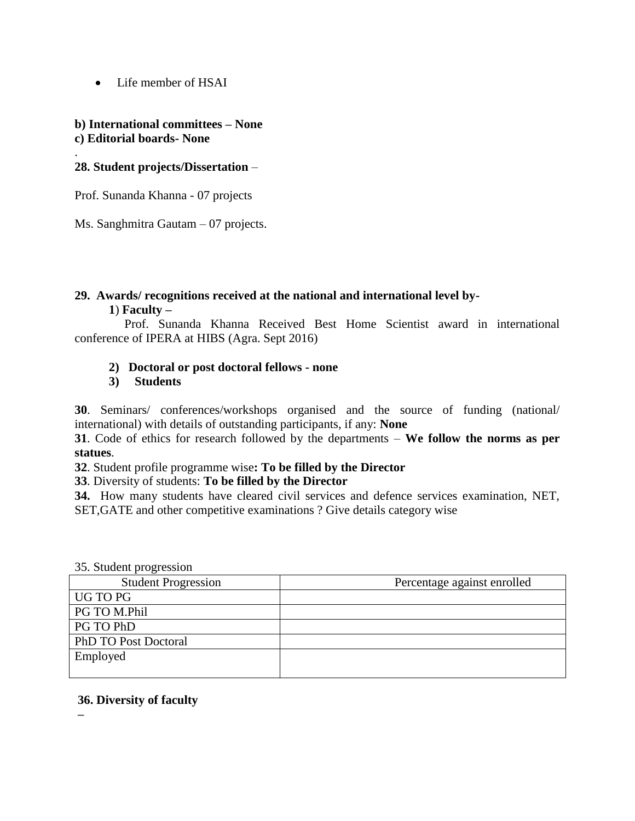• Life member of HSAI

#### **b) International committees – None c) Editorial boards- None**

### **28. Student projects/Dissertation** –

.

Prof. Sunanda Khanna - 07 projects

Ms. Sanghmitra Gautam – 07 projects.

#### **29. Awards/ recognitions received at the national and international level by- 1**) **Faculty –**

Prof. Sunanda Khanna Received Best Home Scientist award in international conference of IPERA at HIBS (Agra. Sept 2016)

### **2) Doctoral or post doctoral fellows - none**

#### **3) Students**

**30**. Seminars/ conferences/workshops organised and the source of funding (national/ international) with details of outstanding participants, if any: **None**

**31**. Code of ethics for research followed by the departments – **We follow the norms as per statues**.

**32**. Student profile programme wise**: To be filled by the Director**

**33**. Diversity of students: **To be filled by the Director**

**34.** How many students have cleared civil services and defence services examination, NET, SET,GATE and other competitive examinations ? Give details category wise

#### 35. Student progression

| <b>Student Progression</b> | Percentage against enrolled |
|----------------------------|-----------------------------|
| UG TO PG                   |                             |
| PG TO M.Phil               |                             |
| PG TO PhD                  |                             |
| PhD TO Post Doctoral       |                             |
| Employed                   |                             |
|                            |                             |

#### **36. Diversity of faculty**

**–**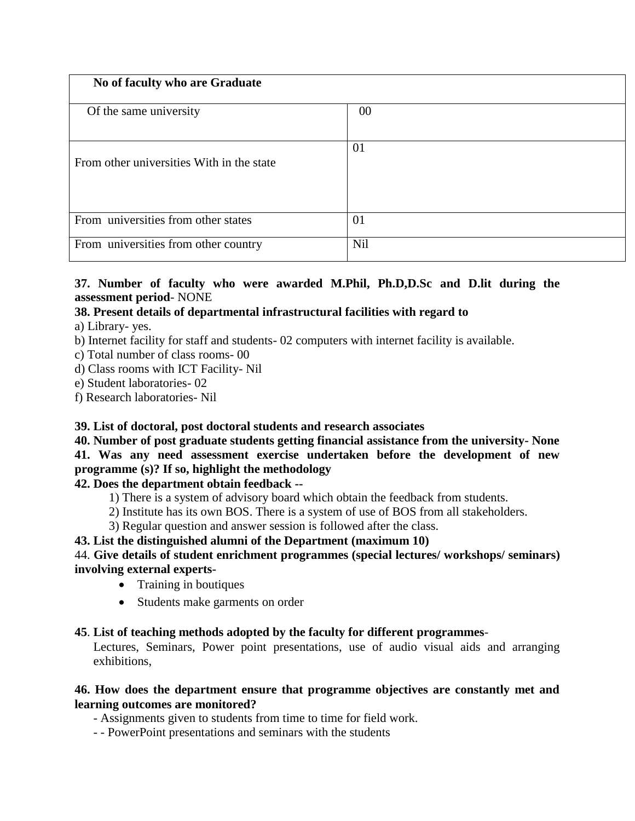| No of faculty who are Graduate            |            |
|-------------------------------------------|------------|
| Of the same university                    | $00\,$     |
| From other universities With in the state | 01         |
| From universities from other states       | 01         |
| From universities from other country      | <b>Nil</b> |

### **37. Number of faculty who were awarded M.Phil, Ph.D,D.Sc and D.lit during the assessment period**- NONE

### **38. Present details of departmental infrastructural facilities with regard to**

a) Library- yes.

b) Internet facility for staff and students- 02 computers with internet facility is available.

- c) Total number of class rooms- 00
- d) Class rooms with ICT Facility- Nil

e) Student laboratories- 02

f) Research laboratories- Nil

### **39. List of doctoral, post doctoral students and research associates**

### **40. Number of post graduate students getting financial assistance from the university- None 41. Was any need assessment exercise undertaken before the development of new programme (s)? If so, highlight the methodology**

### **42. Does the department obtain feedback --**

- 1) There is a system of advisory board which obtain the feedback from students.
- 2) Institute has its own BOS. There is a system of use of BOS from all stakeholders.
- 3) Regular question and answer session is followed after the class.

### **43. List the distinguished alumni of the Department (maximum 10)**

### 44. **Give details of student enrichment programmes (special lectures/ workshops/ seminars) involving external experts-**

- Training in boutiques
- Students make garments on order

### **45**. **List of teaching methods adopted by the faculty for different programmes**-

Lectures, Seminars, Power point presentations, use of audio visual aids and arranging exhibitions,

### **46. How does the department ensure that programme objectives are constantly met and learning outcomes are monitored?**

- Assignments given to students from time to time for field work.

- - PowerPoint presentations and seminars with the students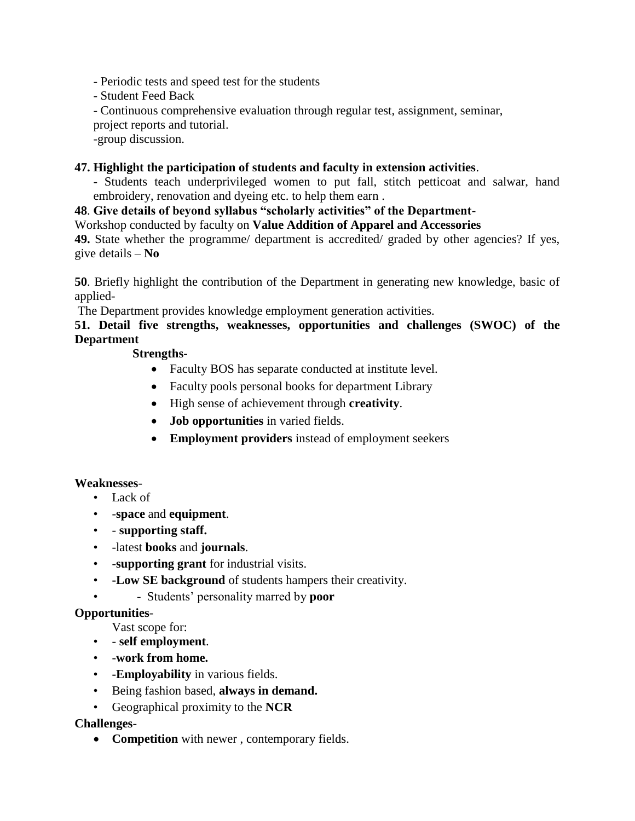- Periodic tests and speed test for the students

- Student Feed Back

- Continuous comprehensive evaluation through regular test, assignment, seminar,

project reports and tutorial.

-group discussion.

### **47. Highlight the participation of students and faculty in extension activities**.

- Students teach underprivileged women to put fall, stitch petticoat and salwar, hand embroidery, renovation and dyeing etc. to help them earn .

### **48**. **Give details of beyond syllabus "scholarly activities" of the Department**-

Workshop conducted by faculty on **Value Addition of Apparel and Accessories**

**49.** State whether the programme/ department is accredited/ graded by other agencies? If yes, give details – **No**

**50**. Briefly highlight the contribution of the Department in generating new knowledge, basic of applied-

The Department provides knowledge employment generation activities.

**51. Detail five strengths, weaknesses, opportunities and challenges (SWOC) of the Department**

### **Strengths-**

- Faculty BOS has separate conducted at institute level.
- Faculty pools personal books for department Library
- High sense of achievement through **creativity**.
- **Job opportunities** in varied fields.
- **Employment providers** instead of employment seekers

### **Weaknesses**-

- Lack of
- -**space** and **equipment**.
- - **supporting staff.**
- -latest **books** and **journals**.
- -**supporting grant** for industrial visits.
- **-Low SE background** of students hampers their creativity.
- - Students' personality marred by **poor**

### **Opportunities**-

Vast scope for:

- - **self employment**.
- -**work from home.**
- **-Employability** in various fields.
- Being fashion based, **always in demand.**
- Geographical proximity to the **NCR**

### **Challenges**-

**Competition** with newer , contemporary fields.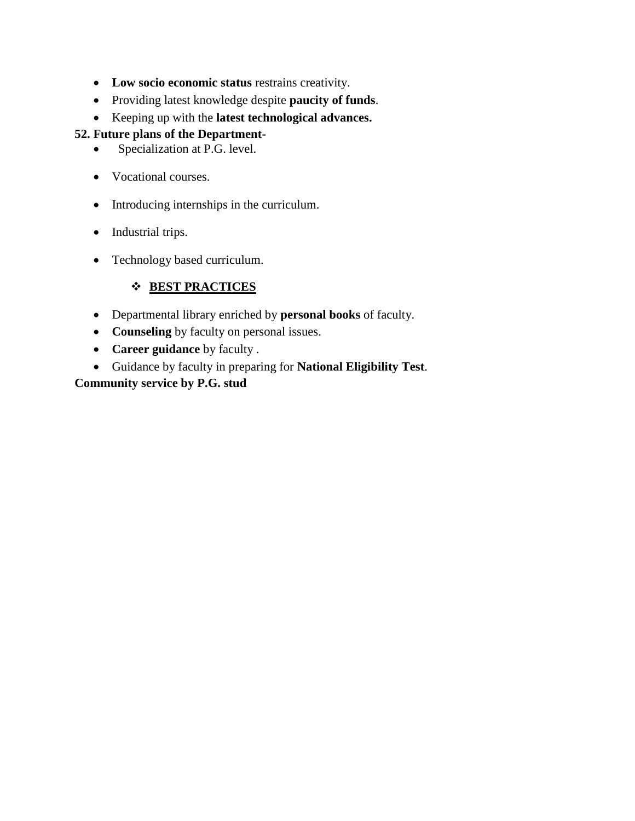- **Low socio economic status** restrains creativity.
- Providing latest knowledge despite **paucity of funds**.
- Keeping up with the **latest technological advances.**

### **52. Future plans of the Department-**

- Specialization at P.G. level.
- Vocational courses.
- Introducing internships in the curriculum.
- Industrial trips.
- Technology based curriculum.

### **BEST PRACTICES**

- Departmental library enriched by **personal books** of faculty.
- **Counseling** by faculty on personal issues.
- **Career guidance** by faculty .
- Guidance by faculty in preparing for **National Eligibility Test**.

### **Community service by P.G. stud**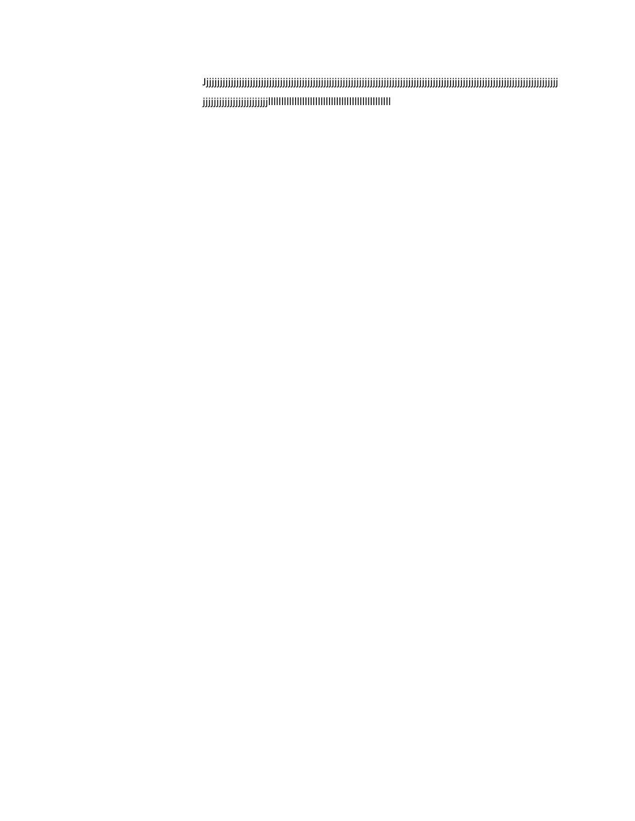Jjjjjjjjjjjjjjjjjjjjjjjjjjjjjjjjjjjjjjjjjjjjjjjjjjjjjjjjjjjjjjjjjjjjjjjjjjjjjjjjjjjjjjjjjjjjjjjjjjjjjjjjjjjjjjjjjjjjjjjjjjjjjjjjjj jjjjjjjjjjjjjjjjjjjjjjjjlllllllllllllllllllllllllllllllllllllllllllllll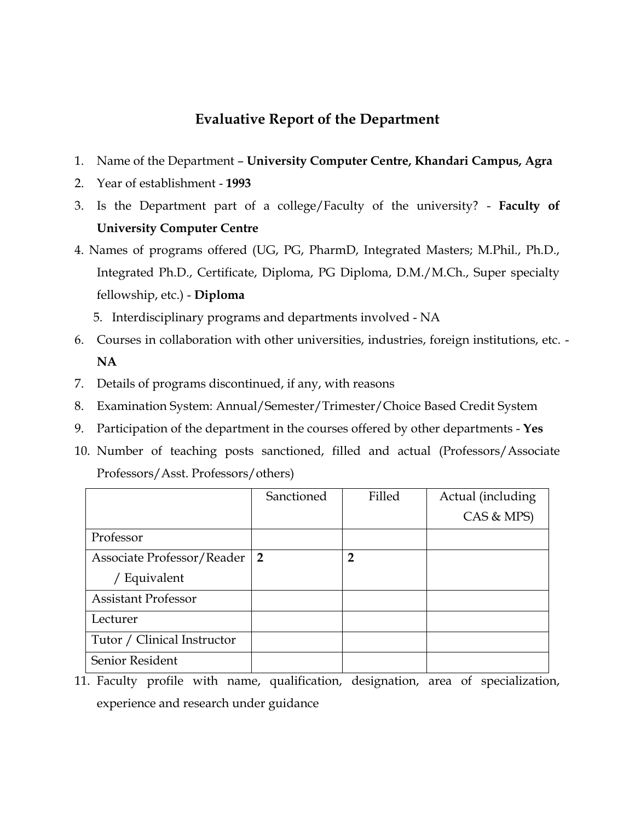## **Evaluative Report of the Department**

- 1. Name of the Department **University Computer Centre, Khandari Campus, Agra**
- 2. Year of establishment **1993**
- 3. Is the Department part of a college/Faculty of the university? **Faculty of University Computer Centre**
- 4. Names of programs offered (UG, PG, PharmD, Integrated Masters; M.Phil., Ph.D., Integrated Ph.D., Certificate, Diploma, PG Diploma, D.M./M.Ch., Super specialty fellowship, etc.) - **Diploma**
	- 5. Interdisciplinary programs and departments involved NA
- 6. Courses in collaboration with other universities, industries, foreign institutions, etc. **NA**
- 7. Details of programs discontinued, if any, with reasons
- 8. Examination System: Annual/Semester/Trimester/Choice Based Credit System
- 9. Participation of the department in the courses offered by other departments **Yes**
- 10. Number of teaching posts sanctioned, filled and actual (Professors/Associate Professors/Asst. Professors/others)

|                             | Sanctioned     | Filled         | Actual (including |
|-----------------------------|----------------|----------------|-------------------|
|                             |                |                | CAS & MPS)        |
| Professor                   |                |                |                   |
| Associate Professor/Reader  | $\overline{2}$ | $\overline{2}$ |                   |
| / Equivalent                |                |                |                   |
| <b>Assistant Professor</b>  |                |                |                   |
| Lecturer                    |                |                |                   |
| Tutor / Clinical Instructor |                |                |                   |
| Senior Resident             |                |                |                   |

<sup>11.</sup> Faculty profile with name, qualification, designation, area of specialization, experience and research under guidance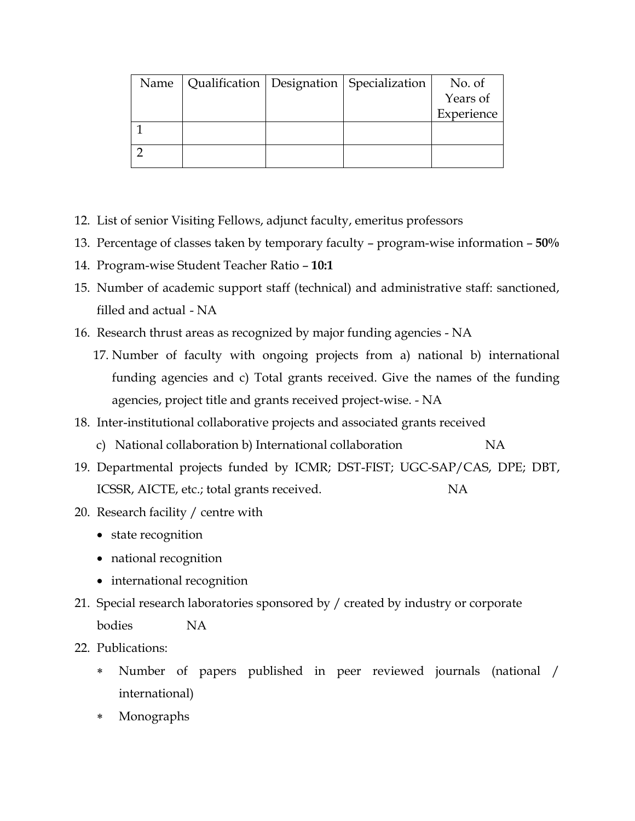| Name |  | Qualification   Designation   Specialization | No. of     |
|------|--|----------------------------------------------|------------|
|      |  |                                              | Years of   |
|      |  |                                              | Experience |
|      |  |                                              |            |
|      |  |                                              |            |
|      |  |                                              |            |

- 12. List of senior Visiting Fellows, adjunct faculty, emeritus professors
- 13. Percentage of classes taken by temporary faculty program-wise information **50%**
- 14. Program-wise Student Teacher Ratio **10:1**
- 15. Number of academic support staff (technical) and administrative staff: sanctioned, filled and actual - NA
- 16. Research thrust areas as recognized by major funding agencies NA
	- 17. Number of faculty with ongoing projects from a) national b) international funding agencies and c) Total grants received. Give the names of the funding agencies, project title and grants received project-wise. - NA
- 18. Inter-institutional collaborative projects and associated grants received
	- c) National collaboration b) International collaboration NA
- 19. Departmental projects funded by ICMR; DST-FIST; UGC-SAP/CAS, DPE; DBT, ICSSR, AICTE, etc.; total grants received. NA
- 20. Research facility / centre with
	- state recognition
	- national recognition
	- international recognition
- 21. Special research laboratories sponsored by / created by industry or corporate bodies NA
- 22. Publications:
	- Number of papers published in peer reviewed journals (national / international)
	- Monographs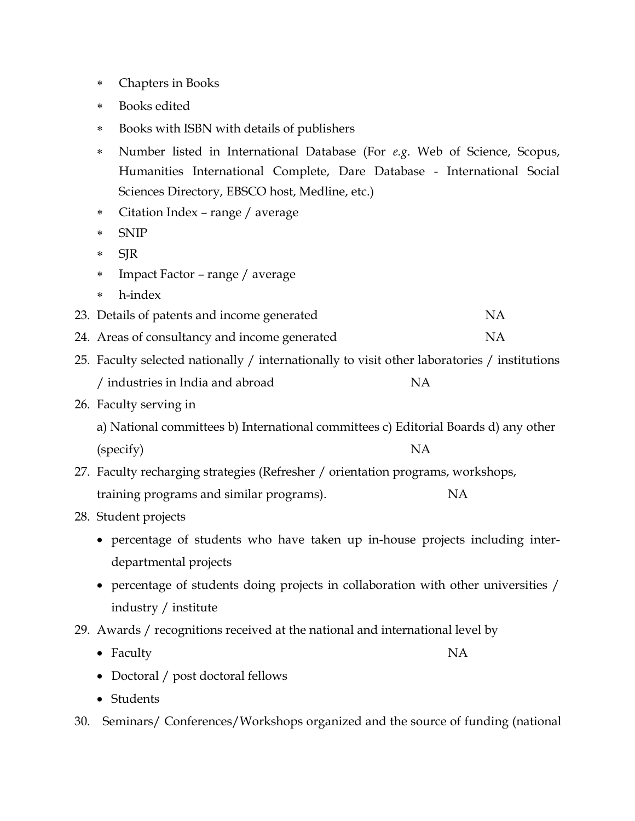- Chapters in Books
- Books edited
- Books with ISBN with details of publishers
- Number listed in International Database (For *e.g*. Web of Science, Scopus, Humanities International Complete, Dare Database - International Social Sciences Directory, EBSCO host, Medline, etc.)
- Citation Index range / average
- SNIP
- \* SJR
- Impact Factor range / average
- h-index
- 23. Details of patents and income generated NA
- 24. Areas of consultancy and income generated NA
- 25. Faculty selected nationally / internationally to visit other laboratories / institutions / industries in India and abroad NA
- 26. Faculty serving in

a) National committees b) International committees c) Editorial Boards d) any other (specify) NA

- 27. Faculty recharging strategies (Refresher / orientation programs, workshops, training programs and similar programs). NA
- 28. Student projects
	- percentage of students who have taken up in-house projects including interdepartmental projects
	- percentage of students doing projects in collaboration with other universities / industry / institute
- 29. Awards / recognitions received at the national and international level by
	- Faculty NA
	- Doctoral / post doctoral fellows
	- Students
- 30. Seminars/ Conferences/Workshops organized and the source of funding (national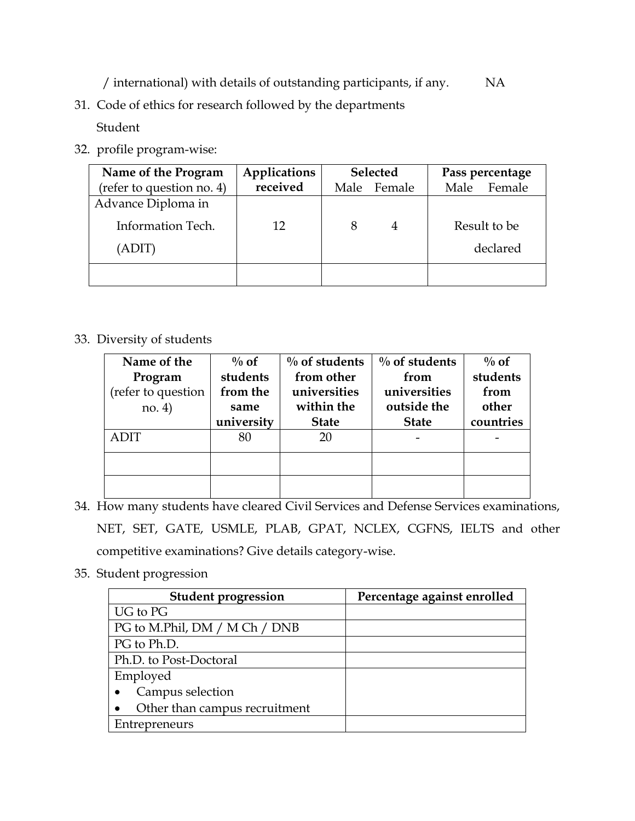/ international) with details of outstanding participants, if any. NA

31. Code of ethics for research followed by the departments

Student

32. profile program-wise:

| Name of the Program       | Applications | <b>Selected</b> |                | Pass percentage |
|---------------------------|--------------|-----------------|----------------|-----------------|
| (refer to question no. 4) | received     |                 | Male Female    | Female<br>Male  |
| Advance Diploma in        |              |                 |                |                 |
| Information Tech.         | 12           |                 | $\overline{4}$ | Result to be    |
| (ADIT)                    |              |                 |                | declared        |
|                           |              |                 |                |                 |

33. Diversity of students

| Name of the        | $\%$ of    | $\%$ of students | $\%$ of students | $\%$ of   |
|--------------------|------------|------------------|------------------|-----------|
| Program            | students   | from other       | from             | students  |
| (refer to question | from the   | universities     | universities     | from      |
| no. 4)             | same       | within the       | outside the      | other     |
|                    | university | <b>State</b>     | <b>State</b>     | countries |
| <b>ADIT</b>        | 80         | 20               |                  |           |
|                    |            |                  |                  |           |
|                    |            |                  |                  |           |
|                    |            |                  |                  |           |

- 34. How many students have cleared Civil Services and Defense Services examinations, NET, SET, GATE, USMLE, PLAB, GPAT, NCLEX, CGFNS, IELTS and other competitive examinations? Give details category-wise.
- 35. Student progression

| <b>Student progression</b>    | Percentage against enrolled |
|-------------------------------|-----------------------------|
| UG to PG                      |                             |
| PG to M.Phil, DM / M Ch / DNB |                             |
| PG to Ph.D.                   |                             |
| Ph.D. to Post-Doctoral        |                             |
| Employed                      |                             |
| Campus selection              |                             |
| Other than campus recruitment |                             |
| Entrepreneurs                 |                             |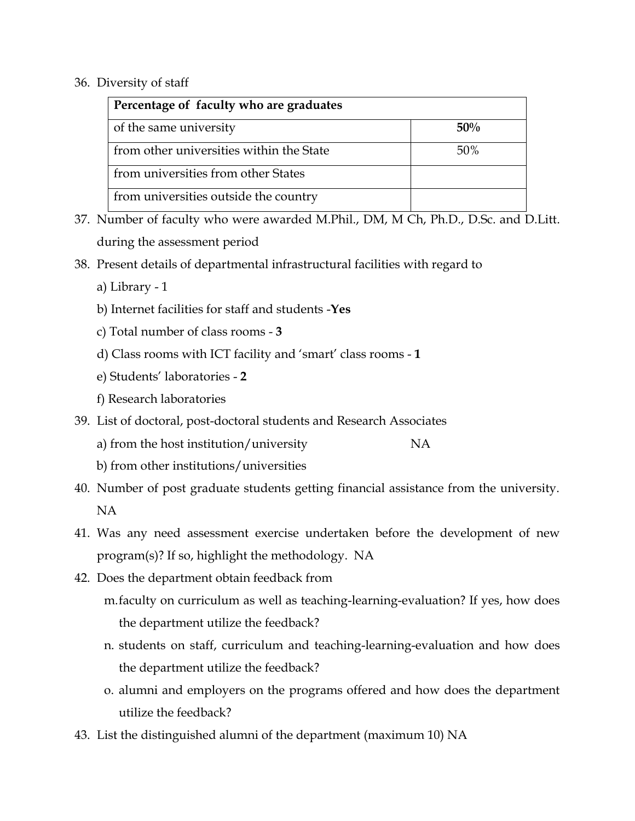### 36. Diversity of staff

| Percentage of faculty who are graduates  |     |
|------------------------------------------|-----|
| of the same university                   | 50% |
| from other universities within the State | 50% |
| from universities from other States      |     |
| from universities outside the country    |     |

- 37. Number of faculty who were awarded M.Phil., DM, M Ch, Ph.D., D.Sc. and D.Litt. during the assessment period
- 38. Present details of departmental infrastructural facilities with regard to
	- a) Library 1
	- b) Internet facilities for staff and students -**Yes**
	- c) Total number of class rooms **3**
	- d) Class rooms with ICT facility and 'smart' class rooms **1**
	- e) Students' laboratories **2**
	- f) Research laboratories
- 39. List of doctoral, post-doctoral students and Research Associates
	- a) from the host institution/university NA
	- b) from other institutions/universities
- 40. Number of post graduate students getting financial assistance from the university. NA
- 41. Was any need assessment exercise undertaken before the development of new program(s)? If so, highlight the methodology. NA
- 42. Does the department obtain feedback from
	- m.faculty on curriculum as well as teaching-learning-evaluation? If yes, how does the department utilize the feedback?
	- n. students on staff, curriculum and teaching-learning-evaluation and how does the department utilize the feedback?
	- o. alumni and employers on the programs offered and how does the department utilize the feedback?
- 43. List the distinguished alumni of the department (maximum 10) NA